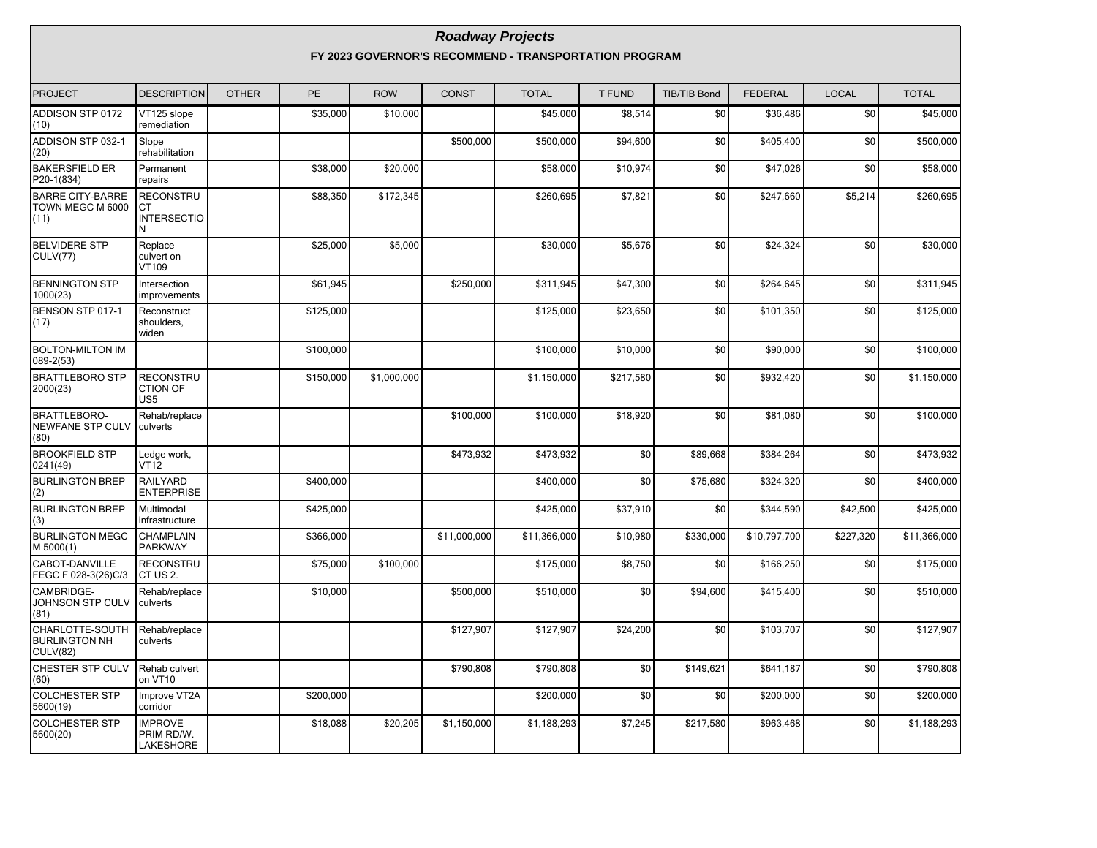#### **Roadway Projects FY 2023 GOVERNOR'S RECOMMEND - TRANSPORTATION PROGRAM**

| <b>PROJECT</b>                                         | <b>DESCRIPTION</b>                                  | <b>OTHER</b> | <b>PE</b> | <b>ROW</b>  | <b>CONST</b> | <b>TOTAL</b> | <b>T FUND</b> | <b>TIB/TIB Bond</b> | <b>FEDERAL</b> | <b>LOCAL</b> | <b>TOTAL</b> |
|--------------------------------------------------------|-----------------------------------------------------|--------------|-----------|-------------|--------------|--------------|---------------|---------------------|----------------|--------------|--------------|
| ADDISON STP 0172<br>(10)                               | VT125 slope<br>remediation                          |              | \$35,000  | \$10,000    |              | \$45,000     | \$8,514       | \$0                 | \$36,486       | \$0          | \$45,000     |
| ADDISON STP 032-1<br>(20)                              | Slope<br>rehabilitation                             |              |           |             | \$500,000    | \$500,000    | \$94,600      | \$0                 | \$405,400      | \$0          | \$500,000    |
| <b>BAKERSFIELD ER</b><br>P20-1(834)                    | Permanent<br>repairs                                |              | \$38,000  | \$20,000    |              | \$58,000     | \$10,974      | \$0                 | \$47,026       | \$0          | \$58,000     |
| <b>BARRE CITY-BARRE</b><br>TOWN MEGC M 6000<br>(11)    | <b>RECONSTRU</b><br><b>CT</b><br><b>INTERSECTIO</b> |              | \$88,350  | \$172,345   |              | \$260,695    | \$7,821       | \$0                 | \$247,660      | \$5,214      | \$260,695    |
| <b>BELVIDERE STP</b><br><b>CULV(77)</b>                | Replace<br>culvert on<br>VT109                      |              | \$25,000  | \$5,000     |              | \$30,000     | \$5,676       | \$0                 | \$24,324       | \$0          | \$30,000     |
| <b>BENNINGTON STP</b><br>1000(23)                      | Intersection<br>improvements                        |              | \$61,945  |             | \$250,000    | \$311,945    | \$47,300      | \$0                 | \$264,645      | \$0          | \$311,945    |
| BENSON STP 017-1<br>1(17)                              | Reconstruct<br>shoulders,<br>widen                  |              | \$125,000 |             |              | \$125,000    | \$23,650      | \$0                 | \$101,350      | \$0          | \$125,000    |
| <b>BOLTON-MILTON IM</b><br>$089 - 2(53)$               |                                                     |              | \$100,000 |             |              | \$100,000    | \$10,000      | \$0                 | \$90,000       | \$0          | \$100,000    |
| <b>BRATTLEBORO STP</b><br>2000(23)                     | <b>RECONSTRU</b><br><b>CTION OF</b><br>US5          |              | \$150,000 | \$1,000,000 |              | \$1,150,000  | \$217,580     | \$0                 | \$932,420      | \$0          | \$1,150,000  |
| <b>BRATTLEBORO-</b><br><b>NEWFANE STP CULV</b><br>(80) | Rehab/replace<br>culverts                           |              |           |             | \$100,000    | \$100,000    | \$18,920      | \$0                 | \$81,080       | \$0          | \$100,000    |
| <b>BROOKFIELD STP</b><br>0241(49)                      | Ledge work,<br><b>VT12</b>                          |              |           |             | \$473,932    | \$473,932    | \$0           | \$89,668            | \$384,264      | \$0          | \$473,932    |
| <b>BURLINGTON BREP</b><br>(2)                          | <b>RAILYARD</b><br><b>ENTERPRISE</b>                |              | \$400,000 |             |              | \$400,000    | \$0           | \$75,680            | \$324,320      | \$0          | \$400,000    |
| <b>BURLINGTON BREP</b><br>(3)                          | Multimodal<br>infrastructure                        |              | \$425,000 |             |              | \$425,000    | \$37,910      | \$0                 | \$344,590      | \$42,500     | \$425,000    |
| <b>BURLINGTON MEGC</b><br>M 5000(1)                    | CHAMPLAIN<br><b>PARKWAY</b>                         |              | \$366,000 |             | \$11,000,000 | \$11,366,000 | \$10,980      | \$330,000           | \$10,797,700   | \$227,320    | \$11,366,000 |
| CABOT-DANVILLE<br>FEGC F 028-3(26)C/3                  | <b>RECONSTRU</b><br>CT US 2.                        |              | \$75,000  | \$100,000   |              | \$175,000    | \$8,750       | \$0                 | \$166,250      | \$0          | \$175,000    |
| CAMBRIDGE-<br>JOHNSON STP CULV<br>(81)                 | Rehab/replace<br>culverts                           |              | \$10,000  |             | \$500,000    | \$510,000    | \$0           | \$94,600            | \$415,400      | \$0          | \$510,000    |
| CHARLOTTE-SOUTH<br><b>BURLINGTON NH</b><br>CULV(82)    | Rehab/replace<br>culverts                           |              |           |             | \$127,907    | \$127,907    | \$24,200      | \$0                 | \$103,707      | \$0          | \$127,907    |
| CHESTER STP CULV<br>(60)                               | Rehab culvert<br>on VT10                            |              |           |             | \$790,808    | \$790.808    | \$0           | \$149,621           | \$641.187      | \$0          | \$790,808    |
| <b>COLCHESTER STP</b><br>5600(19)                      | Improve VT2A<br>corridor                            |              | \$200,000 |             |              | \$200,000    | \$0           | \$0                 | \$200,000      | \$0          | \$200,000    |
| <b>COLCHESTER STP</b><br>5600(20)                      | <b>IMPROVE</b><br>PRIM RD/W.<br>LAKESHORE           |              | \$18,088  | \$20,205    | \$1,150,000  | \$1,188,293  | \$7,245       | \$217,580           | \$963,468      | \$0          | \$1,188,293  |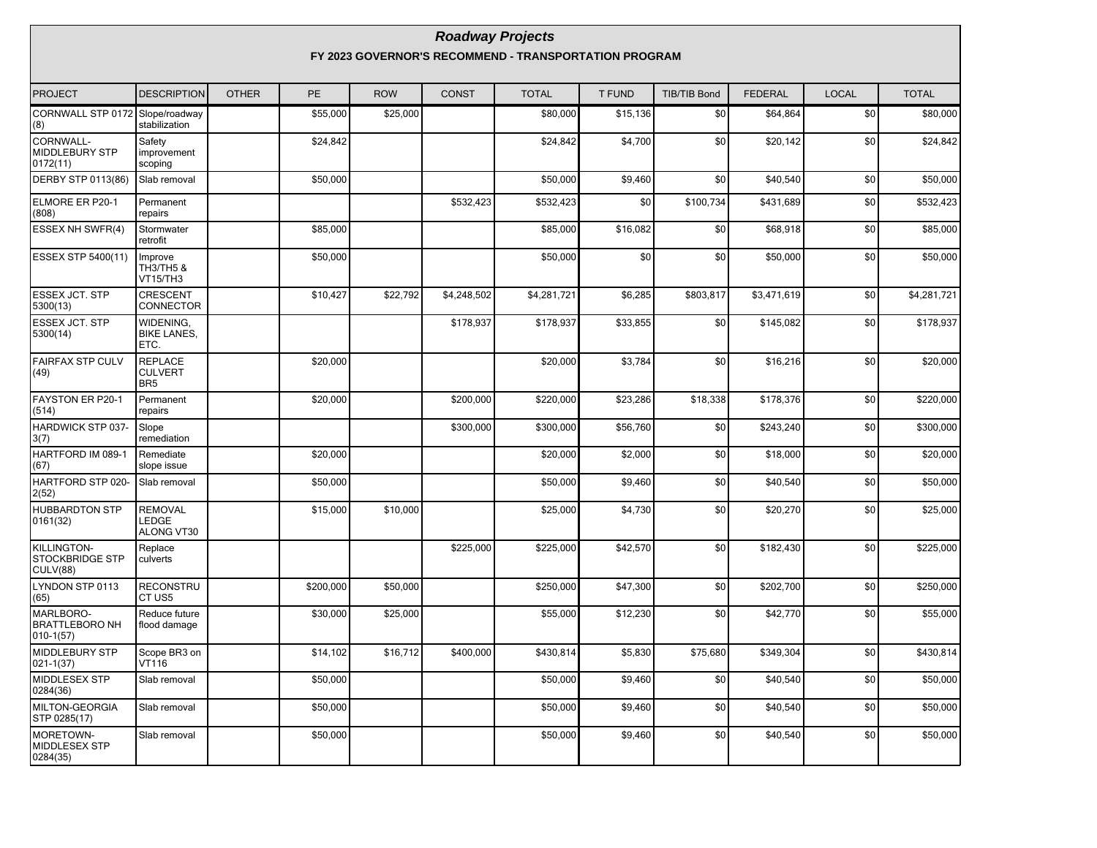#### **Roadway Projects FY 2023 GOVERNOR'S RECOMMEND - TRANSPORTATION PROGRAM**

| PROJECT                                                  | <b>DESCRIPTION</b>                                  | <b>OTHER</b> | <b>PE</b> | <b>ROW</b> | <b>CONST</b> | <b>TOTAL</b> | T FUND   | <b>TIB/TIB Bond</b> | <b>FEDERAL</b> | <b>LOCAL</b> | <b>TOTAL</b> |
|----------------------------------------------------------|-----------------------------------------------------|--------------|-----------|------------|--------------|--------------|----------|---------------------|----------------|--------------|--------------|
| CORNWALL STP 0172 Slope/roadway<br>(8)                   | stabilization                                       |              | \$55,000  | \$25,000   |              | \$80,000     | \$15,136 | \$0                 | \$64,864       | \$0          | \$80,000     |
| CORNWALL-<br><b>MIDDLEBURY STP</b><br>0172(11)           | Safety<br>improvement<br>scoping                    |              | \$24,842  |            |              | \$24,842     | \$4,700  | \$0                 | \$20,142       | \$0          | \$24,842     |
| DERBY STP 0113(86)                                       | Slab removal                                        |              | \$50,000  |            |              | \$50,000     | \$9,460  | \$0                 | \$40.540       | \$0          | \$50,000     |
| ELMORE ER P20-1<br>(808)                                 | Permanent<br>repairs                                |              |           |            | \$532,423    | \$532,423    | \$0      | \$100,734           | \$431,689      | \$0          | \$532,423    |
| <b>ESSEX NH SWFR(4)</b>                                  | Stormwater<br>retrofit                              |              | \$85,000  |            |              | \$85,000     | \$16,082 | \$0                 | \$68,918       | \$0          | \$85,000     |
| <b>ESSEX STP 5400(11)</b>                                | Improve<br>TH3/TH5 &<br><b>VT15/TH3</b>             |              | \$50,000  |            |              | \$50,000     | \$0      | \$0                 | \$50,000       | \$0          | \$50,000     |
| <b>ESSEX JCT. STP</b><br>5300(13)                        | <b>CRESCENT</b><br>CONNECTOR                        |              | \$10,427  | \$22,792   | \$4,248,502  | \$4,281,721  | \$6,285  | \$803,817           | \$3,471,619    | \$0          | \$4,281,721  |
| <b>ESSEX JCT. STP</b><br>5300(14)                        | WIDENING,<br><b>BIKE LANES,</b><br>ETC.             |              |           |            | \$178,937    | \$178,937    | \$33,855 | \$0                 | \$145,082      | \$0          | \$178,937    |
| <b>FAIRFAX STP CULV</b><br>(49)                          | <b>REPLACE</b><br><b>CULVERT</b><br>BR <sub>5</sub> |              | \$20,000  |            |              | \$20,000     | \$3,784  | \$0                 | \$16,216       | \$0          | \$20,000     |
| FAYSTON ER P20-1<br>(514)                                | Permanent<br>repairs                                |              | \$20,000  |            | \$200,000    | \$220,000    | \$23,286 | \$18,338            | \$178,376      | \$0          | \$220,000    |
| HARDWICK STP 037-<br>3(7)                                | Slope<br>remediation                                |              |           |            | \$300,000    | \$300,000    | \$56,760 | \$0                 | \$243,240      | \$0          | \$300,000    |
| HARTFORD IM 089-1<br>(67)                                | Remediate<br>slope issue                            |              | \$20,000  |            |              | \$20,000     | \$2,000  | \$0                 | \$18,000       | \$0          | \$20,000     |
| HARTFORD STP 020-<br>2(52)                               | Slab removal                                        |              | \$50,000  |            |              | \$50,000     | \$9,460  | \$0                 | \$40,540       | \$0          | \$50,000     |
| <b>HUBBARDTON STP</b><br>0161(32)                        | <b>REMOVAL</b><br>LEDGE<br>ALONG VT30               |              | \$15,000  | \$10,000   |              | \$25,000     | \$4,730  | \$0                 | \$20,270       | \$0          | \$25,000     |
| KILLINGTON-<br><b>STOCKBRIDGE STP</b><br><b>CULV(88)</b> | Replace<br>culverts                                 |              |           |            | \$225,000    | \$225,000    | \$42,570 | \$0                 | \$182,430      | \$0          | \$225,000    |
| LYNDON STP 0113<br>(65)                                  | <b>RECONSTRU</b><br>CT US5                          |              | \$200,000 | \$50,000   |              | \$250,000    | \$47,300 | \$0                 | \$202,700      | \$0          | \$250,000    |
| MARLBORO-<br><b>BRATTLEBORO NH</b><br>$ 010 - 1(57) $    | Reduce future<br>flood damage                       |              | \$30,000  | \$25,000   |              | \$55,000     | \$12,230 | \$0                 | \$42,770       | \$0          | \$55,000     |
| <b>MIDDLEBURY STP</b><br>$021 - 1(37)$                   | Scope BR3 on<br>VT116                               |              | \$14,102  | \$16,712   | \$400,000    | \$430,814    | \$5,830  | \$75,680            | \$349,304      | \$0          | \$430,814    |
| MIDDLESEX STP<br>0284(36)                                | Slab removal                                        |              | \$50,000  |            |              | \$50,000     | \$9,460  | \$0                 | \$40,540       | \$0          | \$50,000     |
| MILTON-GEORGIA<br>STP 0285(17)                           | Slab removal                                        |              | \$50,000  |            |              | \$50,000     | \$9,460  | \$0                 | \$40,540       | \$0          | \$50,000     |
| MORETOWN-<br>MIDDLESEX STP<br>0284(35)                   | Slab removal                                        |              | \$50,000  |            |              | \$50,000     | \$9,460  | \$0                 | \$40,540       | \$0          | \$50,000     |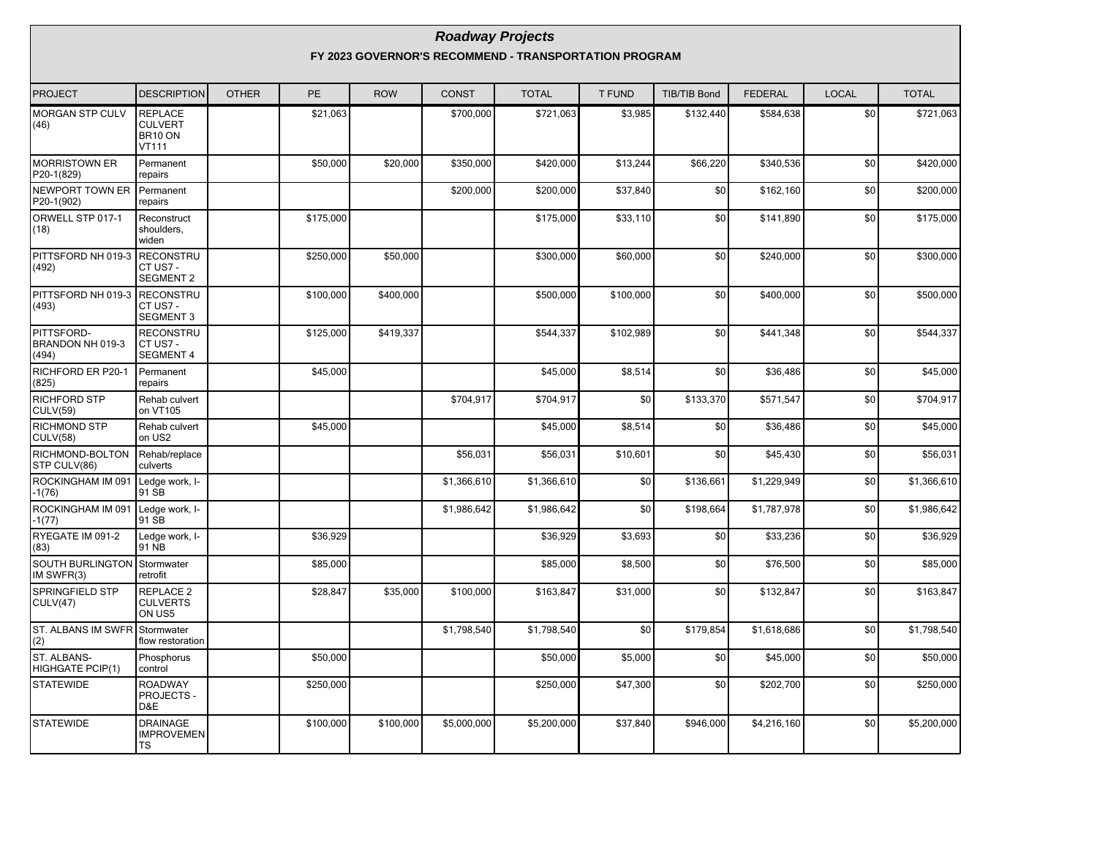#### **Roadway Projects FY 2023 GOVERNOR'S RECOMMEND - TRANSPORTATION PROGRAM**

| <b>PROJECT</b>                          | <b>DESCRIPTION</b>                                   | <b>OTHER</b> | PE        | <b>ROW</b> | <b>CONST</b> | <b>TOTAL</b> | <b>T FUND</b> | <b>TIB/TIB Bond</b> | <b>FEDERAL</b> | <b>LOCAL</b> | <b>TOTAL</b> |
|-----------------------------------------|------------------------------------------------------|--------------|-----------|------------|--------------|--------------|---------------|---------------------|----------------|--------------|--------------|
| MORGAN STP CULV<br>(46)                 | <b>REPLACE</b><br><b>CULVERT</b><br>BR10 ON<br>VT111 |              | \$21,063  |            | \$700,000    | \$721,063    | \$3,985       | \$132,440           | \$584,638      | \$0          | \$721,063    |
| <b>MORRISTOWN ER</b><br>P20-1(829)      | Permanent<br>repairs                                 |              | \$50,000  | \$20,000   | \$350,000    | \$420.000    | \$13,244      | \$66,220            | \$340.536      | \$0          | \$420,000    |
| NEWPORT TOWN ER<br>P20-1(902)           | Permanent<br>repairs                                 |              |           |            | \$200,000    | \$200,000    | \$37,840      | \$0                 | \$162,160      | \$0          | \$200,000    |
| ORWELL STP 017-1<br>(18)                | Reconstruct<br>shoulders,<br>widen                   |              | \$175,000 |            |              | \$175,000    | \$33,110      | \$0                 | \$141,890      | \$0          | \$175,000    |
| PITTSFORD NH 019-3<br>(492)             | <b>RECONSTRU</b><br>CT US7 -<br><b>SEGMENT 2</b>     |              | \$250,000 | \$50,000   |              | \$300,000    | \$60,000      | \$0                 | \$240,000      | \$0          | \$300,000    |
| PITTSFORD NH 019-3<br>(493)             | RECONSTRU<br>CT US7 -<br><b>SEGMENT 3</b>            |              | \$100,000 | \$400,000  |              | \$500,000    | \$100,000     | \$0                 | \$400,000      | \$0          | \$500,000    |
| PITTSFORD-<br>BRANDON NH 019-3<br>(494) | <b>RECONSTRU</b><br>CT US7 -<br><b>SEGMENT 4</b>     |              | \$125,000 | \$419,337  |              | \$544,337    | \$102,989     | \$0                 | \$441,348      | \$0          | \$544,337    |
| RICHFORD ER P20-1<br>(825)              | Permanent<br>repairs                                 |              | \$45,000  |            |              | \$45,000     | \$8,514       | \$0                 | \$36,486       | \$0          | \$45,000     |
| RICHFORD STP<br><b>CULV(59)</b>         | Rehab culvert<br>on VT105                            |              |           |            | \$704,917    | \$704,917    | \$0           | \$133,370           | \$571,547      | \$0          | \$704,917    |
| RICHMOND STP<br>CULV(58)                | Rehab culvert<br>on US2                              |              | \$45,000  |            |              | \$45,000     | \$8,514       | \$0                 | \$36,486       | \$0          | \$45,000     |
| RICHMOND-BOLTON<br>STP CULV(86)         | Rehab/replace<br>culverts                            |              |           |            | \$56,031     | \$56,031     | \$10,601      | \$0                 | \$45,430       | \$0          | \$56,031     |
| ROCKINGHAM IM 091<br>$-1(76)$           | Ledge work, I-<br>91 SB                              |              |           |            | \$1,366,610  | \$1,366,610  | \$0           | \$136,661           | \$1,229,949    | \$0          | \$1,366,610  |
| ROCKINGHAM IM 091<br>$-1(77)$           | Ledge work, I-<br>91 SB                              |              |           |            | \$1,986,642  | \$1,986,642  | \$0           | \$198,664           | \$1,787,978    | \$0          | \$1,986,642  |
| RYEGATE IM 091-2<br>(83)                | Ledge work, I-<br>91 NB                              |              | \$36,929  |            |              | \$36,929     | \$3,693       | \$0                 | \$33,236       | \$0          | \$36,929     |
| SOUTH BURLINGTON<br>IM SWFR(3)          | Stormwater<br>retrofit                               |              | \$85,000  |            |              | \$85,000     | \$8,500       | \$0                 | \$76,500       | \$0          | \$85,000     |
| <b>SPRINGFIELD STP</b><br>CULV(47)      | REPLACE 2<br><b>CULVERTS</b><br>ON US5               |              | \$28,847  | \$35,000   | \$100,000    | \$163,847    | \$31,000      | \$0                 | \$132,847      | \$0          | \$163,847    |
| ST. ALBANS IM SWFR<br>(2)               | Stormwater<br>flow restoration                       |              |           |            | \$1,798,540  | \$1,798,540  | \$0           | \$179,854           | \$1,618,686    | \$0          | \$1,798,540  |
| ST. ALBANS-<br><b>HIGHGATE PCIP(1)</b>  | Phosphorus<br>control                                |              | \$50,000  |            |              | \$50,000     | \$5,000       | \$0                 | \$45,000       | \$0          | \$50,000     |
| <b>STATEWIDE</b>                        | <b>ROADWAY</b><br>PROJECTS -<br>D&E                  |              | \$250,000 |            |              | \$250,000    | \$47,300      | \$0                 | \$202,700      | \$0          | \$250,000    |
| <b>STATEWIDE</b>                        | <b>DRAINAGE</b><br><b>IMPROVEMEN</b><br>TS           |              | \$100,000 | \$100,000  | \$5,000,000  | \$5,200,000  | \$37,840      | \$946,000           | \$4,216,160    | \$0          | \$5,200,000  |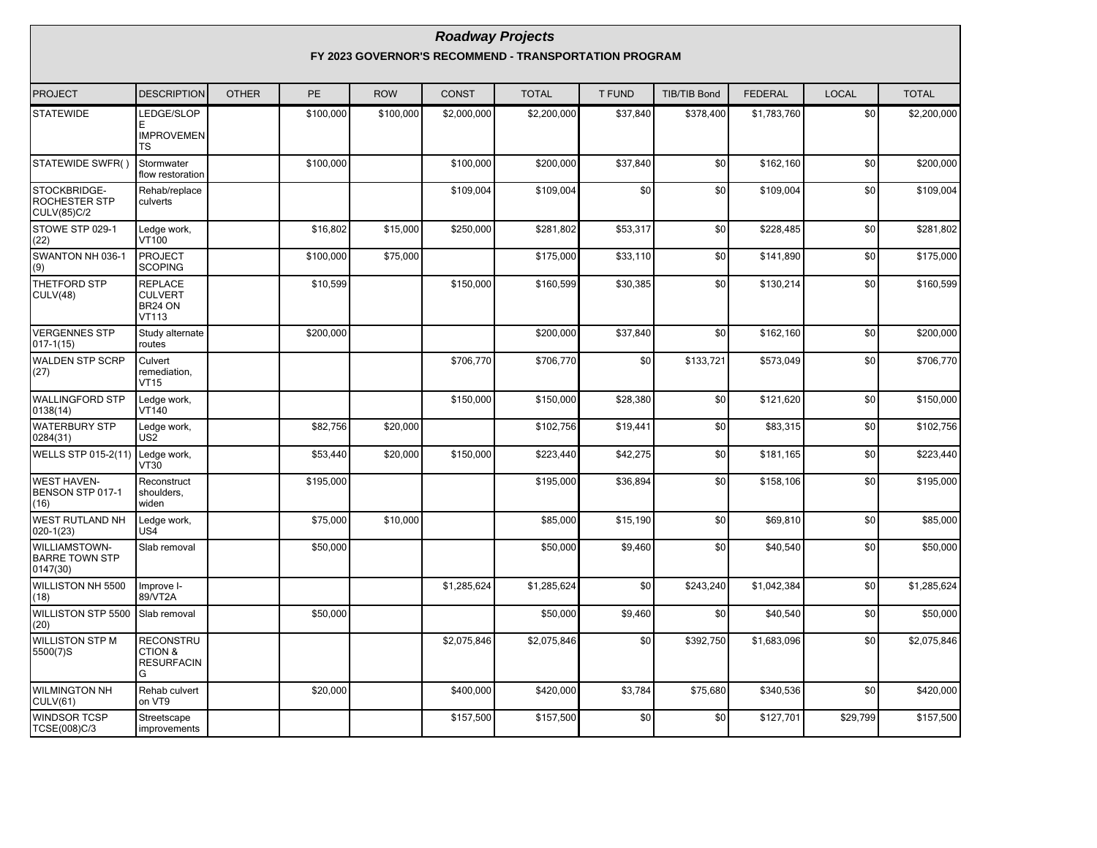|                                                    |                                                             |              |           |            | <b>Roadway Projects</b> |                                                       |          |              |                |              |              |
|----------------------------------------------------|-------------------------------------------------------------|--------------|-----------|------------|-------------------------|-------------------------------------------------------|----------|--------------|----------------|--------------|--------------|
|                                                    |                                                             |              |           |            |                         | FY 2023 GOVERNOR'S RECOMMEND - TRANSPORTATION PROGRAM |          |              |                |              |              |
| <b>PROJECT</b>                                     | <b>DESCRIPTION</b>                                          | <b>OTHER</b> | <b>PE</b> | <b>ROW</b> | <b>CONST</b>            | <b>TOTAL</b>                                          | T FUND   | TIB/TIB Bond | <b>FEDERAL</b> | <b>LOCAL</b> | <b>TOTAL</b> |
| <b>STATEWIDE</b>                                   | <b>EDGE/SLOP</b><br><b>IMPROVEMEN</b><br>TS                 |              | \$100,000 | \$100,000  | \$2,000,000             | \$2,200,000                                           | \$37,840 | \$378,400    | \$1,783,760    | \$0          | \$2,200,000  |
| STATEWIDE SWFR()                                   | Stormwater<br>flow restoration                              |              | \$100,000 |            | \$100,000               | \$200,000                                             | \$37,840 | \$0          | \$162,160      | \$0          | \$200,000    |
| STOCKBRIDGE-<br>ROCHESTER STP<br>CULV(85)C/2       | Rehab/replace<br>culverts                                   |              |           |            | \$109,004               | \$109,004                                             | \$0      | \$0          | \$109,004      | \$0          | \$109,004    |
| STOWE STP 029-1<br>(22)                            | Ledge work,<br>VT100                                        |              | \$16,802  | \$15,000   | \$250,000               | \$281,802                                             | \$53,317 | \$0          | \$228,485      | \$0          | \$281,802    |
| SWANTON NH 036-1<br>(9)                            | <b>PROJECT</b><br><b>SCOPING</b>                            |              | \$100,000 | \$75,000   |                         | \$175,000                                             | \$33,110 | \$0          | \$141,890      | \$0          | \$175,000    |
| THETFORD STP<br><b>CULV(48)</b>                    | <b>REPLACE</b><br><b>CULVERT</b><br>BR24 ON<br><b>VT113</b> |              | \$10,599  |            | \$150,000               | \$160,599                                             | \$30,385 | \$0          | \$130,214      | \$0          | \$160,599    |
| <b>VERGENNES STP</b><br>017-1(15)                  | Study alternate<br>routes                                   |              | \$200,000 |            |                         | \$200,000                                             | \$37,840 | \$0          | \$162,160      | \$0          | \$200,000    |
| <b>WALDEN STP SCRP</b><br>(27)                     | Culvert<br>remediation,<br><b>VT15</b>                      |              |           |            | \$706,770               | \$706,770                                             | \$0      | \$133,721    | \$573,049      | \$0          | \$706,770    |
| WALLINGFORD STP<br>0138(14)                        | Ledge work,<br>VT140                                        |              |           |            | \$150,000               | \$150,000                                             | \$28,380 | \$0          | \$121,620      | \$0          | \$150,000    |
| <b>WATERBURY STP</b><br>0284(31)                   | Ledge work,<br>US2                                          |              | \$82,756  | \$20,000   |                         | \$102,756                                             | \$19,441 | \$0          | \$83,315       | \$0          | \$102,756    |
| WELLS STP 015-2(11)                                | Ledge work,<br>VT30                                         |              | \$53,440  | \$20,000   | \$150,000               | \$223,440                                             | \$42,275 | \$0          | \$181,165      | \$0          | \$223,440    |
| <b>WEST HAVEN-</b><br>BENSON STP 017-1<br>(16)     | Reconstruct<br>shoulders,<br>widen                          |              | \$195,000 |            |                         | \$195,000                                             | \$36,894 | \$0          | \$158,106      | \$0          | \$195,000    |
| WEST RUTLAND NH<br>020-1(23)                       | Ledge work,<br>US4                                          |              | \$75,000  | \$10,000   |                         | \$85,000                                              | \$15,190 | \$0          | \$69,810       | \$0          | \$85,000     |
| WILLIAMSTOWN-<br><b>BARRE TOWN STP</b><br>0147(30) | Slab removal                                                |              | \$50,000  |            |                         | \$50,000                                              | \$9,460  | \$0          | \$40,540       | \$0          | \$50,000     |
| WILLISTON NH 5500<br>(18)                          | Improve I-<br>89/VT2A                                       |              |           |            | \$1,285,624             | \$1,285,624                                           | \$0      | \$243,240    | \$1,042,384    | \$0          | \$1,285,624  |
| WILLISTON STP 5500<br>(20)                         | Slab removal                                                |              | \$50,000  |            |                         | \$50,000                                              | \$9,460  | \$0          | \$40,540       | \$0          | \$50,000     |
| <b>WILLISTON STP M</b><br>5500(7)S                 | RECONSTRU<br>CTION &<br><b>RESURFACIN</b><br>G              |              |           |            | \$2,075,846             | \$2,075,846                                           | \$0      | \$392,750    | \$1,683,096    | \$0          | \$2,075,846  |
| WILMINGTON NH<br>CULV(61)                          | Rehab culvert<br>on VT9                                     |              | \$20,000  |            | \$400,000               | \$420,000                                             | \$3,784  | \$75,680     | \$340,536      | \$0          | \$420,000    |
| WINDSOR TCSP<br>TCSE(008)C/3                       | Streetscape<br>improvements                                 |              |           |            | \$157,500               | \$157,500                                             | \$0      | \$0          | \$127,701      | \$29,799     | \$157,500    |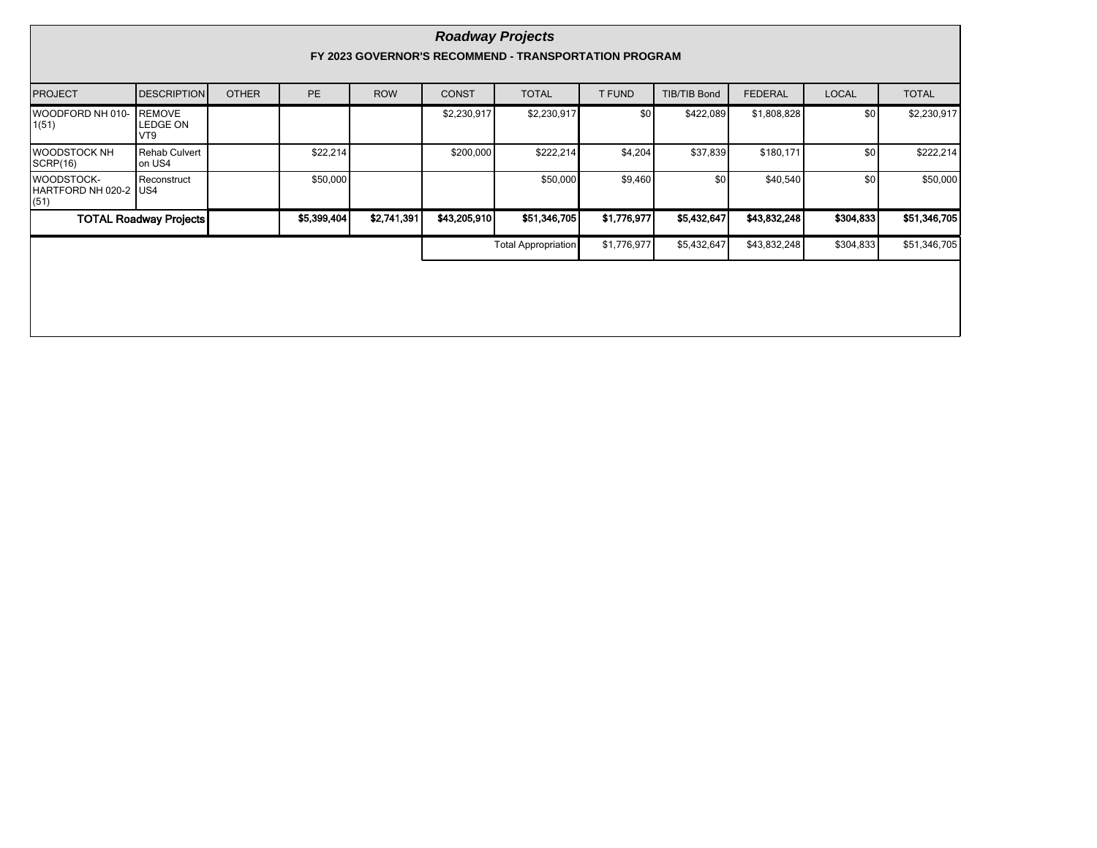|                                              | <b>Roadway Projects</b><br>FY 2023 GOVERNOR'S RECOMMEND - TRANSPORTATION PROGRAM |              |             |             |              |                            |                  |                     |                |              |              |  |  |  |
|----------------------------------------------|----------------------------------------------------------------------------------|--------------|-------------|-------------|--------------|----------------------------|------------------|---------------------|----------------|--------------|--------------|--|--|--|
| <b>PROJECT</b>                               | <b>DESCRIPTION</b>                                                               | <b>OTHER</b> | <b>PE</b>   | <b>ROW</b>  | <b>CONST</b> | <b>TOTAL</b>               | <b>T FUND</b>    | <b>TIB/TIB Bond</b> | <b>FEDERAL</b> | <b>LOCAL</b> | <b>TOTAL</b> |  |  |  |
| WOODFORD NH 010-<br>1(51)                    | <b>REMOVE</b><br>LEDGE ON<br>VT9                                                 |              |             |             | \$2,230,917  | \$2,230,917                | \$0 <sub>1</sub> | \$422,089           | \$1,808,828    | \$0          | \$2,230,917  |  |  |  |
| IWOODSTOCK NH<br> SCRP(16)                   | Rehab Culvert<br>on US4                                                          |              | \$22,214    |             | \$200,000    | \$222,214                  | \$4,204          | \$37,839            | \$180,171      | \$0          | \$222,214    |  |  |  |
| WOODSTOCK-<br>HARTFORD NH 020-2 IUS4<br>(51) | Reconstruct                                                                      |              | \$50,000    |             |              | \$50,000                   | \$9,460          | \$0                 | \$40,540       | \$0          | \$50,000     |  |  |  |
|                                              | <b>TOTAL Roadway Projects</b>                                                    |              | \$5,399,404 | \$2,741,391 | \$43,205.910 | \$51,346,705               | \$1,776,977      | \$5,432,647         | \$43,832,248   | \$304,833    | \$51,346,705 |  |  |  |
|                                              |                                                                                  |              |             |             |              | <b>Total Appropriation</b> | \$1,776,977      | \$5,432,647         | \$43,832,248   | \$304,833    | \$51,346,705 |  |  |  |
|                                              |                                                                                  |              |             |             |              |                            |                  |                     |                |              |              |  |  |  |
|                                              |                                                                                  |              |             |             |              |                            |                  |                     |                |              |              |  |  |  |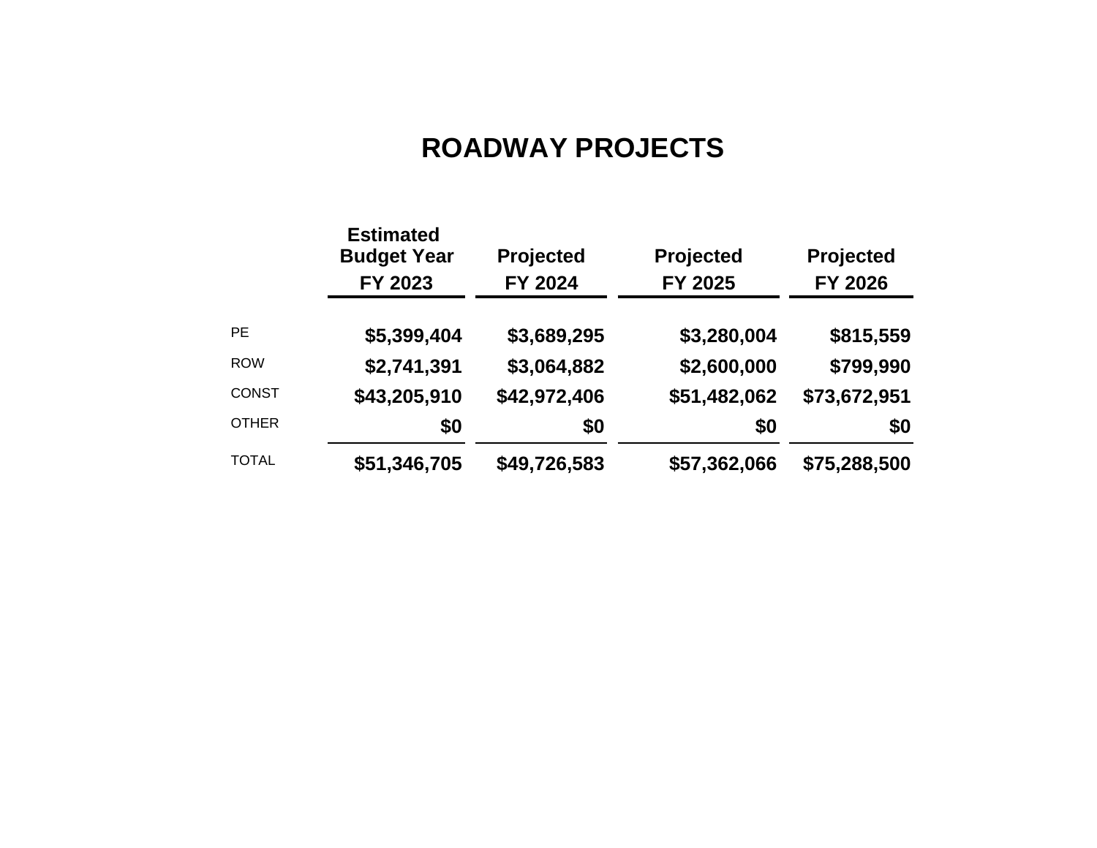# **ROADWAY PROJECTS**

|              | <b>Estimated</b><br><b>Budget Year</b><br>FY 2023 | Projected<br>FY 2024 | <b>Projected</b><br>FY 2025 | Projected<br>FY 2026 |
|--------------|---------------------------------------------------|----------------------|-----------------------------|----------------------|
| <b>PE</b>    | \$5,399,404                                       | \$3,689,295          | \$3,280,004                 | \$815,559            |
| <b>ROW</b>   | \$2,741,391                                       | \$3,064,882          | \$2,600,000                 | \$799,990            |
| <b>CONST</b> | \$43,205,910                                      | \$42,972,406         | \$51,482,062                | \$73,672,951         |
| <b>OTHER</b> | \$0                                               | \$0                  | \$0                         | \$0                  |
| <b>TOTAL</b> | \$51,346,705                                      | \$49,726,583         | \$57,362,066                | \$75,288,500         |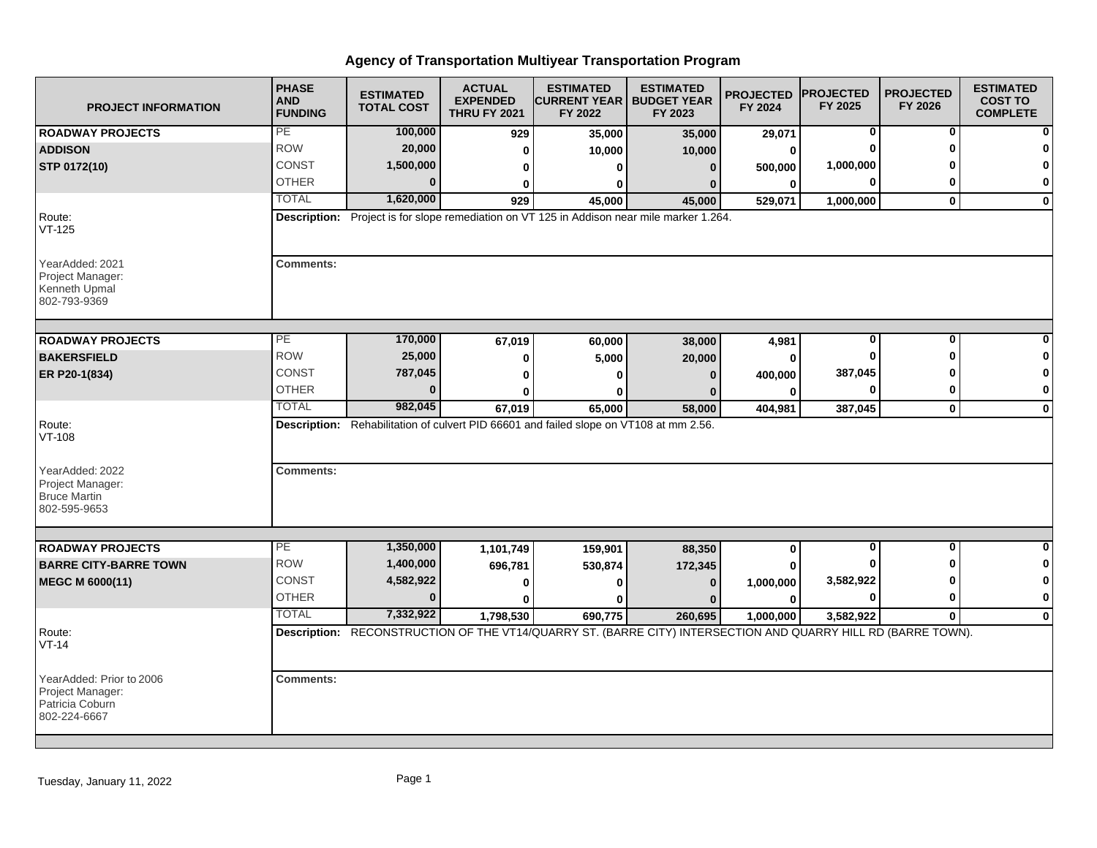| <b>PROJECT INFORMATION</b>                                                      | <b>PHASE</b><br><b>AND</b><br><b>FUNDING</b> | <b>ESTIMATED</b><br><b>TOTAL COST</b>                                                                         | <b>ACTUAL</b><br><b>EXPENDED</b><br><b>THRU FY 2021</b> | <b>ESTIMATED</b><br><b>CURRENT YEAR   BUDGET YEAR</b><br>FY 2022 | <b>ESTIMATED</b><br>FY 2023 | <b>PROJECTED</b><br>FY 2024 | <b>PROJECTED</b><br>FY 2025 | <b>PROJECTED</b><br>FY 2026 | <b>ESTIMATED</b><br><b>COST TO</b><br><b>COMPLETE</b> |
|---------------------------------------------------------------------------------|----------------------------------------------|---------------------------------------------------------------------------------------------------------------|---------------------------------------------------------|------------------------------------------------------------------|-----------------------------|-----------------------------|-----------------------------|-----------------------------|-------------------------------------------------------|
| <b>ROADWAY PROJECTS</b>                                                         | PE                                           | 100,000                                                                                                       | 929                                                     | 35,000                                                           | 35,000                      | 29,071                      | 0                           | 0                           |                                                       |
| <b>ADDISON</b>                                                                  | <b>ROW</b>                                   | 20,000                                                                                                        | 0                                                       | 10,000                                                           | 10,000                      | 0                           |                             | ŋ                           |                                                       |
| STP 0172(10)                                                                    | CONST                                        | 1,500,000                                                                                                     | 0                                                       | ŋ                                                                | $\Omega$                    | 500,000                     | 1,000,000                   |                             |                                                       |
|                                                                                 | <b>OTHER</b>                                 | $\mathbf{0}$                                                                                                  | 0                                                       | 0                                                                | 0                           | 0                           | $\bf{0}$                    | 0                           | 0                                                     |
|                                                                                 | <b>TOTAL</b>                                 | 1,620,000                                                                                                     | 929                                                     | 45,000                                                           | 45,000                      | 529,071                     | 1,000,000                   | $\mathbf{0}$                | $\bf{0}$                                              |
| Route:<br>$VT-125$                                                              |                                              | Description: Project is for slope remediation on VT 125 in Addison near mile marker 1.264.                    |                                                         |                                                                  |                             |                             |                             |                             |                                                       |
| YearAdded: 2021<br>Project Manager:<br>Kenneth Upmal<br>802-793-9369            | <b>Comments:</b>                             |                                                                                                               |                                                         |                                                                  |                             |                             |                             |                             |                                                       |
| <b>ROADWAY PROJECTS</b>                                                         | PE                                           | 170,000                                                                                                       |                                                         |                                                                  |                             |                             | $\bf{0}$                    | $\overline{0}$              | O                                                     |
| <b>BAKERSFIELD</b>                                                              | <b>ROW</b>                                   | 25,000                                                                                                        | 67,019                                                  | 60,000<br>5,000                                                  | 38,000<br>20,000            | 4,981<br>ŋ                  |                             | ŋ                           |                                                       |
| ER P20-1(834)                                                                   | <b>CONST</b>                                 | 787,045                                                                                                       | 0                                                       |                                                                  |                             | 400,000                     | 387,045                     |                             |                                                       |
|                                                                                 | <b>OTHER</b>                                 | n                                                                                                             | 0                                                       | 0                                                                | 0                           | O                           |                             | 0                           | 0                                                     |
|                                                                                 | <b>TOTAL</b>                                 | 982,045                                                                                                       | 0<br>67,019                                             | o<br>65,000                                                      | 0<br>58,000                 | 404,981                     | 387,045                     | $\mathbf{0}$                | $\mathbf 0$                                           |
| Route:<br>VT-108<br>YearAdded: 2022                                             | <b>Comments:</b>                             | Description: Rehabilitation of culvert PID 66601 and failed slope on VT108 at mm 2.56.                        |                                                         |                                                                  |                             |                             |                             |                             |                                                       |
| Project Manager:<br><b>Bruce Martin</b><br>802-595-9653                         |                                              |                                                                                                               |                                                         |                                                                  |                             |                             |                             |                             |                                                       |
| <b>ROADWAY PROJECTS</b>                                                         | PE                                           | 1,350,000                                                                                                     | 1,101,749                                               | 159,901                                                          | 88,350                      | 0                           | $\overline{0}$              | $\overline{0}$              | $\Omega$                                              |
| <b>BARRE CITY-BARRE TOWN</b>                                                    | <b>ROW</b>                                   | 1,400,000                                                                                                     | 696,781                                                 | 530,874                                                          | 172,345                     |                             |                             |                             | $\mathbf{0}$                                          |
| MEGC M 6000(11)                                                                 | <b>CONST</b>                                 | 4,582,922                                                                                                     | 0                                                       | 0                                                                | $\bf{0}$                    | 1,000,000                   | 3,582,922                   |                             | $\mathbf 0$                                           |
|                                                                                 | <b>OTHER</b>                                 | $\bf{0}$                                                                                                      |                                                         |                                                                  |                             | O                           | ŋ                           | 0                           | $\bf{0}$                                              |
|                                                                                 | <b>TOTAL</b>                                 | 7,332,922                                                                                                     | 1,798,530                                               | 690,775                                                          | 260,695                     | 1,000,000                   | 3,582,922                   | $\mathbf{0}$                | $\mathbf 0$                                           |
| Route:<br>$VT-14$                                                               |                                              | Description: RECONSTRUCTION OF THE VT14/QUARRY ST. (BARRE CITY) INTERSECTION AND QUARRY HILL RD (BARRE TOWN). |                                                         |                                                                  |                             |                             |                             |                             |                                                       |
| YearAdded: Prior to 2006<br>Project Manager:<br>Patricia Coburn<br>802-224-6667 | <b>Comments:</b>                             |                                                                                                               |                                                         |                                                                  |                             |                             |                             |                             |                                                       |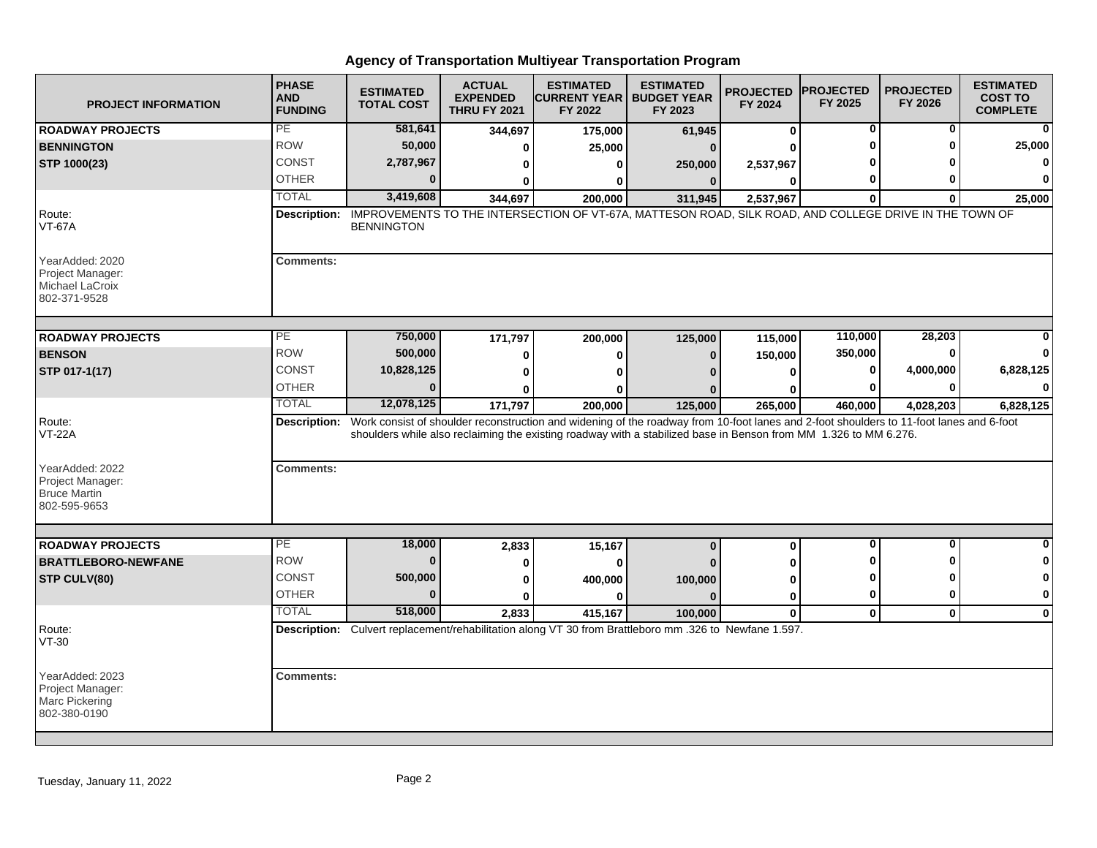| <b>PROJECT INFORMATION</b>                                             | <b>PHASE</b><br><b>AND</b><br><b>FUNDING</b> | <b>ESTIMATED</b><br><b>TOTAL COST</b> | <b>ACTUAL</b><br><b>EXPENDED</b><br><b>THRU FY 2021</b> | <b>ESTIMATED</b><br> CURRENT YEAR   BUDGET YEAR<br>FY 2022                                                                                                                                                                                                               | <b>ESTIMATED</b><br>FY 2023 | <b>PROJECTED</b><br>FY 2024 | <b>PROJECTED</b><br>FY 2025 | <b>PROJECTED</b><br>FY 2026 | <b>ESTIMATED</b><br><b>COST TO</b><br><b>COMPLETE</b> |
|------------------------------------------------------------------------|----------------------------------------------|---------------------------------------|---------------------------------------------------------|--------------------------------------------------------------------------------------------------------------------------------------------------------------------------------------------------------------------------------------------------------------------------|-----------------------------|-----------------------------|-----------------------------|-----------------------------|-------------------------------------------------------|
| <b>ROADWAY PROJECTS</b>                                                | PE                                           | 581,641                               | 344,697                                                 | 175,000                                                                                                                                                                                                                                                                  | 61,945                      | 0                           | 0                           | 0                           | 0                                                     |
| <b>BENNINGTON</b>                                                      | <b>ROW</b>                                   | 50,000                                | O                                                       | 25,000                                                                                                                                                                                                                                                                   | $\Omega$                    |                             |                             | ŋ                           | 25,000                                                |
| STP 1000(23)                                                           | <b>CONST</b>                                 | 2,787,967                             | 0                                                       | 0                                                                                                                                                                                                                                                                        | 250,000                     | 2,537,967                   |                             |                             |                                                       |
|                                                                        | <b>OTHER</b>                                 | $\bf{0}$                              | 0                                                       | 0                                                                                                                                                                                                                                                                        | $\bf{0}$                    | 0                           |                             |                             | $\Omega$                                              |
|                                                                        | <b>TOTAL</b>                                 | 3,419,608                             | 344,697                                                 | 200,000                                                                                                                                                                                                                                                                  | 311,945                     | 2,537,967                   | $\Omega$                    | O                           | 25,000                                                |
| Route:<br><b>VT-67A</b>                                                | Description:                                 | <b>BENNINGTON</b>                     |                                                         | IMPROVEMENTS TO THE INTERSECTION OF VT-67A, MATTESON ROAD, SILK ROAD, AND COLLEGE DRIVE IN THE TOWN OF                                                                                                                                                                   |                             |                             |                             |                             |                                                       |
| YearAdded: 2020<br>Project Manager:<br>Michael LaCroix<br>802-371-9528 | <b>Comments:</b>                             |                                       |                                                         |                                                                                                                                                                                                                                                                          |                             |                             |                             |                             |                                                       |
| <b>ROADWAY PROJECTS</b>                                                | PE                                           | 750,000                               | 171,797                                                 | 200,000                                                                                                                                                                                                                                                                  | 125,000                     | 115,000                     | 110,000                     | 28,203                      |                                                       |
| <b>BENSON</b>                                                          | <b>ROW</b>                                   | 500,000                               | 0                                                       | 0                                                                                                                                                                                                                                                                        | $\bf{0}$                    | 150,000                     | 350,000                     | O                           |                                                       |
| STP 017-1(17)                                                          | <b>CONST</b>                                 | 10,828,125                            | $\bf{0}$                                                | O                                                                                                                                                                                                                                                                        |                             | $\bf{0}$                    | 0                           | 4,000,000                   | 6,828,125                                             |
|                                                                        | <b>OTHER</b>                                 | $\Omega$                              | ŋ                                                       | Λ                                                                                                                                                                                                                                                                        |                             | ŋ                           | n                           | O                           |                                                       |
|                                                                        | <b>TOTAL</b>                                 | 12,078,125                            | 171,797                                                 | 200,000                                                                                                                                                                                                                                                                  | 125,000                     | 265,000                     | 460,000                     | 4,028,203                   | 6,828,125                                             |
| Route:<br><b>VT-22A</b><br>YearAdded: 2022                             | <b>Comments:</b>                             |                                       |                                                         | Description: Work consist of shoulder reconstruction and widening of the roadway from 10-foot lanes and 2-foot shoulders to 11-foot lanes and 6-foot<br>shoulders while also reclaiming the existing roadway with a stabilized base in Benson from MM 1.326 to MM 6.276. |                             |                             |                             |                             |                                                       |
| Project Manager:<br><b>Bruce Martin</b><br>802-595-9653                |                                              |                                       |                                                         |                                                                                                                                                                                                                                                                          |                             |                             |                             |                             |                                                       |
| <b>ROADWAY PROJECTS</b>                                                | PE                                           | 18,000                                | 2,833                                                   | 15,167                                                                                                                                                                                                                                                                   | $\bf{0}$                    | 0                           | $\bf{0}$                    | O                           | <sup>0</sup>                                          |
| <b>BRATTLEBORO-NEWFANE</b>                                             | <b>ROW</b>                                   | $\bf{0}$                              | 0                                                       | 0                                                                                                                                                                                                                                                                        |                             |                             |                             | ŋ                           | 0                                                     |
| STP CULV(80)                                                           | <b>CONST</b>                                 | 500,000                               | 0                                                       | 400,000                                                                                                                                                                                                                                                                  | 100,000                     | U                           |                             | ŋ                           | 0                                                     |
|                                                                        | <b>OTHER</b>                                 | $\bf{0}$                              | $\mathbf{0}$                                            | $\bf{0}$                                                                                                                                                                                                                                                                 | $\Omega$                    | $\bf{0}$                    | 0                           | $\mathbf{0}$                | 0                                                     |
|                                                                        | <b>TOTAL</b>                                 | 518,000                               | 2,833                                                   | 415,167                                                                                                                                                                                                                                                                  | 100,000                     | $\mathbf 0$                 | $\mathbf 0$                 | $\mathbf 0$                 | 0                                                     |
| Route:<br>VT-30                                                        |                                              |                                       |                                                         | Description: Culvert replacement/rehabilitation along VT 30 from Brattleboro mm .326 to Newfane 1.597.                                                                                                                                                                   |                             |                             |                             |                             |                                                       |
| YearAdded: 2023<br>Project Manager:<br>Marc Pickering<br>802-380-0190  | <b>Comments:</b>                             |                                       |                                                         |                                                                                                                                                                                                                                                                          |                             |                             |                             |                             |                                                       |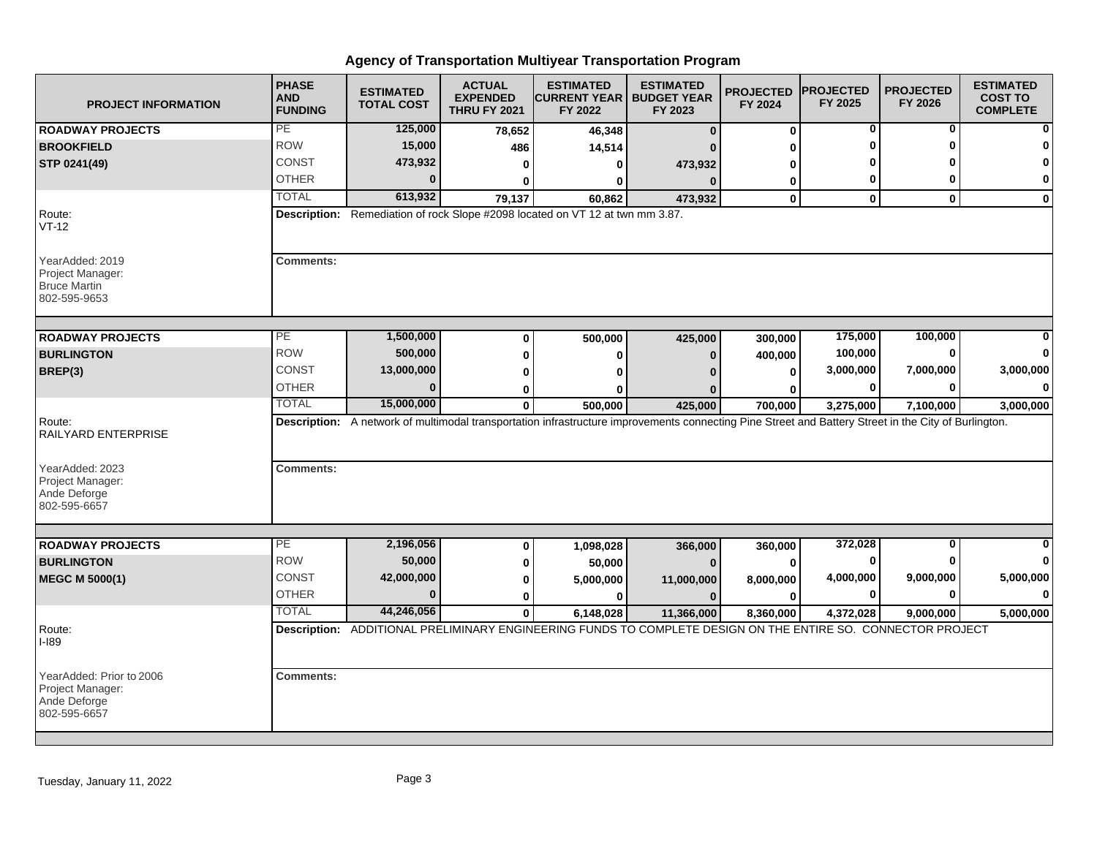| <b>PROJECT INFORMATION</b>                                                   | <b>PHASE</b><br><b>AND</b><br><b>FUNDING</b> | <b>ESTIMATED</b><br><b>TOTAL COST</b>                                                                                                                | <b>ACTUAL</b><br><b>EXPENDED</b><br><b>THRU FY 2021</b> | <b>ESTIMATED</b><br><b>ICURRENT YEAR   BUDGET YEAR</b><br>FY 2022 | <b>ESTIMATED</b><br>FY 2023 | <b>PROJECTED</b><br>FY 2024 | <b>PROJECTED</b><br>FY 2025 | <b>PROJECTED</b><br>FY 2026 | <b>ESTIMATED</b><br><b>COST TO</b><br><b>COMPLETE</b> |
|------------------------------------------------------------------------------|----------------------------------------------|------------------------------------------------------------------------------------------------------------------------------------------------------|---------------------------------------------------------|-------------------------------------------------------------------|-----------------------------|-----------------------------|-----------------------------|-----------------------------|-------------------------------------------------------|
| <b>ROADWAY PROJECTS</b>                                                      | PE                                           | 125,000                                                                                                                                              | 78,652                                                  | 46,348                                                            | $\Omega$                    | $\mathbf 0$                 | 0                           | 0                           |                                                       |
| <b>BROOKFIELD</b>                                                            | <b>ROW</b>                                   | 15,000                                                                                                                                               | 486                                                     | 14,514                                                            |                             | U                           | O                           | ŋ                           |                                                       |
| STP 0241(49)                                                                 | <b>CONST</b>                                 | 473,932                                                                                                                                              | 0                                                       | 0                                                                 | 473,932                     | ŋ                           |                             |                             |                                                       |
|                                                                              | <b>OTHER</b>                                 | $\Omega$                                                                                                                                             | ŋ                                                       | 0                                                                 | $\Omega$                    | 0                           | 0                           | O                           | 0                                                     |
|                                                                              | <b>TOTAL</b>                                 | 613,932                                                                                                                                              | 79,137                                                  | 60,862                                                            | 473,932                     | $\mathbf 0$                 | $\mathbf{0}$                | $\mathbf{0}$                | $\mathbf 0$                                           |
| Route:<br>$VT-12$                                                            |                                              | Description: Remediation of rock Slope #2098 located on VT 12 at twn mm 3.87.                                                                        |                                                         |                                                                   |                             |                             |                             |                             |                                                       |
| YearAdded: 2019<br>Project Manager:<br><b>Bruce Martin</b><br>802-595-9653   | <b>Comments:</b>                             |                                                                                                                                                      |                                                         |                                                                   |                             |                             |                             |                             |                                                       |
| <b>ROADWAY PROJECTS</b>                                                      | PE                                           | 1,500,000                                                                                                                                            | $\bf{0}$                                                |                                                                   | 425,000                     |                             | 175,000                     | 100,000                     |                                                       |
| <b>BURLINGTON</b>                                                            | <b>ROW</b>                                   | 500,000                                                                                                                                              | $\bf{0}$                                                | 500,000<br>$\bf{0}$                                               | $\Omega$                    | 300,000<br>400,000          | 100,000                     | $\bf{0}$                    |                                                       |
| BREP(3)                                                                      | <b>CONST</b>                                 | 13,000,000                                                                                                                                           | 0                                                       | U                                                                 |                             | $\bf{0}$                    | 3,000,000                   | 7,000,000                   | 3,000,000                                             |
|                                                                              | <b>OTHER</b>                                 | 0                                                                                                                                                    | $\bf{0}$                                                | ŋ                                                                 |                             | 0                           | 0                           | 0                           | O                                                     |
|                                                                              | <b>TOTAL</b>                                 | 15,000,000                                                                                                                                           | $\mathbf{0}$                                            | 500,000                                                           | 425,000                     | 700,000                     | 3,275,000                   | 7,100,000                   | 3,000,000                                             |
| Route:<br><b>RAILYARD ENTERPRISE</b><br>YearAdded: 2023<br>Project Manager:  | <b>Comments:</b>                             | Description: A network of multimodal transportation infrastructure improvements connecting Pine Street and Battery Street in the City of Burlington. |                                                         |                                                                   |                             |                             |                             |                             |                                                       |
| Ande Deforge<br>802-595-6657                                                 |                                              |                                                                                                                                                      |                                                         |                                                                   |                             |                             |                             |                             |                                                       |
| <b>ROADWAY PROJECTS</b>                                                      | PE                                           | 2,196,056                                                                                                                                            | 0                                                       | 1,098,028                                                         | 366,000                     | 360,000                     | 372,028                     | 0                           |                                                       |
| <b>BURLINGTON</b>                                                            | <b>ROW</b>                                   | 50,000                                                                                                                                               | 0                                                       | 50,000                                                            | $\Omega$                    | $\Omega$                    | 0                           | 0                           | 0                                                     |
| <b>MEGC M 5000(1)</b>                                                        | <b>CONST</b>                                 | 42,000,000                                                                                                                                           | 0                                                       | 5,000,000                                                         | 11,000,000                  | 8,000,000                   | 4,000,000                   | 9,000,000                   | 5,000,000                                             |
|                                                                              | <b>OTHER</b>                                 | $\Omega$                                                                                                                                             | 0                                                       | $\bf{0}$                                                          | $\Omega$                    | $\bf{0}$                    | 0                           | $\bf{0}$                    | $\Omega$                                              |
|                                                                              | <b>TOTAL</b>                                 | 44,246,056                                                                                                                                           | $\mathbf 0$                                             | 6,148,028                                                         | 11,366,000                  | 8,360,000                   | 4,372,028                   | 9,000,000                   | 5,000,000                                             |
| Route:<br>I-189                                                              |                                              | Description: ADDITIONAL PRELIMINARY ENGINEERING FUNDS TO COMPLETE DESIGN ON THE ENTIRE SO. CONNECTOR PROJECT                                         |                                                         |                                                                   |                             |                             |                             |                             |                                                       |
| YearAdded: Prior to 2006<br>Project Manager:<br>Ande Deforge<br>802-595-6657 | <b>Comments:</b>                             |                                                                                                                                                      |                                                         |                                                                   |                             |                             |                             |                             |                                                       |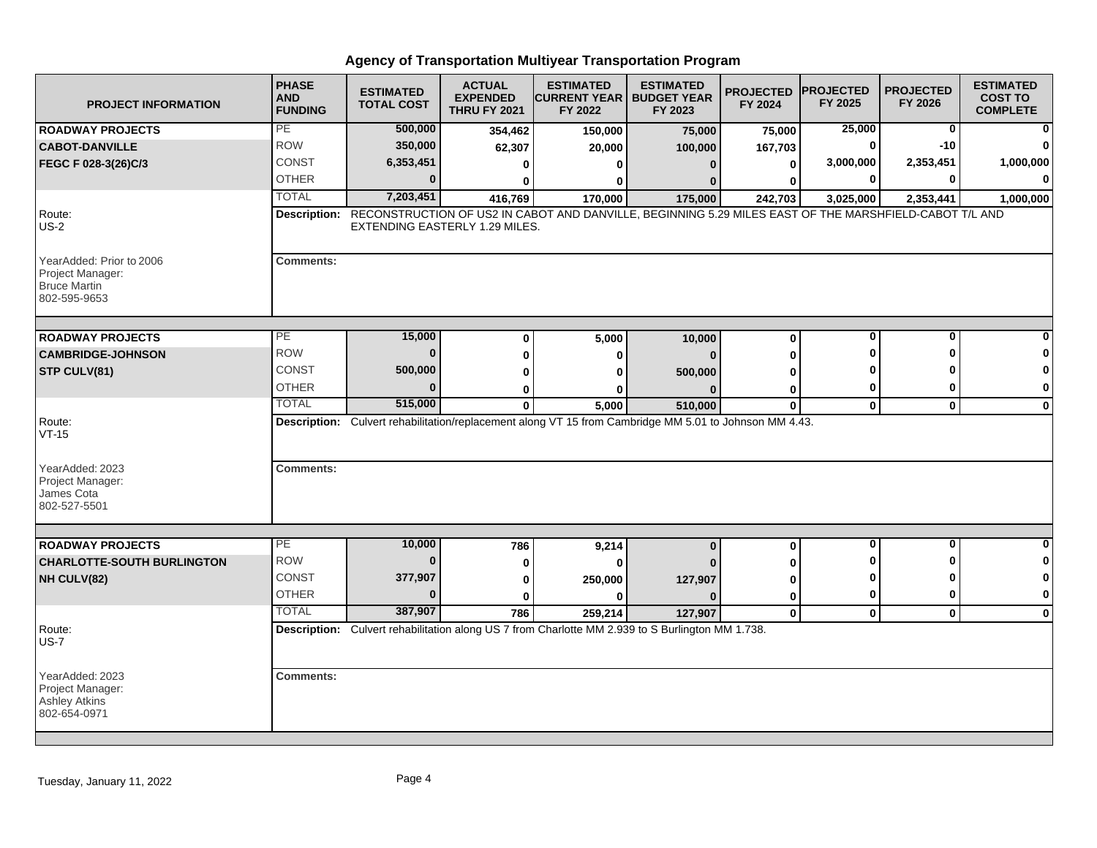| <b>PROJECT INFORMATION</b>                                                          | <b>PHASE</b><br><b>AND</b><br><b>FUNDING</b> | <b>ESTIMATED</b><br><b>TOTAL COST</b> | <b>ACTUAL</b><br><b>EXPENDED</b><br><b>THRU FY 2021</b> | <b>ESTIMATED</b><br><b>CURRENT YEAR   BUDGET YEAR</b><br>FY 2022                                            | <b>ESTIMATED</b><br>FY 2023 | <b>PROJECTED</b><br>FY 2024 | <b>PROJECTED</b><br>FY 2025 | <b>PROJECTED</b><br>FY 2026 | <b>ESTIMATED</b><br><b>COST TO</b><br><b>COMPLETE</b> |
|-------------------------------------------------------------------------------------|----------------------------------------------|---------------------------------------|---------------------------------------------------------|-------------------------------------------------------------------------------------------------------------|-----------------------------|-----------------------------|-----------------------------|-----------------------------|-------------------------------------------------------|
| <b>ROADWAY PROJECTS</b>                                                             | PE                                           | 500,000                               | 354,462                                                 | 150,000                                                                                                     | 75,000                      | 75,000                      | 25,000                      | $\mathbf 0$                 |                                                       |
| <b>CABOT-DANVILLE</b>                                                               | <b>ROW</b>                                   | 350,000                               | 62,307                                                  | 20,000                                                                                                      | 100,000                     | 167,703                     | 0                           | -10                         |                                                       |
| FEGC F 028-3(26)C/3                                                                 | <b>CONST</b>                                 | 6,353,451                             | 0                                                       | $\bf{0}$                                                                                                    | $\Omega$                    | 0                           | 3,000,000                   | 2,353,451                   | 1,000,000                                             |
|                                                                                     | <b>OTHER</b>                                 | $\bf{0}$                              | 0                                                       | 0                                                                                                           |                             | U                           | 0                           | $\bf{0}$                    | $\bf{0}$                                              |
|                                                                                     | <b>TOTAL</b>                                 | 7,203,451                             | 416,769                                                 | 170,000                                                                                                     | 175,000                     | 242,703                     | 3,025,000                   | 2,353,441                   | 1,000,000                                             |
| Route:<br>$US-2$                                                                    | <b>Description:</b>                          | EXTENDING EASTERLY 1.29 MILES.        |                                                         | RECONSTRUCTION OF US2 IN CABOT AND DANVILLE, BEGINNING 5.29 MILES EAST OF THE MARSHFIELD-CABOT T/L AND      |                             |                             |                             |                             |                                                       |
| YearAdded: Prior to 2006<br>Project Manager:<br><b>Bruce Martin</b><br>802-595-9653 | <b>Comments:</b>                             |                                       |                                                         |                                                                                                             |                             |                             |                             |                             |                                                       |
| <b>ROADWAY PROJECTS</b>                                                             | PE                                           | 15,000                                | $\bf{0}$                                                | 5,000                                                                                                       | 10,000                      | $\bf{0}$                    | $\bf{0}$                    | $\bf{0}$                    |                                                       |
| <b>CAMBRIDGE-JOHNSON</b>                                                            | <b>ROW</b>                                   | $\bf{0}$                              | $\bf{0}$                                                | $\bf{0}$                                                                                                    |                             | 0                           | ŋ                           | ŋ                           |                                                       |
| STP CULV(81)                                                                        | <b>CONST</b>                                 | 500,000                               | 0                                                       | 0                                                                                                           | 500,000                     | U                           |                             |                             | 0                                                     |
|                                                                                     | <b>OTHER</b>                                 | $\bf{0}$                              | 0                                                       | ŋ                                                                                                           |                             | 0                           | 0                           | 0                           | 0                                                     |
|                                                                                     | <b>TOTAL</b>                                 | 515,000                               | $\mathbf{0}$                                            | 5,000                                                                                                       | 510,000                     | $\mathbf{0}$                | $\mathbf{0}$                | $\mathbf{0}$                | $\mathbf 0$                                           |
| Route:<br>$VT-15$                                                                   |                                              |                                       |                                                         | Description: Culvert rehabilitation/replacement along VT 15 from Cambridge MM 5.01 to Johnson MM 4.43.      |                             |                             |                             |                             |                                                       |
| YearAdded: 2023<br>Project Manager:<br>James Cota<br>802-527-5501                   | <b>Comments:</b>                             |                                       |                                                         |                                                                                                             |                             |                             |                             |                             |                                                       |
|                                                                                     | PE                                           |                                       |                                                         |                                                                                                             |                             |                             | 0                           | 0                           | $\bf{0}$                                              |
| <b>ROADWAY PROJECTS</b><br><b>CHARLOTTE-SOUTH BURLINGTON</b>                        | <b>ROW</b>                                   | 10,000<br>$\bf{0}$                    | 786                                                     | 9,214                                                                                                       | $\bf{0}$                    | $\bf{0}$                    | ŋ                           | O                           | 0                                                     |
|                                                                                     | <b>CONST</b>                                 | 377,907                               | 0                                                       | $\bf{0}$                                                                                                    |                             | U                           | 0                           | ŋ                           | 0                                                     |
| NH CULV(82)                                                                         | <b>OTHER</b>                                 | $\Omega$                              | 0                                                       | 250,000<br>U                                                                                                | 127,907                     | 0                           | $\mathbf 0$                 | $\bf{0}$                    | $\mathbf 0$                                           |
|                                                                                     | <b>TOTAL</b>                                 | 387,907                               | 0                                                       |                                                                                                             |                             | $\bf{0}$                    |                             |                             |                                                       |
| Route:<br><b>US-7</b>                                                               |                                              |                                       | 786                                                     | 259,214<br>Description: Culvert rehabilitation along US 7 from Charlotte MM 2.939 to S Burlington MM 1.738. | 127,907                     | $\mathbf 0$                 | $\mathbf 0$                 | $\mathbf{0}$                | $\mathbf 0$                                           |
| YearAdded: 2023<br>Project Manager:<br><b>Ashley Atkins</b><br>802-654-0971         | <b>Comments:</b>                             |                                       |                                                         |                                                                                                             |                             |                             |                             |                             |                                                       |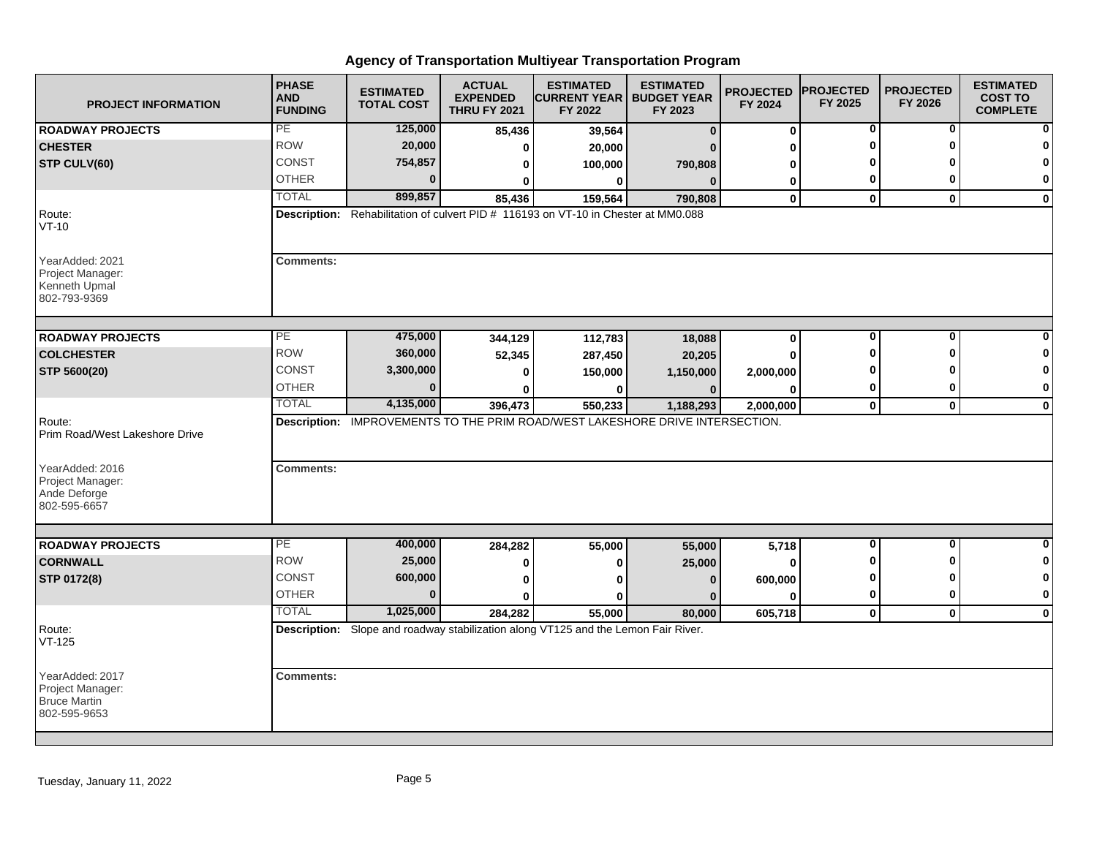| <b>PROJECT INFORMATION</b>                                                 | <b>PHASE</b><br><b>AND</b><br><b>FUNDING</b> | <b>ESTIMATED</b><br><b>TOTAL COST</b> | <b>ACTUAL</b><br><b>EXPENDED</b><br><b>THRU FY 2021</b> | <b>ESTIMATED</b><br><b>CURRENT YEAR I</b><br>FY 2022                                         | <b>ESTIMATED</b><br><b>BUDGET YEAR</b><br>FY 2023 | <b>PROJECTED</b><br>FY 2024 | <b>PROJECTED</b><br>FY 2025 | <b>PROJECTED</b><br>FY 2026 | <b>ESTIMATED</b><br><b>COST TO</b><br><b>COMPLETE</b> |
|----------------------------------------------------------------------------|----------------------------------------------|---------------------------------------|---------------------------------------------------------|----------------------------------------------------------------------------------------------|---------------------------------------------------|-----------------------------|-----------------------------|-----------------------------|-------------------------------------------------------|
| <b>ROADWAY PROJECTS</b>                                                    | PE                                           | 125,000                               | 85,436                                                  | 39,564                                                                                       | $\mathbf{0}$                                      | $\bf{0}$                    | 0                           | 0                           | 0                                                     |
| <b>CHESTER</b>                                                             | <b>ROW</b>                                   | 20,000                                | 0                                                       | 20,000                                                                                       |                                                   | ŋ                           | U                           | O                           | 0                                                     |
| STP CULV(60)                                                               | <b>CONST</b>                                 | 754,857                               |                                                         | 100,000                                                                                      | 790,808                                           | 0                           | Ω                           |                             | 0                                                     |
|                                                                            | <b>OTHER</b>                                 | $\Omega$                              |                                                         | 0                                                                                            | $\Omega$                                          | 0                           | 0                           | 0                           | 0                                                     |
|                                                                            | <b>TOTAL</b>                                 | 899,857                               | 85,436                                                  | 159,564                                                                                      | 790,808                                           | $\mathbf 0$                 | $\mathbf 0$                 | $\mathbf{0}$                | $\mathbf 0$                                           |
| Route:<br>$VT-10$                                                          |                                              |                                       |                                                         | Description: Rehabilitation of culvert PID # 116193 on VT-10 in Chester at MM0.088           |                                                   |                             |                             |                             |                                                       |
| YearAdded: 2021<br>Project Manager:<br>Kenneth Upmal<br>802-793-9369       | <b>Comments:</b>                             |                                       |                                                         |                                                                                              |                                                   |                             |                             |                             |                                                       |
| <b>ROADWAY PROJECTS</b>                                                    | PE                                           | 475,000                               | 344,129                                                 | 112,783                                                                                      | 18,088                                            | $\bf{0}$                    | $\bf{0}$                    | $\bf{0}$                    |                                                       |
| <b>COLCHESTER</b>                                                          | <b>ROW</b>                                   | 360,000                               | 52,345                                                  | 287,450                                                                                      | 20,205                                            | O                           | U                           | ŋ                           | n                                                     |
| STP 5600(20)                                                               | CONST                                        | 3,300,000                             | ŋ                                                       | 150,000                                                                                      | 1,150,000                                         | 2,000,000                   |                             |                             | $\mathbf 0$                                           |
|                                                                            | <b>OTHER</b>                                 | $\Omega$                              |                                                         |                                                                                              |                                                   | 0                           | 0                           | 0                           | 0                                                     |
|                                                                            | <b>TOTAL</b>                                 | 4,135,000                             | 396,473                                                 | 550,233                                                                                      | 1,188,293                                         | 2,000,000                   | $\mathbf 0$                 | $\mathbf 0$                 | $\mathbf 0$                                           |
| Route:<br>Prim Road/West Lakeshore Drive                                   |                                              |                                       |                                                         | Description: IMPROVEMENTS TO THE PRIM ROAD/WEST LAKESHORE DRIVE INTERSECTION.                |                                                   |                             |                             |                             |                                                       |
| YearAdded: 2016<br>Project Manager:<br>Ande Deforge<br>802-595-6657        | <b>Comments:</b>                             |                                       |                                                         |                                                                                              |                                                   |                             |                             |                             |                                                       |
|                                                                            | PE                                           |                                       |                                                         |                                                                                              |                                                   |                             | $\mathbf 0$                 | $\mathbf{0}$                | $\bf{0}$                                              |
| <b>ROADWAY PROJECTS</b>                                                    | <b>ROW</b>                                   | 400,000<br>25,000                     | 284,282                                                 | 55,000                                                                                       | 55,000                                            | 5,718                       | O                           | ŋ                           | 0                                                     |
| <b>CORNWALL</b>                                                            | <b>CONST</b>                                 | 600,000                               | 0                                                       | o                                                                                            | 25,000                                            | ŋ                           | 0                           | ŋ                           | $\mathbf 0$                                           |
| STP 0172(8)                                                                | <b>OTHER</b>                                 | $\Omega$                              | 0                                                       | ŋ                                                                                            | $\bf{0}$                                          | 600,000                     | $\bf{0}$                    | 0                           | $\bf{0}$                                              |
|                                                                            | <b>TOTAL</b>                                 | 1,025,000                             | $\bf{0}$                                                |                                                                                              | n                                                 | O                           |                             |                             |                                                       |
| Route:<br>VT-125                                                           |                                              |                                       | 284,282                                                 | 55,000<br>Description: Slope and roadway stabilization along VT125 and the Lemon Fair River. | 80,000                                            | 605,718                     | $\mathbf 0$                 | $\mathbf{0}$                | $\mathbf 0$                                           |
| YearAdded: 2017<br>Project Manager:<br><b>Bruce Martin</b><br>802-595-9653 | <b>Comments:</b>                             |                                       |                                                         |                                                                                              |                                                   |                             |                             |                             |                                                       |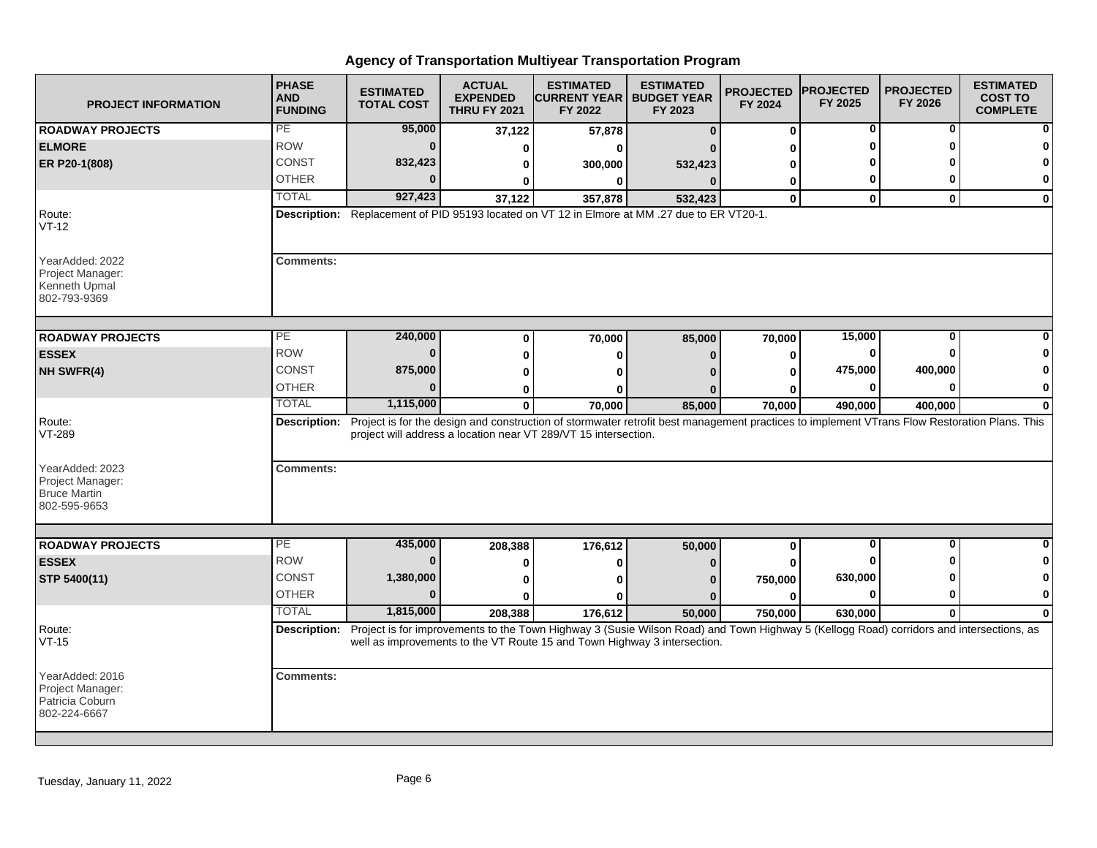| <b>PROJECT INFORMATION</b>                                             | <b>PHASE</b><br><b>AND</b><br><b>FUNDING</b> | <b>ESTIMATED</b><br><b>TOTAL COST</b> | <b>ACTUAL</b><br><b>EXPENDED</b><br><b>THRU FY 2021</b> | <b>ESTIMATED</b><br><b>CURRENT YEAR   BUDGET YEAR</b><br>FY 2022                                                                                                                                                                 | <b>ESTIMATED</b><br>FY 2023 | <b>PROJECTED</b><br>FY 2024 | <b>PROJECTED</b><br>FY 2025 | <b>PROJECTED</b><br>FY 2026 | <b>ESTIMATED</b><br><b>COST TO</b><br><b>COMPLETE</b> |
|------------------------------------------------------------------------|----------------------------------------------|---------------------------------------|---------------------------------------------------------|----------------------------------------------------------------------------------------------------------------------------------------------------------------------------------------------------------------------------------|-----------------------------|-----------------------------|-----------------------------|-----------------------------|-------------------------------------------------------|
| <b>ROADWAY PROJECTS</b>                                                | PE                                           | 95,000                                | 37,122                                                  | 57,878                                                                                                                                                                                                                           | $\Omega$                    | $\bf{0}$                    | 0                           | 0                           |                                                       |
| <b>ELMORE</b>                                                          | <b>ROW</b>                                   | $\Omega$                              | ŋ                                                       |                                                                                                                                                                                                                                  |                             | ŋ                           | O                           | ŋ                           |                                                       |
| ER P20-1(808)                                                          | CONST                                        | 832,423                               |                                                         | 300,000                                                                                                                                                                                                                          | 532,423                     | ŋ                           |                             |                             |                                                       |
|                                                                        | <b>OTHER</b>                                 |                                       |                                                         | 0                                                                                                                                                                                                                                |                             | 0                           | 0                           | O                           | 0                                                     |
|                                                                        | <b>TOTAL</b>                                 | 927,423                               | 37,122                                                  | 357,878                                                                                                                                                                                                                          | 532,423                     | $\mathbf{0}$                | $\bf{0}$                    | $\mathbf{0}$                | $\bf{0}$                                              |
| Route:<br>$VT-12$                                                      |                                              |                                       |                                                         | Description: Replacement of PID 95193 located on VT 12 in Elmore at MM .27 due to ER VT20-1.                                                                                                                                     |                             |                             |                             |                             |                                                       |
| YearAdded: 2022<br>Project Manager:<br>Kenneth Upmal<br>802-793-9369   | <b>Comments:</b>                             |                                       |                                                         |                                                                                                                                                                                                                                  |                             |                             |                             |                             |                                                       |
| <b>ROADWAY PROJECTS</b>                                                | PE                                           | 240,000                               | 0                                                       | 70,000                                                                                                                                                                                                                           | 85,000                      | 70,000                      | 15,000                      | 0                           |                                                       |
| <b>ESSEX</b>                                                           | <b>ROW</b>                                   | $\Omega$                              |                                                         | o                                                                                                                                                                                                                                | n                           | 0                           | 0                           | ŋ                           |                                                       |
| NH SWFR(4)                                                             | CONST                                        | 875,000                               | Ω                                                       |                                                                                                                                                                                                                                  |                             | ŋ                           | 475,000                     | 400,000                     |                                                       |
|                                                                        | <b>OTHER</b>                                 | $\Omega$                              | 0                                                       |                                                                                                                                                                                                                                  |                             | ŋ                           | 0                           | $\mathbf{0}$                | 0                                                     |
|                                                                        | <b>TOTAL</b>                                 | 1,115,000                             | $\bf{0}$                                                | 70,000                                                                                                                                                                                                                           | 85,000                      | 70,000                      | 490,000                     | 400,000                     | $\bf{0}$                                              |
| Route:<br>VT-289<br>YearAdded: 2023<br>Project Manager:                | <b>Comments:</b>                             |                                       |                                                         | Description: Project is for the design and construction of stormwater retrofit best management practices to implement VTrans Flow Restoration Plans. This<br>project will address a location near VT 289/VT 15 intersection.     |                             |                             |                             |                             |                                                       |
| <b>Bruce Martin</b><br>802-595-9653                                    |                                              |                                       |                                                         |                                                                                                                                                                                                                                  |                             |                             |                             |                             |                                                       |
| <b>ROADWAY PROJECTS</b>                                                | PE                                           | 435,000                               | 208,388                                                 | 176,612                                                                                                                                                                                                                          | 50,000                      | $\mathbf 0$                 | $\bf{0}$                    | 0                           | $\bf{0}$                                              |
| <b>ESSEX</b>                                                           | <b>ROW</b>                                   | $\Omega$                              | Ω                                                       |                                                                                                                                                                                                                                  |                             |                             |                             | Λ                           |                                                       |
| STP 5400(11)                                                           | <b>CONST</b>                                 | 1,380,000                             | 0                                                       |                                                                                                                                                                                                                                  |                             | 750,000                     | 630,000                     | Λ                           | 0                                                     |
|                                                                        | <b>OTHER</b>                                 | $\Omega$                              |                                                         |                                                                                                                                                                                                                                  |                             | ŋ                           | $\mathbf{0}$                | $\bf{0}$                    | $\bf{0}$                                              |
|                                                                        | <b>TOTAL</b>                                 | 1,815,000                             | 208,388                                                 | 176,612                                                                                                                                                                                                                          | 50,000                      | 750,000                     | 630,000                     | $\mathbf{0}$                | $\bf{0}$                                              |
| Route:<br>VT-15                                                        |                                              |                                       |                                                         | Description: Project is for improvements to the Town Highway 3 (Susie Wilson Road) and Town Highway 5 (Kellogg Road) corridors and intersections, as<br>well as improvements to the VT Route 15 and Town Highway 3 intersection. |                             |                             |                             |                             |                                                       |
| YearAdded: 2016<br>Project Manager:<br>Patricia Coburn<br>802-224-6667 | <b>Comments:</b>                             |                                       |                                                         |                                                                                                                                                                                                                                  |                             |                             |                             |                             |                                                       |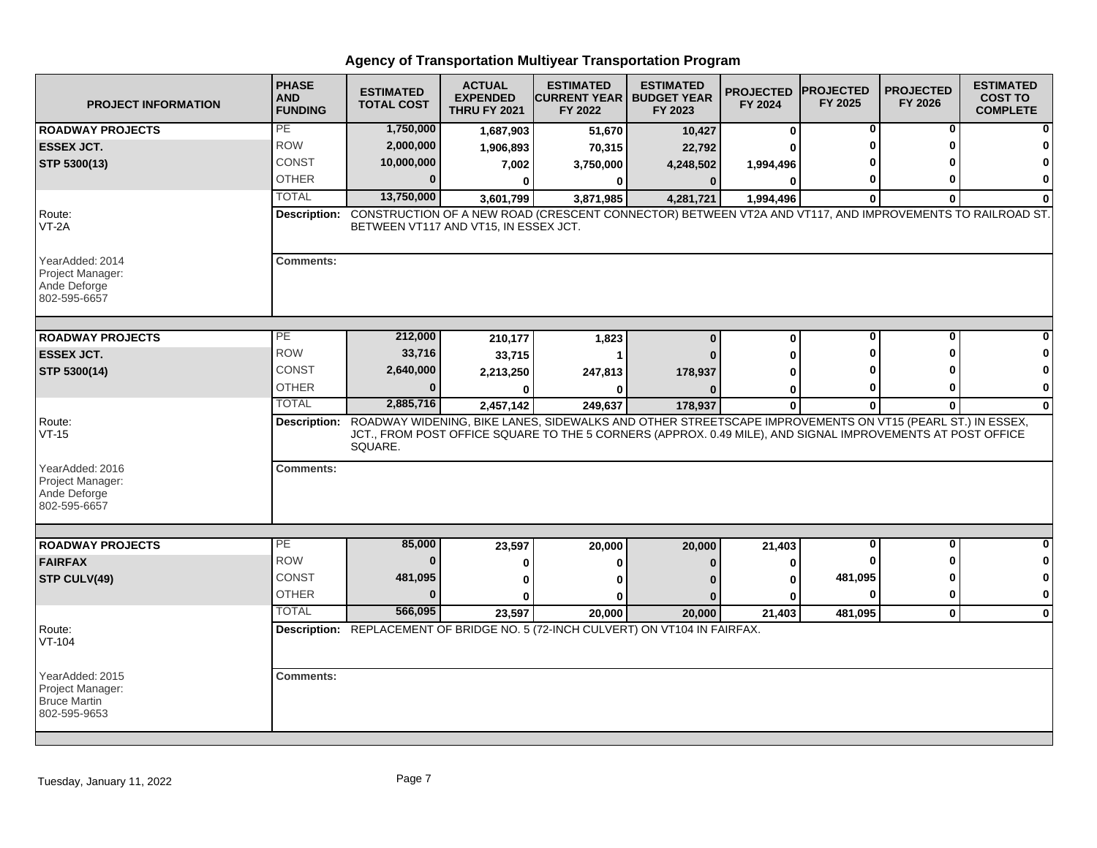| <b>PROJECT INFORMATION</b>                                                 | <b>PHASE</b><br><b>AND</b><br><b>FUNDING</b> | <b>ESTIMATED</b><br><b>TOTAL COST</b>                                                                                                             | <b>ACTUAL</b><br><b>EXPENDED</b><br><b>THRU FY 2021</b> | <b>ESTIMATED</b><br><b>ICURRENT YEAR   BUDGET YEAR</b><br>FY 2022                                          | <b>ESTIMATED</b><br>FY 2023 | <b>PROJECTED</b><br>FY 2024 | <b>IPROJECTED</b><br>FY 2025 | <b>PROJECTED</b><br>FY 2026 | <b>ESTIMATED</b><br><b>COST TO</b><br><b>COMPLETE</b> |
|----------------------------------------------------------------------------|----------------------------------------------|---------------------------------------------------------------------------------------------------------------------------------------------------|---------------------------------------------------------|------------------------------------------------------------------------------------------------------------|-----------------------------|-----------------------------|------------------------------|-----------------------------|-------------------------------------------------------|
| <b>ROADWAY PROJECTS</b>                                                    | PE                                           | 1,750,000                                                                                                                                         | 1,687,903                                               | 51,670                                                                                                     | 10,427                      | $\bf{0}$                    | 0                            | 0                           |                                                       |
| <b>ESSEX JCT.</b>                                                          | <b>ROW</b>                                   | 2,000,000                                                                                                                                         | 1,906,893                                               | 70,315                                                                                                     | 22,792                      | U                           | O                            | O                           |                                                       |
| STP 5300(13)                                                               | CONST                                        | 10,000,000                                                                                                                                        | 7,002                                                   | 3,750,000                                                                                                  | 4,248,502                   | 1,994,496                   |                              |                             |                                                       |
|                                                                            | <b>OTHER</b>                                 | $\bf{0}$                                                                                                                                          | $\bf{0}$                                                | $\bf{0}$                                                                                                   | $\bf{0}$                    | 0                           | 0                            | O                           | $\mathbf 0$                                           |
|                                                                            | <b>TOTAL</b>                                 | 13,750,000                                                                                                                                        | 3,601,799                                               | 3,871,985                                                                                                  | 4,281,721                   | 1,994,496                   | $\bf{0}$                     | $\bf{0}$                    | O                                                     |
| Route:<br>$VT-2A$                                                          | Description:                                 | CONSTRUCTION OF A NEW ROAD (CRESCENT CONNECTOR) BETWEEN VT2A AND VT117, AND IMPROVEMENTS TO RAILROAD ST.<br>BETWEEN VT117 AND VT15, IN ESSEX JCT. |                                                         |                                                                                                            |                             |                             |                              |                             |                                                       |
| YearAdded: 2014<br>Project Manager:<br>Ande Deforge<br>802-595-6657        | <b>Comments:</b>                             |                                                                                                                                                   |                                                         |                                                                                                            |                             |                             |                              |                             |                                                       |
| <b>ROADWAY PROJECTS</b>                                                    | $\overline{PE}$                              | 212,000                                                                                                                                           | 210,177                                                 | 1,823                                                                                                      | $\Omega$                    | $\mathbf 0$                 | $\mathbf 0$                  | $\mathbf{0}$                |                                                       |
| <b>ESSEX JCT.</b>                                                          | <b>ROW</b>                                   | 33,716                                                                                                                                            | 33,715                                                  |                                                                                                            |                             | U                           | O                            | ŋ                           |                                                       |
| STP 5300(14)                                                               | <b>CONST</b>                                 | 2,640,000                                                                                                                                         | 2,213,250                                               | 247,813                                                                                                    | 178,937                     | 0                           |                              |                             |                                                       |
|                                                                            | <b>OTHER</b>                                 | ŋ                                                                                                                                                 | 0                                                       | 0                                                                                                          |                             | 0                           | 0                            | ŋ                           | 0                                                     |
|                                                                            | <b>TOTAL</b>                                 | 2,885,716                                                                                                                                         | 2,457,142                                               | 249,637                                                                                                    | 178,937                     | $\mathbf 0$                 | $\mathbf 0$                  | 0                           | $\bf{0}$                                              |
| Route:<br>$VT-15$                                                          |                                              | Description: ROADWAY WIDENING, BIKE LANES, SIDEWALKS AND OTHER STREETSCAPE IMPROVEMENTS ON VT15 (PEARL ST.) IN ESSEX,<br>SQUARE.                  |                                                         | JCT., FROM POST OFFICE SQUARE TO THE 5 CORNERS (APPROX. 0.49 MILE), AND SIGNAL IMPROVEMENTS AT POST OFFICE |                             |                             |                              |                             |                                                       |
| YearAdded: 2016<br>Project Manager:<br>Ande Deforge<br>802-595-6657        | <b>Comments:</b>                             |                                                                                                                                                   |                                                         |                                                                                                            |                             |                             |                              |                             |                                                       |
|                                                                            |                                              |                                                                                                                                                   |                                                         |                                                                                                            |                             |                             |                              |                             |                                                       |
| <b>ROADWAY PROJECTS</b>                                                    | PE                                           | 85,000                                                                                                                                            | 23,597                                                  | 20,000                                                                                                     | 20,000                      | 21,403                      | $\bf{0}$                     | $\bf{0}$                    |                                                       |
| <b>FAIRFAX</b>                                                             | <b>ROW</b>                                   | $\bf{0}$                                                                                                                                          | 0                                                       | 0                                                                                                          | n                           | 0                           |                              |                             | 0                                                     |
| STP CULV(49)                                                               | <b>CONST</b>                                 | 481,095                                                                                                                                           | 0                                                       | 0                                                                                                          |                             | 0                           | 481,095                      | ŋ                           | 0                                                     |
|                                                                            | <b>OTHER</b>                                 | $\bf{0}$                                                                                                                                          |                                                         |                                                                                                            |                             | O                           | $\bf{0}$                     | 0                           | 0                                                     |
|                                                                            | <b>TOTAL</b>                                 | 566,095                                                                                                                                           | 23,597                                                  | 20,000                                                                                                     | 20,000                      | 21,403                      | 481,095                      | $\mathbf{0}$                | $\mathbf 0$                                           |
| Route:<br>VT-104                                                           |                                              | Description: REPLACEMENT OF BRIDGE NO. 5 (72-INCH CULVERT) ON VT104 IN FAIRFAX.                                                                   |                                                         |                                                                                                            |                             |                             |                              |                             |                                                       |
| YearAdded: 2015<br>Project Manager:<br><b>Bruce Martin</b><br>802-595-9653 | <b>Comments:</b>                             |                                                                                                                                                   |                                                         |                                                                                                            |                             |                             |                              |                             |                                                       |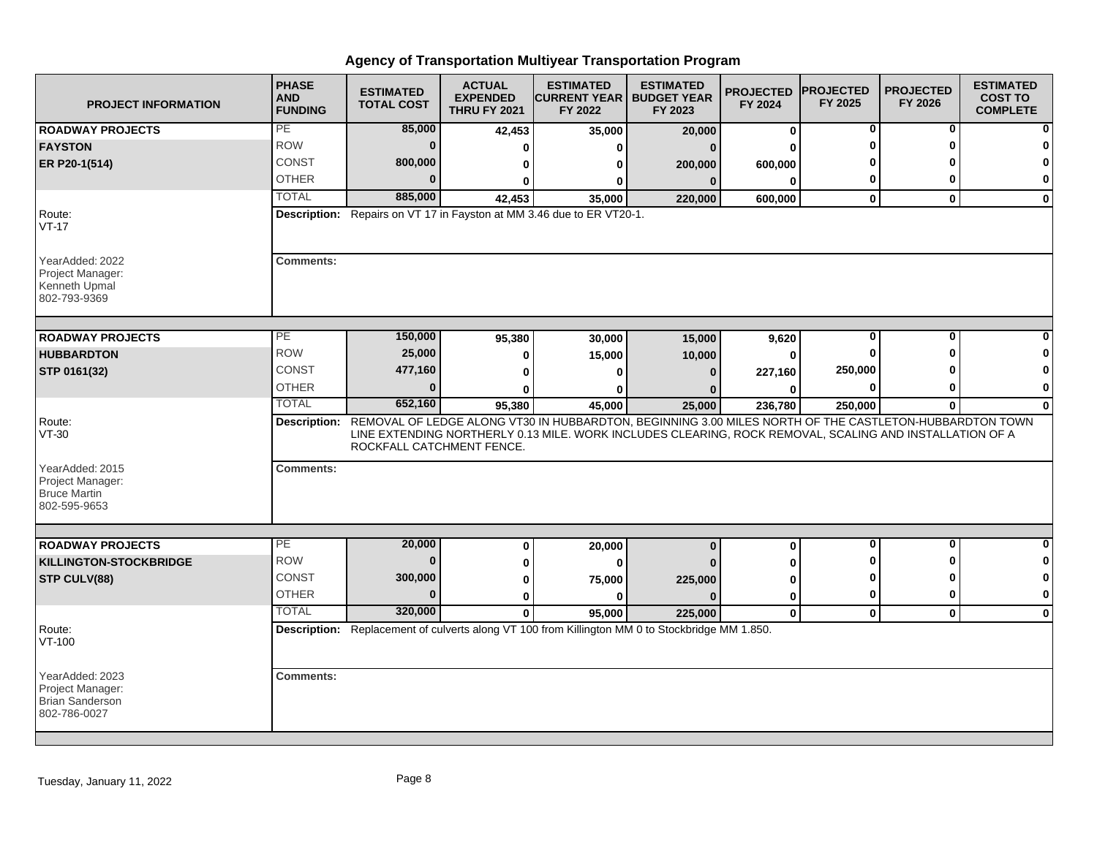| <b>PROJECT INFORMATION</b>                                                    | <b>PHASE</b><br><b>AND</b><br><b>FUNDING</b> | <b>ESTIMATED</b><br><b>TOTAL COST</b> | <b>ACTUAL</b><br><b>EXPENDED</b><br><b>THRU FY 2021</b> | <b>ESTIMATED</b><br><b>CURRENT YEAR   BUDGET YEAR</b><br>FY 2022                                                                                                                                                               | <b>ESTIMATED</b><br>FY 2023 | <b>PROJECTED</b><br>FY 2024 | <b>PROJECTED</b><br>FY 2025 | <b>PROJECTED</b><br>FY 2026 | <b>ESTIMATED</b><br><b>COST TO</b><br><b>COMPLETE</b> |
|-------------------------------------------------------------------------------|----------------------------------------------|---------------------------------------|---------------------------------------------------------|--------------------------------------------------------------------------------------------------------------------------------------------------------------------------------------------------------------------------------|-----------------------------|-----------------------------|-----------------------------|-----------------------------|-------------------------------------------------------|
| <b>ROADWAY PROJECTS</b>                                                       | PE                                           | 85,000                                | 42,453                                                  | 35,000                                                                                                                                                                                                                         | 20,000                      | 0                           | 0                           | 0                           |                                                       |
| <b>FAYSTON</b>                                                                | <b>ROW</b>                                   | $\bf{0}$                              | O                                                       | U                                                                                                                                                                                                                              | $\Omega$                    | U                           | O                           | ŋ                           |                                                       |
| ER P20-1(514)                                                                 | <b>CONST</b>                                 | 800,000                               | 0                                                       | 0                                                                                                                                                                                                                              | 200,000                     | 600,000                     |                             |                             |                                                       |
|                                                                               | <b>OTHER</b>                                 | $\Omega$                              | 0                                                       | 0                                                                                                                                                                                                                              | $\mathbf{0}$                | $\bf{0}$                    | 0                           | O                           | $\bf{0}$                                              |
|                                                                               | <b>TOTAL</b>                                 | 885,000                               | 42,453                                                  | 35,000                                                                                                                                                                                                                         | 220,000                     | 600,000                     | $\mathbf 0$                 | $\mathbf{0}$                | $\bf{0}$                                              |
| Route:<br>$VT-17$                                                             |                                              |                                       |                                                         | Description: Repairs on VT 17 in Fayston at MM 3.46 due to ER VT20-1.                                                                                                                                                          |                             |                             |                             |                             |                                                       |
| YearAdded: 2022<br>Project Manager:<br>Kenneth Upmal<br>802-793-9369          | <b>Comments:</b>                             |                                       |                                                         |                                                                                                                                                                                                                                |                             |                             |                             |                             |                                                       |
| <b>ROADWAY PROJECTS</b>                                                       | PE                                           | 150,000                               | 95,380                                                  | 30,000                                                                                                                                                                                                                         | 15,000                      | 9,620                       | $\bf{0}$                    | $\bf{0}$                    |                                                       |
| <b>HUBBARDTON</b>                                                             | <b>ROW</b>                                   | 25,000                                | 0                                                       | 15,000                                                                                                                                                                                                                         | 10,000                      | $\bf{0}$                    | O                           | ∩                           |                                                       |
| STP 0161(32)                                                                  | <b>CONST</b>                                 | 477,160                               | 0                                                       | U                                                                                                                                                                                                                              | $\Omega$                    | 227,160                     | 250,000                     |                             |                                                       |
|                                                                               | <b>OTHER</b>                                 | $\bf{0}$                              |                                                         | ŋ                                                                                                                                                                                                                              |                             | $\bf{0}$                    | 0                           | 0                           | 0                                                     |
|                                                                               | <b>TOTAL</b>                                 | 652,160                               | 95,380                                                  | 45,000                                                                                                                                                                                                                         | 25,000                      | 236,780                     | 250,000                     | $\mathbf{0}$                | $\mathbf{0}$                                          |
| Route:<br>$VT-30$                                                             |                                              | ROCKFALL CATCHMENT FENCE.             |                                                         | Description: REMOVAL OF LEDGE ALONG VT30 IN HUBBARDTON, BEGINNING 3.00 MILES NORTH OF THE CASTLETON-HUBBARDTON TOWN<br>LINE EXTENDING NORTHERLY 0.13 MILE. WORK INCLUDES CLEARING, ROCK REMOVAL, SCALING AND INSTALLATION OF A |                             |                             |                             |                             |                                                       |
| YearAdded: 2015<br>Project Manager:<br><b>Bruce Martin</b><br>802-595-9653    | <b>Comments:</b>                             |                                       |                                                         |                                                                                                                                                                                                                                |                             |                             |                             |                             |                                                       |
|                                                                               | PE                                           |                                       |                                                         |                                                                                                                                                                                                                                |                             |                             | 0                           | 0                           | O                                                     |
| <b>ROADWAY PROJECTS</b>                                                       | <b>ROW</b>                                   | 20,000<br>$\bf{0}$                    | 0                                                       | 20,000                                                                                                                                                                                                                         | $\bf{0}$                    | 0                           | ŋ                           | ŋ                           | 0                                                     |
| <b>KILLINGTON-STOCKBRIDGE</b>                                                 | <b>CONST</b>                                 | 300,000                               | 0                                                       | $\bf{0}$                                                                                                                                                                                                                       |                             | U                           | O                           | ŋ                           | 0                                                     |
| STP CULV(88)                                                                  | <b>OTHER</b>                                 | $\Omega$                              | 0                                                       | 75,000                                                                                                                                                                                                                         | 225,000                     | 0                           | $\mathbf 0$                 | $\bf{0}$                    | $\mathbf{0}$                                          |
|                                                                               | <b>TOTAL</b>                                 | 320,000                               | 0                                                       | 0                                                                                                                                                                                                                              |                             | 0                           |                             |                             |                                                       |
|                                                                               |                                              |                                       | $\Omega$                                                | 95,000<br>Description: Replacement of culverts along VT 100 from Killington MM 0 to Stockbridge MM 1.850.                                                                                                                      | 225,000                     | $\mathbf 0$                 | $\mathbf 0$                 | $\mathbf{0}$                | $\mathbf 0$                                           |
| Route:<br>VT-100                                                              |                                              |                                       |                                                         |                                                                                                                                                                                                                                |                             |                             |                             |                             |                                                       |
| YearAdded: 2023<br>Project Manager:<br><b>Brian Sanderson</b><br>802-786-0027 | <b>Comments:</b>                             |                                       |                                                         |                                                                                                                                                                                                                                |                             |                             |                             |                             |                                                       |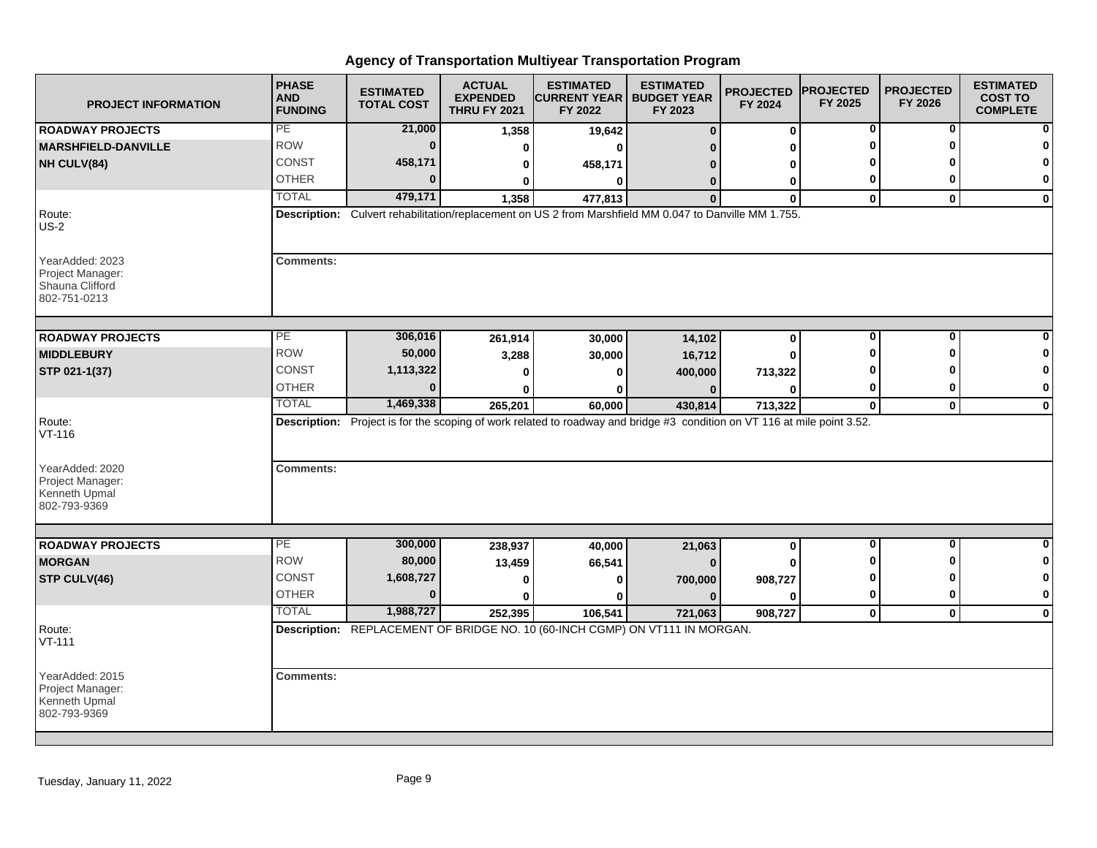| <b>PROJECT INFORMATION</b>                                             | <b>PHASE</b><br><b>AND</b><br><b>FUNDING</b> | <b>ESTIMATED</b><br><b>TOTAL COST</b> | <b>ACTUAL</b><br><b>EXPENDED</b><br><b>THRU FY 2021</b> | <b>ESTIMATED</b><br><b>CURRENT YEAR   BUDGET YEAR</b><br>FY 2022                                                         | <b>ESTIMATED</b><br>FY 2023 | <b>PROJECTED</b><br>FY 2024 | <b>PROJECTED</b><br>FY 2025 | <b>PROJECTED</b><br>FY 2026 | <b>ESTIMATED</b><br><b>COST TO</b><br><b>COMPLETE</b> |
|------------------------------------------------------------------------|----------------------------------------------|---------------------------------------|---------------------------------------------------------|--------------------------------------------------------------------------------------------------------------------------|-----------------------------|-----------------------------|-----------------------------|-----------------------------|-------------------------------------------------------|
| <b>ROADWAY PROJECTS</b>                                                | PE                                           | 21,000                                | 1,358                                                   | 19,642                                                                                                                   | $\bf{0}$                    | $\bf{0}$                    | 0                           | 0                           | 0                                                     |
| <b>MARSHFIELD-DANVILLE</b>                                             | <b>ROW</b>                                   | $\bf{0}$                              | $\bf{0}$                                                | $\bf{0}$                                                                                                                 |                             | U                           | O                           | O                           | 0                                                     |
| NH CULV(84)                                                            | <b>CONST</b>                                 | 458,171                               | 0                                                       | 458,171                                                                                                                  |                             | 0                           |                             |                             | 0                                                     |
|                                                                        | <b>OTHER</b>                                 | $\bf{0}$                              | 0                                                       | $\mathbf{0}$                                                                                                             | $\Omega$                    | 0                           | 0                           | 0                           | 0                                                     |
|                                                                        | <b>TOTAL</b>                                 | 479,171                               | 1,358                                                   | 477,813                                                                                                                  | $\Omega$                    | $\mathbf{0}$                | $\mathbf 0$                 | $\mathbf{0}$                | $\mathbf{0}$                                          |
| Route:<br>$US-2$                                                       |                                              |                                       |                                                         | Description: Culvert rehabilitation/replacement on US 2 from Marshfield MM 0.047 to Danville MM 1.755.                   |                             |                             |                             |                             |                                                       |
| YearAdded: 2023<br>Project Manager:<br>Shauna Clifford<br>802-751-0213 | <b>Comments:</b>                             |                                       |                                                         |                                                                                                                          |                             |                             |                             |                             |                                                       |
| <b>ROADWAY PROJECTS</b>                                                | PE                                           | 306,016                               | 261,914                                                 | 30,000                                                                                                                   | 14,102                      | $\bf{0}$                    | $\bf{0}$                    | $\bf{0}$                    |                                                       |
| <b>MIDDLEBURY</b>                                                      | <b>ROW</b>                                   | 50,000                                | 3,288                                                   | 30,000                                                                                                                   | 16,712                      | O                           | Λ                           | ŋ                           | O                                                     |
| STP 021-1(37)                                                          | CONST                                        | 1,113,322                             | O                                                       | ŋ                                                                                                                        | 400,000                     | 713,322                     |                             |                             | $\mathbf 0$                                           |
|                                                                        | <b>OTHER</b>                                 | $\bf{0}$                              |                                                         | 0                                                                                                                        |                             | ŋ                           | 0                           | 0                           | 0                                                     |
|                                                                        | <b>TOTAL</b>                                 | 1,469,338                             | 265,201                                                 | 60,000                                                                                                                   | 430,814                     | 713,322                     | $\mathbf 0$                 | $\mathbf 0$                 | $\mathbf 0$                                           |
| Route:<br>$VT-116$                                                     |                                              |                                       |                                                         | Description: Project is for the scoping of work related to roadway and bridge #3 condition on VT 116 at mile point 3.52. |                             |                             |                             |                             |                                                       |
| YearAdded: 2020<br>Project Manager:<br>Kenneth Upmal<br>802-793-9369   | <b>Comments:</b>                             |                                       |                                                         |                                                                                                                          |                             |                             |                             |                             |                                                       |
|                                                                        | PE                                           | 300,000                               |                                                         |                                                                                                                          |                             |                             | $\mathbf 0$                 | $\mathbf{0}$                | $\bf{0}$                                              |
| <b>ROADWAY PROJECTS</b><br><b>MORGAN</b>                               | <b>ROW</b>                                   | 80,000                                | 238,937                                                 | 40,000                                                                                                                   | 21,063                      | $\mathbf 0$                 | ŋ                           | ŋ                           | 0                                                     |
|                                                                        | <b>CONST</b>                                 | 1,608,727                             | 13,459                                                  | 66,541                                                                                                                   |                             |                             | ŋ                           | ŋ                           | $\mathbf 0$                                           |
| STP CULV(46)                                                           | <b>OTHER</b>                                 | $\Omega$                              | 0                                                       | 0                                                                                                                        | 700,000                     | 908,727                     | 0                           | $\bf{0}$                    | $\bf{0}$                                              |
|                                                                        | <b>TOTAL</b>                                 | 1,988,727                             | 0                                                       | ŋ                                                                                                                        | $\Omega$                    | $\bf{0}$                    |                             |                             |                                                       |
|                                                                        |                                              |                                       | 252,395                                                 | 106,541<br>Description: REPLACEMENT OF BRIDGE NO. 10 (60-INCH CGMP) ON VT111 IN MORGAN.                                  | 721,063                     | 908,727                     | $\mathbf 0$                 | $\mathbf{0}$                | $\mathbf 0$                                           |
| Route:<br>$VT-111$                                                     |                                              |                                       |                                                         |                                                                                                                          |                             |                             |                             |                             |                                                       |
| YearAdded: 2015<br>Project Manager:<br>Kenneth Upmal<br>802-793-9369   | <b>Comments:</b>                             |                                       |                                                         |                                                                                                                          |                             |                             |                             |                             |                                                       |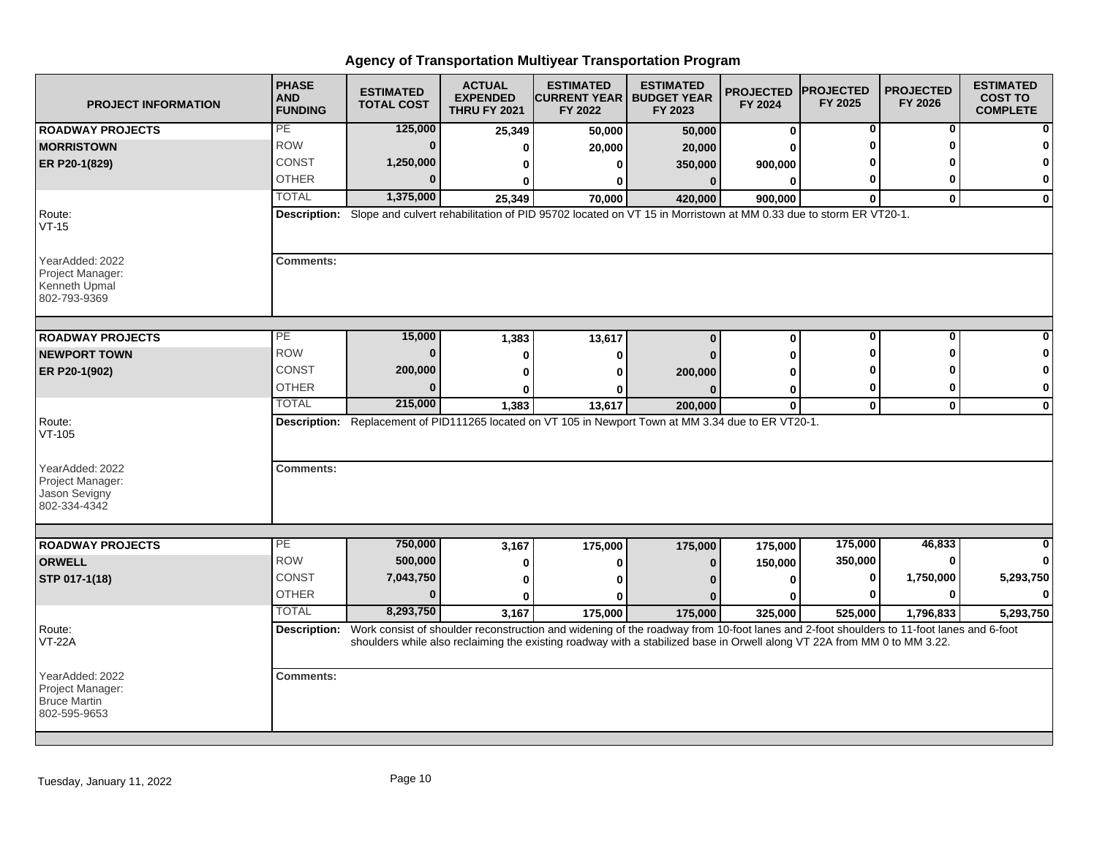| <b>PROJECT INFORMATION</b>                                                 | <b>PHASE</b><br><b>AND</b><br><b>FUNDING</b> | <b>ESTIMATED</b><br><b>TOTAL COST</b> | <b>ACTUAL</b><br><b>EXPENDED</b><br><b>THRU FY 2021</b> | <b>ESTIMATED</b><br><b>CURRENT YEAR</b><br>FY 2022 | <b>ESTIMATED</b><br><b>BUDGET YEAR</b><br>FY 2023                                                                                                                                                                                                                                | <b>PROJECTED</b><br>FY 2024 | <b>PROJECTED</b><br>FY 2025 | <b>PROJECTED</b><br>FY 2026 | <b>ESTIMATED</b><br><b>COST TO</b><br><b>COMPLETE</b> |
|----------------------------------------------------------------------------|----------------------------------------------|---------------------------------------|---------------------------------------------------------|----------------------------------------------------|----------------------------------------------------------------------------------------------------------------------------------------------------------------------------------------------------------------------------------------------------------------------------------|-----------------------------|-----------------------------|-----------------------------|-------------------------------------------------------|
| <b>ROADWAY PROJECTS</b>                                                    | PE                                           | 125,000                               | 25,349                                                  | 50,000                                             | 50,000                                                                                                                                                                                                                                                                           | $\bf{0}$                    | 0                           | 0                           |                                                       |
| <b>MORRISTOWN</b>                                                          | <b>ROW</b>                                   | $\bf{0}$                              | U                                                       | 20,000                                             | 20,000                                                                                                                                                                                                                                                                           | O                           | U                           | ŋ                           |                                                       |
| ER P20-1(829)                                                              | CONST                                        | 1,250,000                             | ŋ                                                       |                                                    | 350,000                                                                                                                                                                                                                                                                          | 900,000                     |                             |                             |                                                       |
|                                                                            | <b>OTHER</b>                                 |                                       |                                                         |                                                    | $\Omega$                                                                                                                                                                                                                                                                         | $\bf{0}$                    | 0                           | O                           | $\mathbf 0$                                           |
|                                                                            | <b>TOTAL</b>                                 | 1,375,000                             | 25,349                                                  | 70,000                                             | 420,000                                                                                                                                                                                                                                                                          | 900,000                     | $\mathbf{0}$                | $\mathbf{0}$                | $\mathbf 0$                                           |
| Route:<br>$VT-15$                                                          |                                              |                                       |                                                         |                                                    | Description: Slope and culvert rehabilitation of PID 95702 located on VT 15 in Morristown at MM 0.33 due to storm ER VT20-1.                                                                                                                                                     |                             |                             |                             |                                                       |
| YearAdded: 2022<br>Project Manager:<br>Kenneth Upmal<br>802-793-9369       | <b>Comments:</b>                             |                                       |                                                         |                                                    |                                                                                                                                                                                                                                                                                  |                             |                             |                             |                                                       |
| <b>ROADWAY PROJECTS</b>                                                    | PE                                           | 15,000                                | 1,383                                                   | 13,617                                             | $\Omega$                                                                                                                                                                                                                                                                         | $\bf{0}$                    | 0                           | $\mathbf{0}$                |                                                       |
| <b>NEWPORT TOWN</b>                                                        | <b>ROW</b>                                   | $\mathbf{0}$                          |                                                         |                                                    |                                                                                                                                                                                                                                                                                  |                             | U                           | Λ                           |                                                       |
|                                                                            | <b>CONST</b>                                 | 200,000                               | 0                                                       |                                                    |                                                                                                                                                                                                                                                                                  | ŋ                           |                             |                             | O                                                     |
| ER P20-1(902)                                                              | <b>OTHER</b>                                 | n                                     | 0                                                       |                                                    | 200,000                                                                                                                                                                                                                                                                          | 0                           | 0                           | 0                           | 0                                                     |
|                                                                            | <b>TOTAL</b>                                 | 215,000                               | U<br>1,383                                              | 13,617                                             | 200,000                                                                                                                                                                                                                                                                          | 0<br>$\bf{0}$               | $\mathbf 0$                 | $\mathbf 0$                 | $\bf{0}$                                              |
| Route:<br>$VT-105$<br>YearAdded: 2022<br>Project Manager:<br>Jason Sevigny | <b>Comments:</b>                             |                                       |                                                         |                                                    | Description: Replacement of PID111265 located on VT 105 in Newport Town at MM 3.34 due to ER VT20-1.                                                                                                                                                                             |                             |                             |                             |                                                       |
| 802-334-4342                                                               |                                              |                                       |                                                         |                                                    |                                                                                                                                                                                                                                                                                  |                             |                             |                             |                                                       |
| <b>ROADWAY PROJECTS</b>                                                    | $\overline{PE}$                              | 750,000                               | 3,167                                                   | 175,000                                            | 175,000                                                                                                                                                                                                                                                                          | 175,000                     | 175,000                     | 46,833                      |                                                       |
| <b>ORWELL</b>                                                              | <b>ROW</b>                                   | 500,000                               | 0                                                       |                                                    | $\Omega$                                                                                                                                                                                                                                                                         | 150,000                     | 350,000                     | 0                           |                                                       |
| STP 017-1(18)                                                              | CONST                                        | 7,043,750                             | 0                                                       |                                                    |                                                                                                                                                                                                                                                                                  | 0                           | 0                           | 1,750,000                   | 5,293,750                                             |
|                                                                            | <b>OTHER</b>                                 | $\mathbf{0}$                          | O                                                       |                                                    |                                                                                                                                                                                                                                                                                  | O                           | 0                           | 0                           | $\bf{0}$                                              |
|                                                                            | <b>TOTAL</b>                                 | 8,293,750                             | 3,167                                                   | 175,000                                            | 175,000                                                                                                                                                                                                                                                                          | 325,000                     | 525,000                     | 1,796,833                   | 5,293,750                                             |
| Route:<br><b>VT-22A</b>                                                    |                                              |                                       |                                                         |                                                    | Description: Work consist of shoulder reconstruction and widening of the roadway from 10-foot lanes and 2-foot shoulders to 11-foot lanes and 6-foot<br>shoulders while also reclaiming the existing roadway with a stabilized base in Orwell along VT 22A from MM 0 to MM 3.22. |                             |                             |                             |                                                       |
| YearAdded: 2022<br>Project Manager:<br><b>Bruce Martin</b><br>802-595-9653 | <b>Comments:</b>                             |                                       |                                                         |                                                    |                                                                                                                                                                                                                                                                                  |                             |                             |                             |                                                       |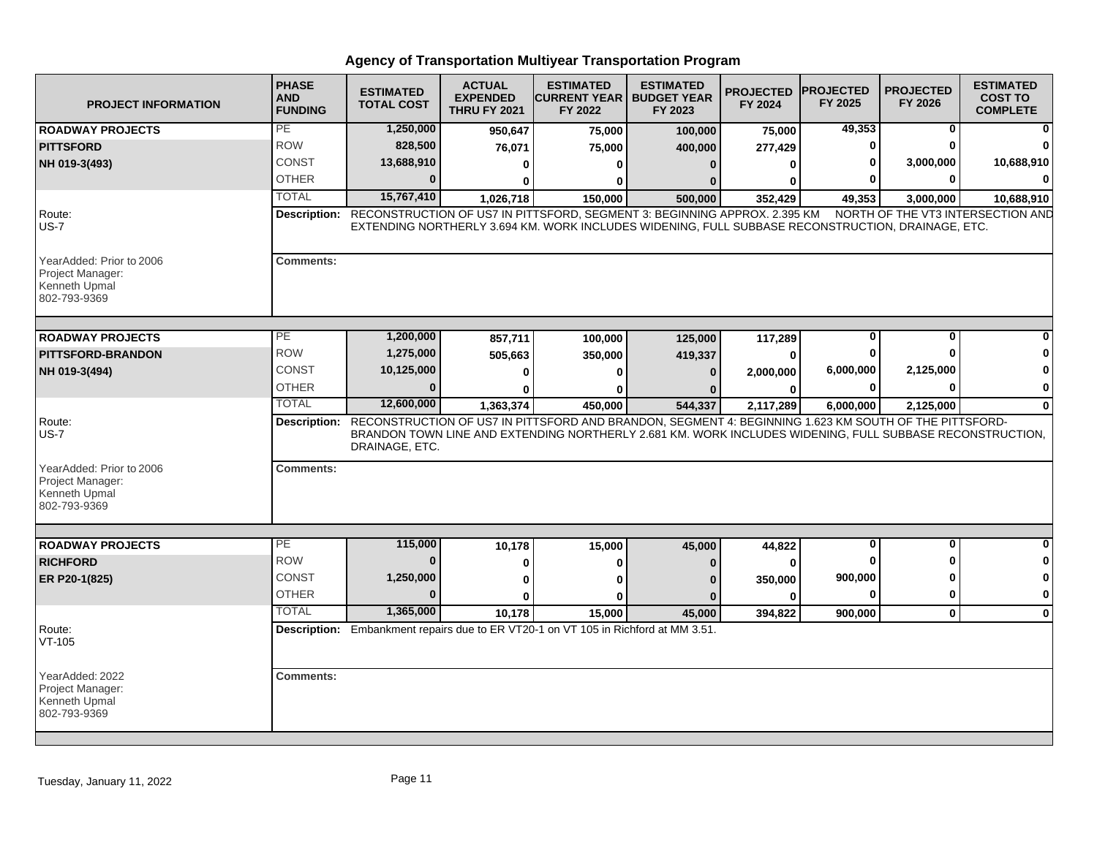| <b>PROJECT INFORMATION</b>                                                    | <b>PHASE</b><br><b>AND</b><br><b>FUNDING</b> | <b>ESTIMATED</b><br><b>TOTAL COST</b> | <b>ACTUAL</b><br><b>EXPENDED</b><br><b>THRU FY 2021</b> | <b>ESTIMATED</b><br><b>CURRENT YEAR I BUDGET YEAR</b><br>FY 2022                                                                                                                                                               | <b>ESTIMATED</b><br>FY 2023 | <b>PROJECTED</b><br>FY 2024 | <b>IPROJECTED</b><br>FY 2025 | <b>PROJECTED</b><br>FY 2026 | <b>ESTIMATED</b><br><b>COST TO</b><br><b>COMPLETE</b> |
|-------------------------------------------------------------------------------|----------------------------------------------|---------------------------------------|---------------------------------------------------------|--------------------------------------------------------------------------------------------------------------------------------------------------------------------------------------------------------------------------------|-----------------------------|-----------------------------|------------------------------|-----------------------------|-------------------------------------------------------|
| <b>ROADWAY PROJECTS</b>                                                       | PE                                           | 1,250,000                             | 950,647                                                 | 75,000                                                                                                                                                                                                                         | 100,000                     | 75,000                      | 49,353                       | 0                           |                                                       |
| <b>PITTSFORD</b>                                                              | <b>ROW</b>                                   | 828,500                               | 76,071                                                  | 75,000                                                                                                                                                                                                                         | 400,000                     | 277,429                     | 0                            | $\Omega$                    |                                                       |
| NH 019-3(493)                                                                 | CONST                                        | 13,688,910                            | 0                                                       | O                                                                                                                                                                                                                              | $\Omega$                    | ŋ                           |                              | 3,000,000                   | 10,688,910                                            |
|                                                                               | <b>OTHER</b>                                 | $\Omega$                              | 0                                                       | ŋ                                                                                                                                                                                                                              |                             |                             |                              | O                           |                                                       |
|                                                                               | <b>TOTAL</b>                                 | 15,767,410                            | 1,026,718                                               | 150,000                                                                                                                                                                                                                        | 500,000                     | 352,429                     | 49,353                       | 3,000,000                   | 10,688,910                                            |
| Route:<br><b>US-7</b>                                                         | Description:                                 |                                       |                                                         | RECONSTRUCTION OF US7 IN PITTSFORD, SEGMENT 3: BEGINNING APPROX. 2.395 KM<br>EXTENDING NORTHERLY 3.694 KM. WORK INCLUDES WIDENING, FULL SUBBASE RECONSTRUCTION, DRAINAGE, ETC.                                                 |                             |                             |                              |                             | NORTH OF THE VT3 INTERSECTION AND                     |
| YearAdded: Prior to 2006<br>Project Manager:<br>Kenneth Upmal<br>802-793-9369 | <b>Comments:</b>                             |                                       |                                                         |                                                                                                                                                                                                                                |                             |                             |                              |                             |                                                       |
| <b>ROADWAY PROJECTS</b>                                                       | $\overline{PE}$                              | 1,200,000                             | 857,711                                                 | 100,000                                                                                                                                                                                                                        | 125,000                     | 117,289                     | 0                            | $\mathbf 0$                 |                                                       |
| <b>PITTSFORD-BRANDON</b>                                                      | <b>ROW</b>                                   | 1,275,000                             | 505,663                                                 | 350,000                                                                                                                                                                                                                        | 419,337                     | O                           |                              | ŋ                           |                                                       |
| NH 019-3(494)                                                                 | <b>CONST</b>                                 | 10,125,000                            | $\Omega$                                                | $\Omega$                                                                                                                                                                                                                       | $\mathbf{0}$                | 2,000,000                   | 6,000,000                    | 2,125,000                   | 0                                                     |
|                                                                               | <b>OTHER</b>                                 | $\Omega$                              | ŋ                                                       | 0                                                                                                                                                                                                                              |                             | 0                           | $\mathbf{0}$                 | $\Omega$                    | $\bf{0}$                                              |
|                                                                               | <b>TOTAL</b>                                 | 12,600,000                            | 1,363,374                                               | 450,000                                                                                                                                                                                                                        | 544,337                     | 2,117,289                   | 6,000,000                    | 2,125,000                   | $\bf{0}$                                              |
| Route:<br><b>US-7</b>                                                         |                                              | DRAINAGE, ETC.                        |                                                         | Description: RECONSTRUCTION OF US7 IN PITTSFORD AND BRANDON, SEGMENT 4: BEGINNING 1.623 KM SOUTH OF THE PITTSFORD-<br>BRANDON TOWN LINE AND EXTENDING NORTHERLY 2.681 KM. WORK INCLUDES WIDENING, FULL SUBBASE RECONSTRUCTION, |                             |                             |                              |                             |                                                       |
| YearAdded: Prior to 2006<br>Project Manager:<br>Kenneth Upmal<br>802-793-9369 | <b>Comments:</b>                             |                                       |                                                         |                                                                                                                                                                                                                                |                             |                             |                              |                             |                                                       |
|                                                                               |                                              |                                       |                                                         |                                                                                                                                                                                                                                |                             |                             |                              | $\Omega$                    |                                                       |
| <b>ROADWAY PROJECTS</b>                                                       | $\overline{PE}$<br><b>ROW</b>                | 115,000<br>$\bf{0}$                   | 10,178                                                  | 15,000                                                                                                                                                                                                                         | 45,000                      | 44,822                      | 0                            | O                           | U<br>0                                                |
| <b>RICHFORD</b>                                                               |                                              |                                       | 0                                                       | O                                                                                                                                                                                                                              | $\Omega$                    | $\Omega$                    |                              |                             |                                                       |
| ER P20-1(825)                                                                 | <b>CONST</b>                                 | 1,250,000                             | $\bf{0}$                                                |                                                                                                                                                                                                                                |                             | 350,000                     | 900,000                      | $\Omega$                    | 0                                                     |
|                                                                               | <b>OTHER</b>                                 | $\Omega$                              | $\mathbf{0}$                                            |                                                                                                                                                                                                                                | $\Omega$                    | U                           | O                            | $\bf{0}$                    | $\mathbf{0}$                                          |
|                                                                               | <b>TOTAL</b>                                 | 1,365,000                             | 10,178                                                  | 15,000                                                                                                                                                                                                                         | 45,000                      | 394,822                     | 900,000                      | $\mathbf 0$                 | $\mathbf{0}$                                          |
| Route:<br>VT-105                                                              |                                              |                                       |                                                         | Description: Embankment repairs due to ER VT20-1 on VT 105 in Richford at MM 3.51.                                                                                                                                             |                             |                             |                              |                             |                                                       |
| YearAdded: 2022<br>Project Manager:<br>Kenneth Upmal<br>802-793-9369          | <b>Comments:</b>                             |                                       |                                                         |                                                                                                                                                                                                                                |                             |                             |                              |                             |                                                       |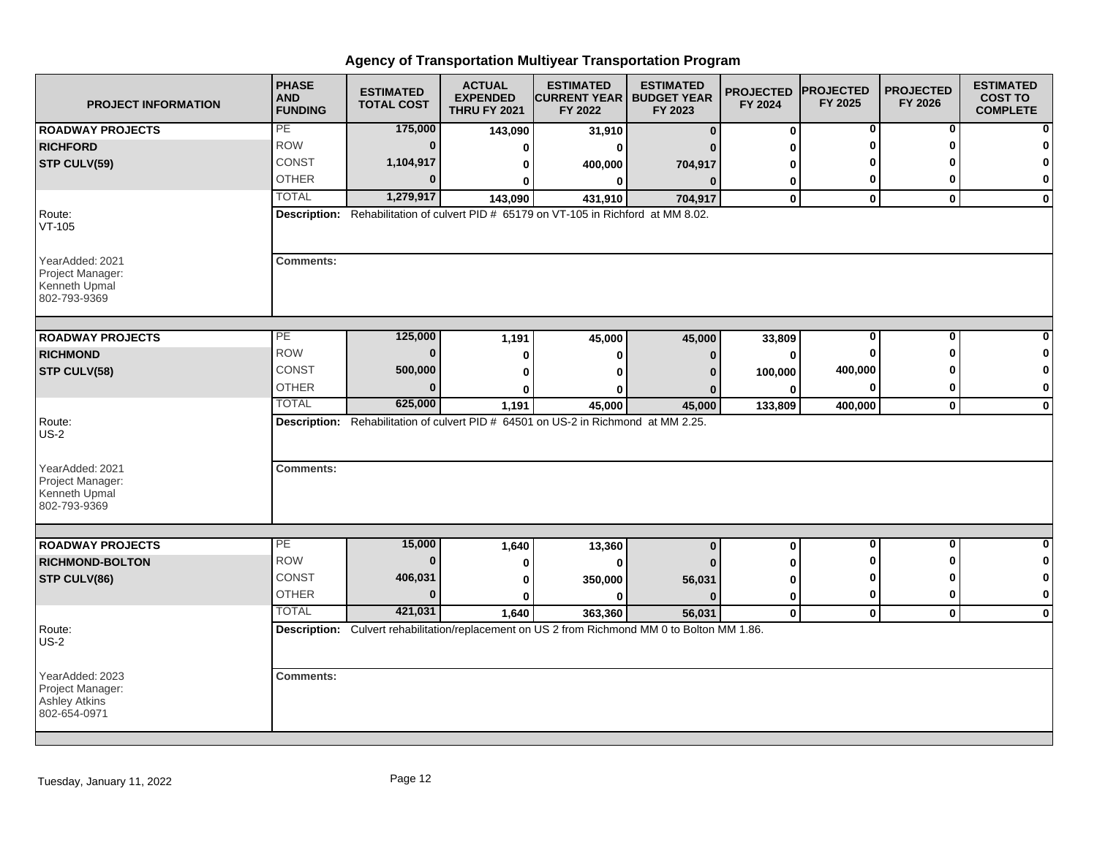| <b>PROJECT INFORMATION</b>                                                  | <b>PHASE</b><br><b>AND</b><br><b>FUNDING</b> | <b>ESTIMATED</b><br><b>TOTAL COST</b> | <b>ACTUAL</b><br><b>EXPENDED</b><br><b>THRU FY 2021</b> | <b>ESTIMATED</b><br><b>CURRENT YEAR   BUDGET YEAR</b><br>FY 2022                                         | <b>ESTIMATED</b><br>FY 2023 | <b>PROJECTED</b><br>FY 2024 | <b>PROJECTED</b><br>FY 2025 | <b>PROJECTED</b><br>FY 2026 | <b>ESTIMATED</b><br><b>COST TO</b><br><b>COMPLETE</b> |
|-----------------------------------------------------------------------------|----------------------------------------------|---------------------------------------|---------------------------------------------------------|----------------------------------------------------------------------------------------------------------|-----------------------------|-----------------------------|-----------------------------|-----------------------------|-------------------------------------------------------|
| <b>ROADWAY PROJECTS</b>                                                     | PE                                           | 175,000                               | 143,090                                                 | 31,910                                                                                                   | $\bf{0}$                    | $\bf{0}$                    | 0                           | 0                           |                                                       |
| <b>RICHFORD</b>                                                             | <b>ROW</b>                                   | $\bf{0}$                              | 0                                                       | ŋ                                                                                                        |                             | ŋ                           | U                           | O                           |                                                       |
| STP CULV(59)                                                                | CONST                                        | 1,104,917                             | ŋ                                                       | 400,000                                                                                                  | 704,917                     | ŋ                           |                             |                             | O                                                     |
|                                                                             | <b>OTHER</b>                                 | $\Omega$                              |                                                         | 0                                                                                                        | $\mathbf{0}$                | 0                           | 0                           | O                           | 0                                                     |
|                                                                             | <b>TOTAL</b>                                 | 1,279,917                             | 143,090                                                 | 431,910                                                                                                  | 704,917                     | $\mathbf 0$                 | $\mathbf 0$                 | $\mathbf{0}$                | $\mathbf 0$                                           |
| Route:<br>$VT-105$                                                          |                                              |                                       |                                                         | Description: Rehabilitation of culvert PID # 65179 on VT-105 in Richford at MM 8.02.                     |                             |                             |                             |                             |                                                       |
| YearAdded: 2021<br>Project Manager:<br>Kenneth Upmal<br>802-793-9369        | <b>Comments:</b>                             |                                       |                                                         |                                                                                                          |                             |                             |                             |                             |                                                       |
| <b>ROADWAY PROJECTS</b>                                                     | $\overline{PE}$                              | 125,000                               | 1,191                                                   | 45,000                                                                                                   | 45,000                      | 33,809                      | 0                           | $\bf{0}$                    |                                                       |
| <b>RICHMOND</b>                                                             | <b>ROW</b>                                   | $\Omega$                              | 0                                                       | 0                                                                                                        | $\Omega$                    | 0                           | O                           | ŋ                           | n                                                     |
| STP CULV(58)                                                                | CONST                                        | 500,000                               | 0                                                       |                                                                                                          | n                           | 100,000                     | 400,000                     |                             | 0                                                     |
|                                                                             | <b>OTHER</b>                                 | $\Omega$                              |                                                         |                                                                                                          |                             | $\bf{0}$                    | 0                           | 0                           | 0                                                     |
|                                                                             | <b>TOTAL</b>                                 | 625,000                               | 1,191                                                   | 45,000                                                                                                   | 45,000                      | 133,809                     | 400,000                     | $\mathbf 0$                 | $\mathbf 0$                                           |
| Route:<br><b>US-2</b>                                                       |                                              |                                       |                                                         | Description: Rehabilitation of culvert PID # 64501 on US-2 in Richmond at MM 2.25.                       |                             |                             |                             |                             |                                                       |
| YearAdded: 2021<br>Project Manager:<br>Kenneth Upmal<br>802-793-9369        | <b>Comments:</b>                             |                                       |                                                         |                                                                                                          |                             |                             |                             |                             |                                                       |
| <b>ROADWAY PROJECTS</b>                                                     | PE                                           | 15,000                                |                                                         |                                                                                                          |                             |                             | 0                           | 0                           | 0                                                     |
| <b>RICHMOND-BOLTON</b>                                                      | <b>ROW</b>                                   | $\bf{0}$                              | 1,640                                                   | 13,360<br>ŋ                                                                                              | $\bf{0}$                    | $\bf{0}$<br>ŋ               | ŋ                           | ŋ                           | 0                                                     |
| STP CULV(86)                                                                | <b>CONST</b>                                 | 406,031                               | Ω                                                       |                                                                                                          |                             |                             | 0                           | ŋ                           | 0                                                     |
|                                                                             | <b>OTHER</b>                                 | $\Omega$                              | 0                                                       | 350,000<br>ŋ                                                                                             | 56,031<br>n                 | 0                           | $\bf{0}$                    | $\bf{0}$                    | $\bf{0}$                                              |
|                                                                             | <b>TOTAL</b>                                 | 421,031                               | 0                                                       |                                                                                                          |                             | 0<br>$\mathbf 0$            | $\mathbf 0$                 | $\mathbf 0$                 |                                                       |
| Route:<br><b>US-2</b>                                                       |                                              |                                       | 1,640                                                   | 363,360<br>Description: Culvert rehabilitation/replacement on US 2 from Richmond MM 0 to Bolton MM 1.86. | 56,031                      |                             |                             |                             | $\mathbf 0$                                           |
| YearAdded: 2023<br>Project Manager:<br><b>Ashley Atkins</b><br>802-654-0971 | <b>Comments:</b>                             |                                       |                                                         |                                                                                                          |                             |                             |                             |                             |                                                       |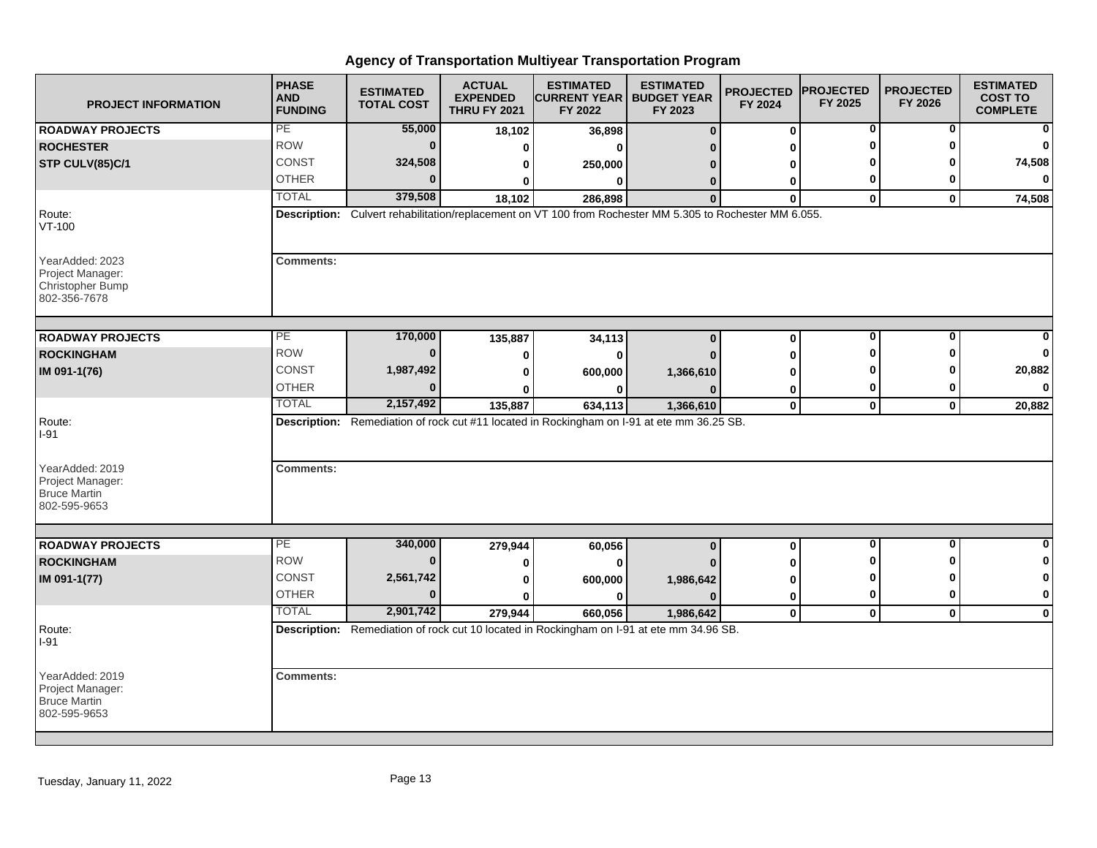| <b>PROJECT INFORMATION</b>                                                     | <b>PHASE</b><br><b>AND</b><br><b>FUNDING</b> | <b>ESTIMATED</b><br><b>TOTAL COST</b> | <b>ACTUAL</b><br><b>EXPENDED</b><br><b>THRU FY 2021</b> | <b>ESTIMATED</b><br><b>CURRENT YEAR   BUDGET YEAR</b><br>FY 2022                                         | <b>ESTIMATED</b><br>FY 2023 | <b>PROJECTED</b><br>FY 2024 | <b>PROJECTED</b><br>FY 2025 | <b>PROJECTED</b><br>FY 2026 | <b>ESTIMATED</b><br><b>COST TO</b><br><b>COMPLETE</b> |
|--------------------------------------------------------------------------------|----------------------------------------------|---------------------------------------|---------------------------------------------------------|----------------------------------------------------------------------------------------------------------|-----------------------------|-----------------------------|-----------------------------|-----------------------------|-------------------------------------------------------|
| <b>ROADWAY PROJECTS</b>                                                        | PE                                           | 55,000                                | 18,102                                                  | 36,898                                                                                                   | $\bf{0}$                    | $\bf{0}$                    | 0                           | 0                           | 0                                                     |
| <b>ROCHESTER</b>                                                               | <b>ROW</b>                                   | $\bf{0}$                              | $\bf{0}$                                                | $\bf{0}$                                                                                                 |                             | ŋ                           | O                           | O                           | $\Omega$                                              |
| STP CULV(85)C/1                                                                | <b>CONST</b>                                 | 324,508                               | 0                                                       | 250,000                                                                                                  |                             | U                           |                             | ŋ                           | 74,508                                                |
|                                                                                | <b>OTHER</b>                                 | $\Omega$                              | 0                                                       | $\bf{0}$                                                                                                 | $\Omega$                    | 0                           | 0                           | 0                           | $\bf{0}$                                              |
|                                                                                | <b>TOTAL</b>                                 | 379,508                               | 18,102                                                  | 286,898                                                                                                  | $\mathbf{0}$                | $\mathbf{0}$                | $\mathbf 0$                 | $\mathbf{0}$                | 74,508                                                |
| Route:<br>$VT-100$                                                             |                                              |                                       |                                                         | Description: Culvert rehabilitation/replacement on VT 100 from Rochester MM 5.305 to Rochester MM 6.055. |                             |                             |                             |                             |                                                       |
| YearAdded: 2023<br>Project Manager:<br><b>Christopher Bump</b><br>802-356-7678 | <b>Comments:</b>                             |                                       |                                                         |                                                                                                          |                             |                             |                             |                             |                                                       |
| <b>ROADWAY PROJECTS</b>                                                        | <b>PE</b>                                    | 170,000                               | 135,887                                                 | 34,113                                                                                                   | $\bf{0}$                    | $\bf{0}$                    | 0                           | 0                           |                                                       |
| <b>ROCKINGHAM</b>                                                              | <b>ROW</b>                                   | 0                                     | $\bf{0}$                                                | $\bf{0}$                                                                                                 |                             | O                           | ŋ                           | O                           | O                                                     |
| IM 091-1(76)                                                                   | <b>CONST</b>                                 | 1,987,492                             | 0                                                       | 600,000                                                                                                  | 1,366,610                   | O                           | ŋ                           | n                           | 20,882                                                |
|                                                                                | <b>OTHER</b>                                 | $\Omega$                              |                                                         |                                                                                                          |                             | 0                           | 0                           | 0                           | $\mathbf{0}$                                          |
|                                                                                | <b>TOTAL</b>                                 | 2,157,492                             | 135,887                                                 | 634,113                                                                                                  | 1,366,610                   | $\mathbf 0$                 | $\mathbf 0$                 | $\mathbf 0$                 | 20,882                                                |
| Route:<br>I-91                                                                 |                                              |                                       |                                                         | Description: Remediation of rock cut #11 located in Rockingham on I-91 at ete mm 36.25 SB.               |                             |                             |                             |                             |                                                       |
| YearAdded: 2019<br>Project Manager:<br><b>Bruce Martin</b><br>802-595-9653     | <b>Comments:</b>                             |                                       |                                                         |                                                                                                          |                             |                             |                             |                             |                                                       |
|                                                                                | PE                                           | 340,000                               |                                                         |                                                                                                          |                             |                             | $\overline{\mathbf{0}}$     | $\mathbf{0}$                | 0                                                     |
| <b>ROADWAY PROJECTS</b><br><b>ROCKINGHAM</b>                                   | <b>ROW</b>                                   | $\bf{0}$                              | 279,944                                                 | 60,056                                                                                                   | $\bf{0}$                    | 0                           | ŋ                           | <sup>0</sup>                | 0                                                     |
| IM 091-1(77)                                                                   | <b>CONST</b>                                 | 2,561,742                             | 0                                                       | $\bf{0}$                                                                                                 |                             | 0                           | O                           | ŋ                           | 0                                                     |
|                                                                                | <b>OTHER</b>                                 | $\bf{0}$                              | 0                                                       | 600,000                                                                                                  | 1,986,642<br>n              | 0                           | 0                           | 0                           | $\mathbf 0$                                           |
|                                                                                | <b>TOTAL</b>                                 | 2,901,742                             | $\bf{0}$                                                | $\bf{0}$<br>660,056                                                                                      |                             | $\mathbf 0$<br>$\mathbf{0}$ |                             | $\mathbf{0}$                | $\mathbf 0$                                           |
| Route:                                                                         |                                              |                                       | 279,944                                                 | Description: Remediation of rock cut 10 located in Rockingham on I-91 at ete mm 34.96 SB.                | 1,986,642                   |                             | $\mathbf 0$                 |                             |                                                       |
| $I-91$                                                                         |                                              |                                       |                                                         |                                                                                                          |                             |                             |                             |                             |                                                       |
| YearAdded: 2019<br>Project Manager:<br><b>Bruce Martin</b><br>802-595-9653     | <b>Comments:</b>                             |                                       |                                                         |                                                                                                          |                             |                             |                             |                             |                                                       |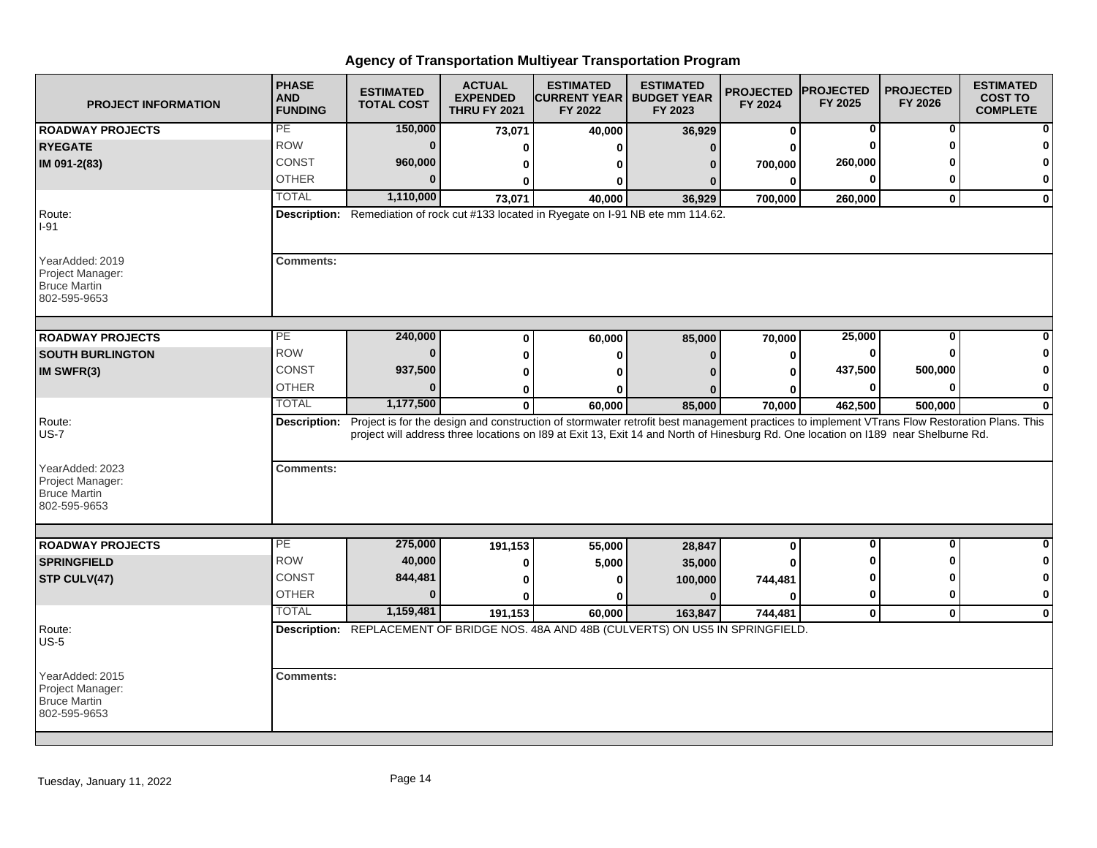| <b>PROJECT INFORMATION</b>                                                 | <b>PHASE</b><br><b>AND</b><br><b>FUNDING</b> | <b>ESTIMATED</b><br><b>TOTAL COST</b> | <b>ACTUAL</b><br><b>EXPENDED</b><br><b>THRU FY 2021</b> | <b>ESTIMATED</b><br><b>CURRENT YEAR   BUDGET YEAR</b><br>FY 2022                                                                                          | <b>ESTIMATED</b><br>FY 2023 | <b>PROJECTED</b><br>FY 2024 | <b>PROJECTED</b><br>FY 2025 | <b>PROJECTED</b><br>FY 2026 | <b>ESTIMATED</b><br><b>COST TO</b><br><b>COMPLETE</b> |
|----------------------------------------------------------------------------|----------------------------------------------|---------------------------------------|---------------------------------------------------------|-----------------------------------------------------------------------------------------------------------------------------------------------------------|-----------------------------|-----------------------------|-----------------------------|-----------------------------|-------------------------------------------------------|
| <b>ROADWAY PROJECTS</b>                                                    | PE                                           | 150,000                               | 73,071                                                  | 40,000                                                                                                                                                    | 36,929                      | $\bf{0}$                    | 0                           | 0                           | ŋ                                                     |
| <b>RYEGATE</b>                                                             | <b>ROW</b>                                   | $\bf{0}$                              | 0                                                       | ŋ                                                                                                                                                         | $\Omega$                    |                             |                             |                             |                                                       |
| IM 091-2(83)                                                               | CONST                                        | 960,000                               | 0                                                       | o                                                                                                                                                         | $\bf{0}$                    | 700,000                     | 260,000                     |                             | 0                                                     |
|                                                                            | <b>OTHER</b>                                 | $\Omega$                              | 0                                                       | 0                                                                                                                                                         | 0                           | 0                           |                             | ŋ                           | 0                                                     |
|                                                                            | <b>TOTAL</b>                                 | 1,110,000                             | 73,071                                                  | 40,000                                                                                                                                                    | 36,929                      | 700,000                     | 260,000                     | $\bf{0}$                    | 0                                                     |
| Route:<br>$I-91$                                                           |                                              |                                       |                                                         | Description: Remediation of rock cut #133 located in Ryegate on I-91 NB ete mm 114.62.                                                                    |                             |                             |                             |                             |                                                       |
| YearAdded: 2019<br>Project Manager:<br><b>Bruce Martin</b><br>802-595-9653 | <b>Comments:</b>                             |                                       |                                                         |                                                                                                                                                           |                             |                             |                             |                             |                                                       |
| <b>ROADWAY PROJECTS</b>                                                    | $\overline{PE}$                              | 240,000                               | $\bf{0}$                                                | 60,000                                                                                                                                                    | 85,000                      | 70,000                      | 25,000                      | 0                           |                                                       |
| <b>SOUTH BURLINGTON</b>                                                    | <b>ROW</b>                                   | $\bf{0}$                              | $\bf{0}$                                                | 0                                                                                                                                                         | $\mathbf{0}$                | 0                           |                             | ŋ                           |                                                       |
| IM SWFR(3)                                                                 | <b>CONST</b>                                 | 937,500                               |                                                         | ŋ                                                                                                                                                         |                             | ŋ                           | 437,500                     | 500,000                     | 0                                                     |
|                                                                            | <b>OTHER</b>                                 | $\bf{0}$                              | 0                                                       |                                                                                                                                                           |                             |                             | O                           | $\Omega$                    | $\bf{0}$                                              |
|                                                                            | <b>TOTAL</b>                                 | 1,177,500                             | 0<br>$\mathbf 0$                                        | 0<br>60,000                                                                                                                                               |                             | 0<br>70,000                 | 462,500                     | 500,000                     | 0                                                     |
| Route:                                                                     |                                              |                                       |                                                         | Description: Project is for the design and construction of stormwater retrofit best management practices to implement VTrans Flow Restoration Plans. This | 85,000                      |                             |                             |                             |                                                       |
| <b>US-7</b>                                                                |                                              |                                       |                                                         | project will address three locations on I89 at Exit 13, Exit 14 and North of Hinesburg Rd. One location on I189 near Shelburne Rd.                        |                             |                             |                             |                             |                                                       |
| YearAdded: 2023<br>Project Manager:<br><b>Bruce Martin</b><br>802-595-9653 | <b>Comments:</b>                             |                                       |                                                         |                                                                                                                                                           |                             |                             |                             |                             |                                                       |
|                                                                            | $\overline{PE}$                              |                                       |                                                         |                                                                                                                                                           |                             |                             | $\bf{0}$                    | O                           | $\bf{0}$                                              |
| <b>ROADWAY PROJECTS</b>                                                    | <b>ROW</b>                                   | 275,000<br>40,000                     | 191,153                                                 | 55,000                                                                                                                                                    | 28,847                      | $\bf{0}$                    |                             |                             | 0                                                     |
| <b>SPRINGFIELD</b>                                                         |                                              |                                       | 0                                                       | 5,000                                                                                                                                                     | 35,000                      |                             |                             |                             |                                                       |
| STP CULV(47)                                                               | <b>CONST</b>                                 | 844,481<br>$\Omega$                   | 0                                                       | 0                                                                                                                                                         | 100,000                     | 744,481                     |                             | n<br>O                      | 0                                                     |
|                                                                            | <b>OTHER</b>                                 |                                       | 0                                                       | ŋ                                                                                                                                                         | $\Omega$                    | 0                           | 0                           |                             | 0                                                     |
|                                                                            | <b>TOTAL</b>                                 | 1,159,481                             | 191,153                                                 | 60.000                                                                                                                                                    | 163,847                     | 744,481                     | $\mathbf 0$                 | $\mathbf{0}$                | $\mathbf 0$                                           |
| Route:<br>$US-5$                                                           |                                              |                                       |                                                         | Description: REPLACEMENT OF BRIDGE NOS. 48A AND 48B (CULVERTS) ON US5 IN SPRINGFIELD.                                                                     |                             |                             |                             |                             |                                                       |
| YearAdded: 2015<br>Project Manager:<br><b>Bruce Martin</b><br>802-595-9653 | <b>Comments:</b>                             |                                       |                                                         |                                                                                                                                                           |                             |                             |                             |                             |                                                       |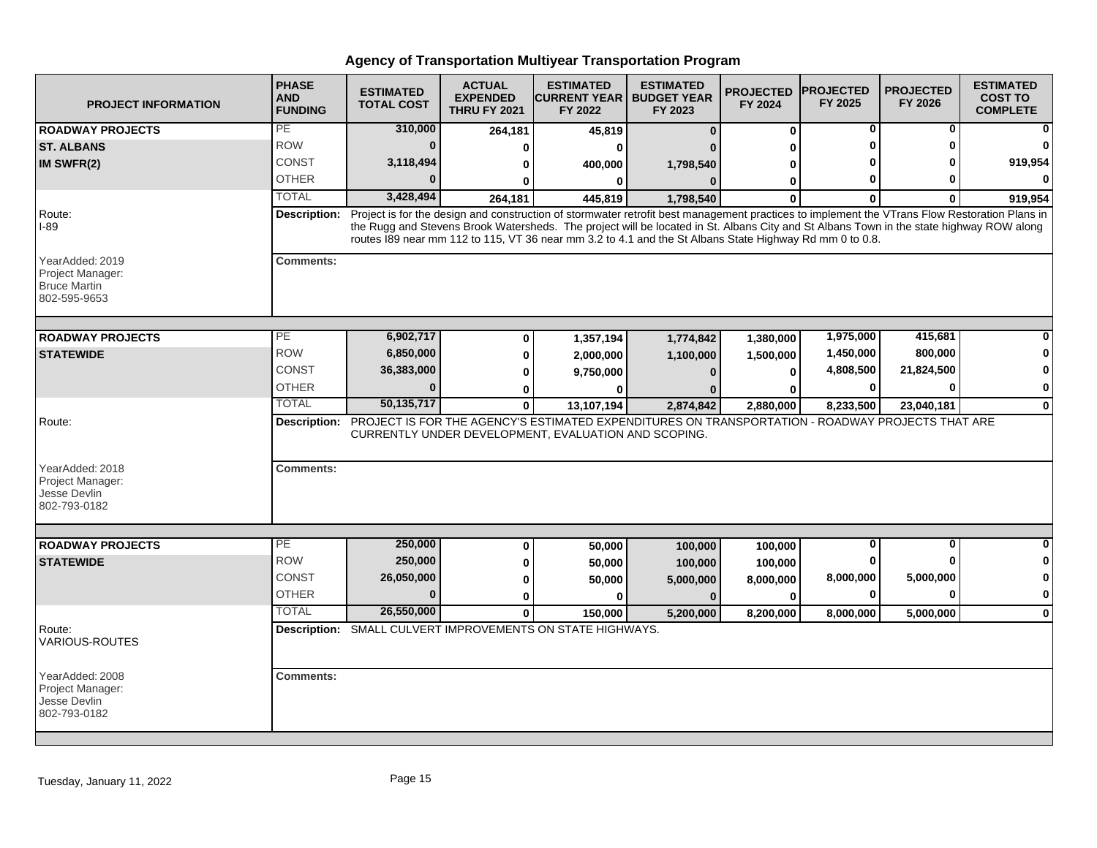| <b>PROJECT INFORMATION</b>                                                 | <b>PHASE</b><br><b>AND</b><br><b>FUNDING</b> | <b>ESTIMATED</b><br><b>TOTAL COST</b> | <b>ACTUAL</b><br><b>EXPENDED</b><br><b>THRU FY 2021</b> | <b>ESTIMATED</b><br><b>CURRENT YEAR   BUDGET YEAR</b><br>FY 2022                                                                                                                                                                                                                                                                                                                                    | <b>ESTIMATED</b><br>FY 2023 | <b>PROJECTED</b><br>FY 2024 | <b>PROJECTED</b><br>FY 2025 | <b>PROJECTED</b><br>FY 2026 | <b>ESTIMATED</b><br><b>COST TO</b><br><b>COMPLETE</b> |
|----------------------------------------------------------------------------|----------------------------------------------|---------------------------------------|---------------------------------------------------------|-----------------------------------------------------------------------------------------------------------------------------------------------------------------------------------------------------------------------------------------------------------------------------------------------------------------------------------------------------------------------------------------------------|-----------------------------|-----------------------------|-----------------------------|-----------------------------|-------------------------------------------------------|
| <b>ROADWAY PROJECTS</b>                                                    | PE                                           | 310,000                               | 264,181                                                 | 45,819                                                                                                                                                                                                                                                                                                                                                                                              | n                           | $\bf{0}$                    | 0                           | 0                           |                                                       |
| <b>ST. ALBANS</b>                                                          | <b>ROW</b>                                   | $\mathbf{0}$                          | 0                                                       |                                                                                                                                                                                                                                                                                                                                                                                                     |                             | ŋ                           |                             | ŋ                           |                                                       |
| IM SWFR(2)                                                                 | CONST                                        | 3,118,494                             | 0                                                       | 400,000                                                                                                                                                                                                                                                                                                                                                                                             | 1,798,540                   | 0                           |                             |                             | 919,954                                               |
|                                                                            | <b>OTHER</b>                                 |                                       |                                                         |                                                                                                                                                                                                                                                                                                                                                                                                     |                             | 0                           | 0                           |                             |                                                       |
|                                                                            | <b>TOTAL</b>                                 | 3,428,494                             | 264,181                                                 | 445,819                                                                                                                                                                                                                                                                                                                                                                                             | 1,798,540                   | $\Omega$                    | $\mathbf{0}$                | 0                           | 919,954                                               |
| Route:<br>$I-89$                                                           | <b>Description:</b>                          |                                       |                                                         | Project is for the design and construction of stormwater retrofit best management practices to implement the VTrans Flow Restoration Plans in<br>the Rugg and Stevens Brook Watersheds. The project will be located in St. Albans City and St Albans Town in the state highway ROW along<br>routes I89 near mm 112 to 115, VT 36 near mm 3.2 to 4.1 and the St Albans State Highway Rd mm 0 to 0.8. |                             |                             |                             |                             |                                                       |
| YearAdded: 2019<br>Project Manager:<br><b>Bruce Martin</b><br>802-595-9653 | Comments:                                    |                                       |                                                         |                                                                                                                                                                                                                                                                                                                                                                                                     |                             |                             |                             |                             |                                                       |
| <b>ROADWAY PROJECTS</b>                                                    | $\overline{PE}$                              | 6,902,717                             | 0                                                       | 1,357,194                                                                                                                                                                                                                                                                                                                                                                                           | 1,774,842                   | 1,380,000                   | 1,975,000                   | 415,681                     |                                                       |
| <b>STATEWIDE</b>                                                           | <b>ROW</b>                                   | 6,850,000                             | 0                                                       | 2,000,000                                                                                                                                                                                                                                                                                                                                                                                           | 1,100,000                   | 1,500,000                   | 1,450,000                   | 800,000                     |                                                       |
|                                                                            | CONST                                        | 36,383,000                            | 0                                                       | 9,750,000                                                                                                                                                                                                                                                                                                                                                                                           |                             | $\bf{0}$                    | 4,808,500                   | 21,824,500                  |                                                       |
|                                                                            | <b>OTHER</b>                                 | $\bf{0}$                              | 0                                                       |                                                                                                                                                                                                                                                                                                                                                                                                     |                             | ŋ                           | $\bf{0}$                    | 0                           | 0                                                     |
|                                                                            | <b>TOTAL</b>                                 | 50, 135, 717                          | $\mathbf 0$                                             | 13,107,194                                                                                                                                                                                                                                                                                                                                                                                          | 2,874,842                   | 2,880,000                   | 8,233,500                   | 23,040,181                  | $\bf{0}$                                              |
| Route:<br>YearAdded: 2018<br>Project Manager:<br>Jesse Devlin              | <b>Comments:</b>                             |                                       |                                                         | Description: PROJECT IS FOR THE AGENCY'S ESTIMATED EXPENDITURES ON TRANSPORTATION - ROADWAY PROJECTS THAT ARE<br>CURRENTLY UNDER DEVELOPMENT, EVALUATION AND SCOPING.                                                                                                                                                                                                                               |                             |                             |                             |                             |                                                       |
| 802-793-0182                                                               |                                              |                                       |                                                         |                                                                                                                                                                                                                                                                                                                                                                                                     |                             |                             |                             |                             |                                                       |
| <b>ROADWAY PROJECTS</b>                                                    | $\overline{PE}$                              | 250,000                               | 0                                                       | 50,000                                                                                                                                                                                                                                                                                                                                                                                              | 100,000                     | 100,000                     | 0                           | $\mathbf{0}$                |                                                       |
| <b>STATEWIDE</b>                                                           | <b>ROW</b>                                   | 250,000                               | 0                                                       | 50,000                                                                                                                                                                                                                                                                                                                                                                                              | 100,000                     | 100,000                     | 0                           | ŋ                           |                                                       |
|                                                                            | <b>CONST</b>                                 | 26,050,000                            | 0                                                       | 50,000                                                                                                                                                                                                                                                                                                                                                                                              | 5,000,000                   | 8,000,000                   | 8,000,000                   | 5,000,000                   |                                                       |
|                                                                            | <b>OTHER</b>                                 | $\Omega$                              | 0                                                       | ŋ                                                                                                                                                                                                                                                                                                                                                                                                   | $\Omega$                    | $\bf{0}$                    | 0                           | 0                           | 0                                                     |
|                                                                            | <b>TOTAL</b>                                 | 26,550,000                            | $\bf{0}$                                                | 150.000                                                                                                                                                                                                                                                                                                                                                                                             | 5,200,000                   | 8.200.000                   | 8.000.000                   | 5,000,000                   | $\Omega$                                              |
| Route:<br>VARIOUS-ROUTES                                                   |                                              |                                       |                                                         | Description: SMALL CULVERT IMPROVEMENTS ON STATE HIGHWAYS.                                                                                                                                                                                                                                                                                                                                          |                             |                             |                             |                             |                                                       |
| YearAdded: 2008<br>Project Manager:<br>Jesse Devlin<br>802-793-0182        | <b>Comments:</b>                             |                                       |                                                         |                                                                                                                                                                                                                                                                                                                                                                                                     |                             |                             |                             |                             |                                                       |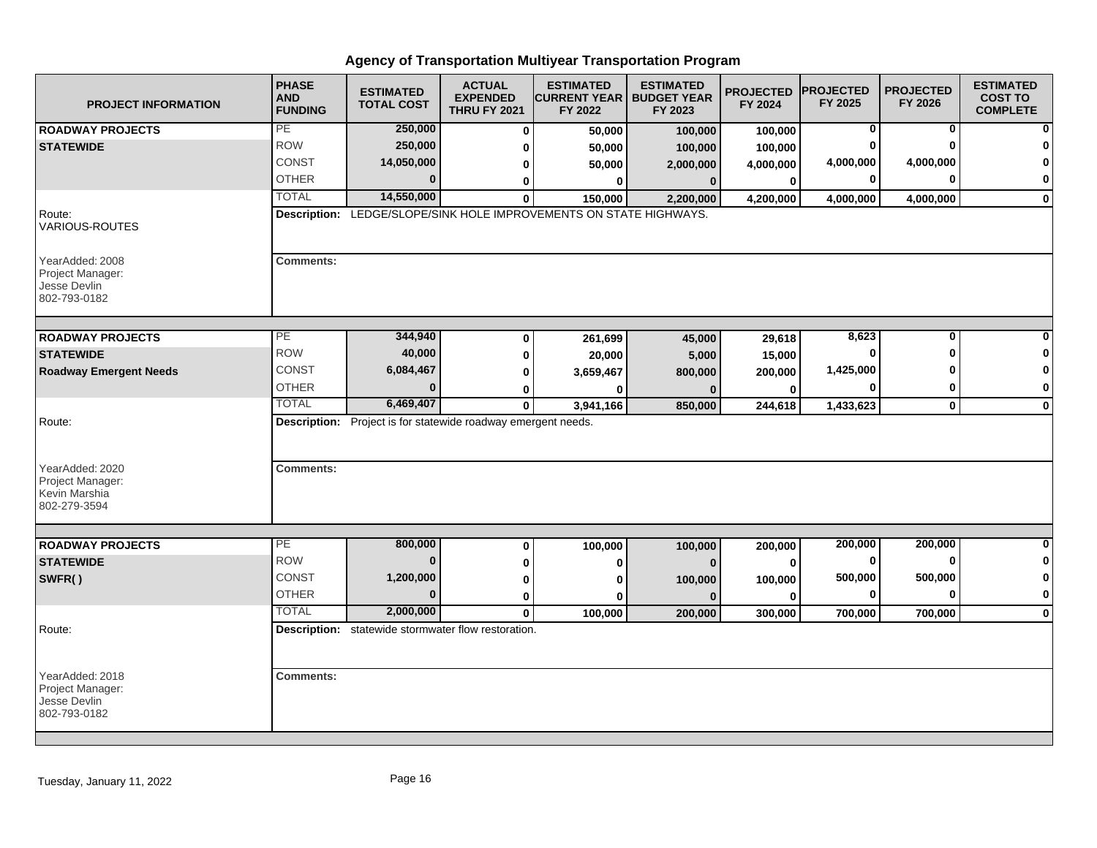| <b>PROJECT INFORMATION</b>                                                     | <b>PHASE</b><br><b>AND</b><br><b>FUNDING</b> | <b>ESTIMATED</b><br><b>TOTAL COST</b>                                | <b>ACTUAL</b><br><b>EXPENDED</b><br><b>THRU FY 2021</b> | <b>ESTIMATED</b><br><b>CURRENT YEAR   BUDGET YEAR</b><br>FY 2022   | <b>ESTIMATED</b><br>FY 2023 | <b>PROJECTED</b><br>FY 2024 | <b>PROJECTED</b><br>FY 2025 | <b>PROJECTED</b><br>FY 2026 | <b>ESTIMATED</b><br><b>COST TO</b><br><b>COMPLETE</b> |
|--------------------------------------------------------------------------------|----------------------------------------------|----------------------------------------------------------------------|---------------------------------------------------------|--------------------------------------------------------------------|-----------------------------|-----------------------------|-----------------------------|-----------------------------|-------------------------------------------------------|
| <b>ROADWAY PROJECTS</b>                                                        | PE                                           | 250,000                                                              | $\bf{0}$                                                | 50,000                                                             | 100,000                     | 100,000                     | 0                           | 0                           | $\mathbf{0}$                                          |
| <b>STATEWIDE</b>                                                               | <b>ROW</b>                                   | 250,000                                                              | 0                                                       | 50,000                                                             | 100,000                     | 100,000                     |                             |                             | $\bf{0}$                                              |
|                                                                                | <b>CONST</b>                                 | 14,050,000                                                           | 0                                                       | 50,000                                                             | 2,000,000                   | 4,000,000                   | 4,000,000                   | 4,000,000                   | $\mathbf{0}$                                          |
|                                                                                | <b>OTHER</b>                                 |                                                                      | 0                                                       | 0                                                                  | $\bf{0}$                    | $\mathbf 0$                 | ŋ                           |                             | $\mathbf{0}$                                          |
|                                                                                | <b>TOTAL</b>                                 | 14,550,000                                                           | $\bf{0}$                                                | 150,000                                                            | 2,200,000                   | 4,200,000                   | 4,000,000                   | 4,000,000                   | $\mathbf{0}$                                          |
| Route:<br><b>VARIOUS-ROUTES</b>                                                |                                              |                                                                      |                                                         | Description: LEDGE/SLOPE/SINK HOLE IMPROVEMENTS ON STATE HIGHWAYS. |                             |                             |                             |                             |                                                       |
| YearAdded: 2008<br>Project Manager:<br>Jesse Devlin<br>802-793-0182            | <b>Comments:</b>                             |                                                                      |                                                         |                                                                    |                             |                             |                             |                             |                                                       |
| <b>ROADWAY PROJECTS</b>                                                        | PE                                           | 344,940                                                              | 0                                                       | 261,699                                                            | 45,000                      | 29,618                      | 8,623                       | $\bf{0}$                    | $\mathbf{0}$                                          |
| <b>STATEWIDE</b>                                                               | <b>ROW</b>                                   | 40,000                                                               | 0                                                       | 20,000                                                             | 5,000                       | 15,000                      |                             |                             | $\mathbf 0$                                           |
| <b>Roadway Emergent Needs</b>                                                  | CONST                                        | 6,084,467                                                            | 0                                                       | 3,659,467                                                          | 800,000                     | 200,000                     | 1,425,000                   |                             | $\mathbf{0}$                                          |
|                                                                                | <b>OTHER</b>                                 | $\Omega$                                                             | 0                                                       |                                                                    |                             | O                           |                             |                             | $\mathbf{0}$                                          |
|                                                                                | <b>TOTAL</b>                                 | 6,469,407                                                            | $\mathbf 0$                                             | 3,941,166                                                          | 850,000                     | 244,618                     | 1,433,623                   | $\mathbf 0$                 | $\mathbf{0}$                                          |
| Route:<br>YearAdded: 2020<br>Project Manager:<br>Kevin Marshia<br>802-279-3594 | <b>Comments:</b>                             | <b>Description:</b> Project is for statewide roadway emergent needs. |                                                         |                                                                    |                             |                             |                             |                             |                                                       |
|                                                                                |                                              |                                                                      |                                                         |                                                                    |                             |                             |                             |                             |                                                       |
| <b>ROADWAY PROJECTS</b>                                                        | PE                                           | 800,000                                                              | 0                                                       | 100,000                                                            | 100,000                     | 200,000                     | 200,000                     | 200,000                     | $\mathbf{0}$                                          |
| <b>STATEWIDE</b>                                                               | <b>ROW</b>                                   | $\bf{0}$                                                             | 0                                                       |                                                                    | $\Omega$                    | $\Omega$                    | 0                           | ŋ                           | $\mathbf{0}$                                          |
| SWFR()                                                                         | <b>CONST</b>                                 | 1,200,000                                                            | 0                                                       | ŋ                                                                  | 100,000                     | 100,000                     | 500,000                     | 500,000                     | $\mathbf{0}$                                          |
|                                                                                | <b>OTHER</b>                                 | $\Omega$                                                             | 0                                                       | ŋ                                                                  | $\mathbf{0}$                | $\Omega$                    | $\bf{0}$                    |                             | $\mathbf{0}$                                          |
|                                                                                | <b>TOTAL</b>                                 | 2,000,000                                                            | $\mathbf{0}$                                            | 100,000                                                            | 200,000                     | 300,000                     | 700,000                     | 700,000                     | $\mathbf{0}$                                          |
| Route:                                                                         |                                              | Description: statewide stormwater flow restoration.                  |                                                         |                                                                    |                             |                             |                             |                             |                                                       |
| YearAdded: 2018<br>Project Manager:<br>Jesse Devlin<br>802-793-0182            | <b>Comments:</b>                             |                                                                      |                                                         |                                                                    |                             |                             |                             |                             |                                                       |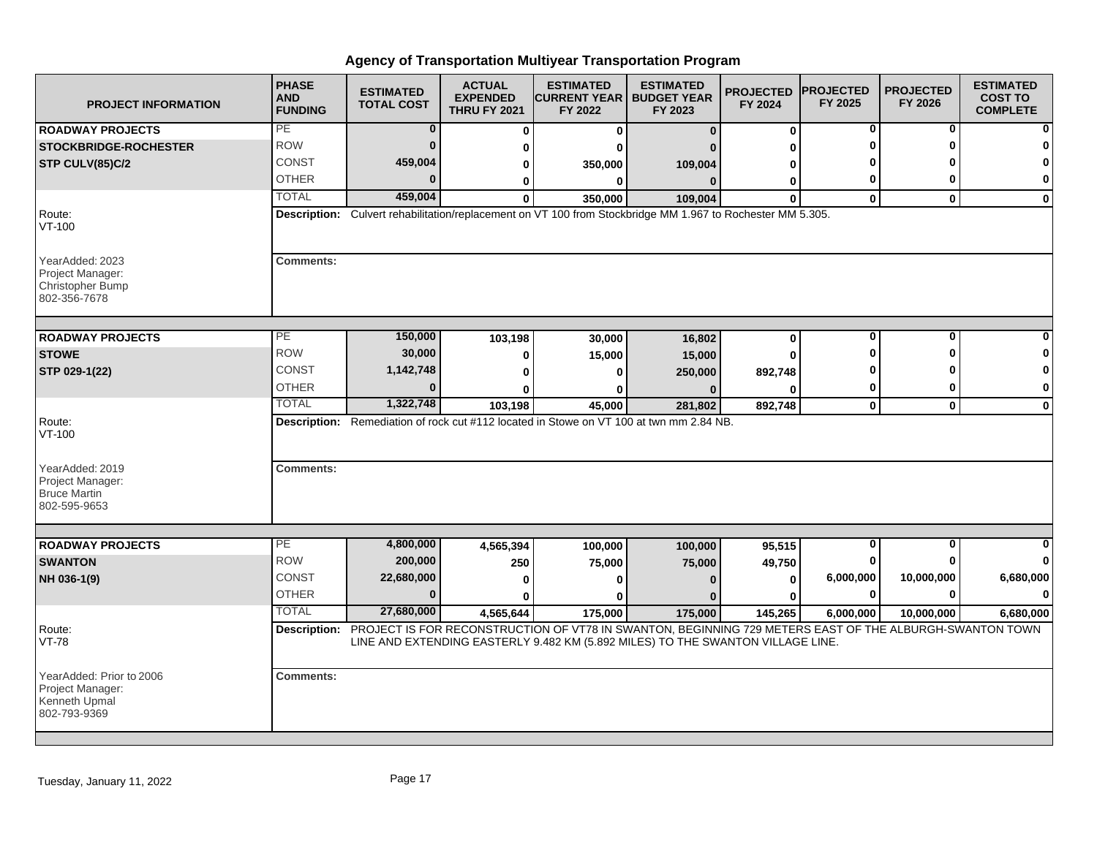| <b>PROJECT INFORMATION</b>                                                     | <b>PHASE</b><br><b>AND</b><br><b>FUNDING</b> | <b>ESTIMATED</b><br><b>TOTAL COST</b> | <b>ACTUAL</b><br><b>EXPENDED</b><br><b>THRU FY 2021</b> | <b>ESTIMATED</b><br><b>CURRENT YEAR I</b><br>FY 2022                                                                 | <b>ESTIMATED</b><br><b>BUDGET YEAR</b><br>FY 2023 | <b>PROJECTED</b><br>FY 2024 | <b>PROJECTED</b><br>FY 2025 | <b>PROJECTED</b><br>FY 2026 | <b>ESTIMATED</b><br><b>COST TO</b><br><b>COMPLETE</b> |
|--------------------------------------------------------------------------------|----------------------------------------------|---------------------------------------|---------------------------------------------------------|----------------------------------------------------------------------------------------------------------------------|---------------------------------------------------|-----------------------------|-----------------------------|-----------------------------|-------------------------------------------------------|
| <b>ROADWAY PROJECTS</b>                                                        | PE                                           | $\bf{0}$                              | $\Omega$                                                | 0                                                                                                                    | $\Omega$                                          | $\bf{0}$                    | $\bf{0}$                    | 0                           |                                                       |
| <b>STOCKBRIDGE-ROCHESTER</b>                                                   | <b>ROW</b>                                   | $\Omega$                              | 0                                                       |                                                                                                                      |                                                   | O                           | Λ                           |                             |                                                       |
| STP CULV(85)C/2                                                                | CONST                                        | 459,004                               | 0                                                       | 350,000                                                                                                              | 109,004                                           | ŋ                           |                             |                             |                                                       |
|                                                                                | <b>OTHER</b>                                 |                                       | 0                                                       | 0                                                                                                                    |                                                   | 0                           | 0                           | U                           | $\mathbf 0$                                           |
|                                                                                | <b>TOTAL</b>                                 | 459,004                               | $\bf{0}$                                                | 350,000                                                                                                              | 109,004                                           | $\bf{0}$                    | $\mathbf 0$                 | $\bf{0}$                    | $\mathbf 0$                                           |
| Route:<br>$VT-100$                                                             |                                              |                                       |                                                         | Description: Culvert rehabilitation/replacement on VT 100 from Stockbridge MM 1.967 to Rochester MM 5.305.           |                                                   |                             |                             |                             |                                                       |
| YearAdded: 2023<br>Project Manager:<br><b>Christopher Bump</b><br>802-356-7678 | <b>Comments:</b>                             |                                       |                                                         |                                                                                                                      |                                                   |                             |                             |                             |                                                       |
| <b>ROADWAY PROJECTS</b>                                                        | $\overline{PE}$                              | 150,000                               | 103,198                                                 | 30,000                                                                                                               | 16,802                                            | $\bf{0}$                    | $\bf{0}$                    | 0                           |                                                       |
| <b>STOWE</b>                                                                   | <b>ROW</b>                                   | 30,000                                | 0                                                       | 15,000                                                                                                               | 15,000                                            | O                           |                             | Λ                           |                                                       |
| STP 029-1(22)                                                                  | <b>CONST</b>                                 | 1,142,748                             | O                                                       |                                                                                                                      |                                                   | 892,748                     |                             |                             |                                                       |
|                                                                                | <b>OTHER</b>                                 |                                       |                                                         |                                                                                                                      | 250,000                                           |                             | 0                           | 0                           | $\mathbf 0$                                           |
|                                                                                | <b>TOTAL</b>                                 | 1,322,748                             | 103,198                                                 | 45,000                                                                                                               | 281,802                                           | 892,748                     | $\mathbf{0}$                | $\mathbf{0}$                | $\bf{0}$                                              |
| Route:<br>$VT-100$                                                             |                                              |                                       |                                                         | Description: Remediation of rock cut #112 located in Stowe on VT 100 at twn mm 2.84 NB.                              |                                                   |                             |                             |                             |                                                       |
| YearAdded: 2019<br>Project Manager:<br><b>Bruce Martin</b><br>802-595-9653     | <b>Comments:</b>                             |                                       |                                                         |                                                                                                                      |                                                   |                             |                             |                             |                                                       |
| <b>ROADWAY PROJECTS</b>                                                        | PE                                           | 4,800,000                             | 4,565,394                                               |                                                                                                                      |                                                   |                             | 0                           | $\bf{0}$                    |                                                       |
| <b>SWANTON</b>                                                                 | <b>ROW</b>                                   | 200,000                               |                                                         | 100,000                                                                                                              | 100,000                                           | 95,515<br>49,750            | 0                           | ŋ                           | O                                                     |
| NH 036-1(9)                                                                    | <b>CONST</b>                                 | 22,680,000                            | 250<br>ŋ                                                | 75,000                                                                                                               | 75,000                                            | $\bf{0}$                    | 6,000,000                   | 10,000,000                  | 6,680,000                                             |
|                                                                                | <b>OTHER</b>                                 | $\Omega$                              |                                                         |                                                                                                                      |                                                   | ŋ                           | $\bf{0}$                    | $\bf{0}$                    | $\Omega$                                              |
|                                                                                | <b>TOTAL</b>                                 | 27,680,000                            | 4,565,644                                               | 175,000                                                                                                              | 175,000                                           | 145,265                     |                             | 10,000,000                  |                                                       |
| Route:                                                                         |                                              |                                       |                                                         | Description: PROJECT IS FOR RECONSTRUCTION OF VT78 IN SWANTON, BEGINNING 729 METERS EAST OF THE ALBURGH-SWANTON TOWN |                                                   |                             | 6,000,000                   |                             | 6,680,000                                             |
| VT-78                                                                          |                                              |                                       |                                                         | LINE AND EXTENDING EASTERLY 9.482 KM (5.892 MILES) TO THE SWANTON VILLAGE LINE.                                      |                                                   |                             |                             |                             |                                                       |
| YearAdded: Prior to 2006<br>Project Manager:<br>Kenneth Upmal<br>802-793-9369  | <b>Comments:</b>                             |                                       |                                                         |                                                                                                                      |                                                   |                             |                             |                             |                                                       |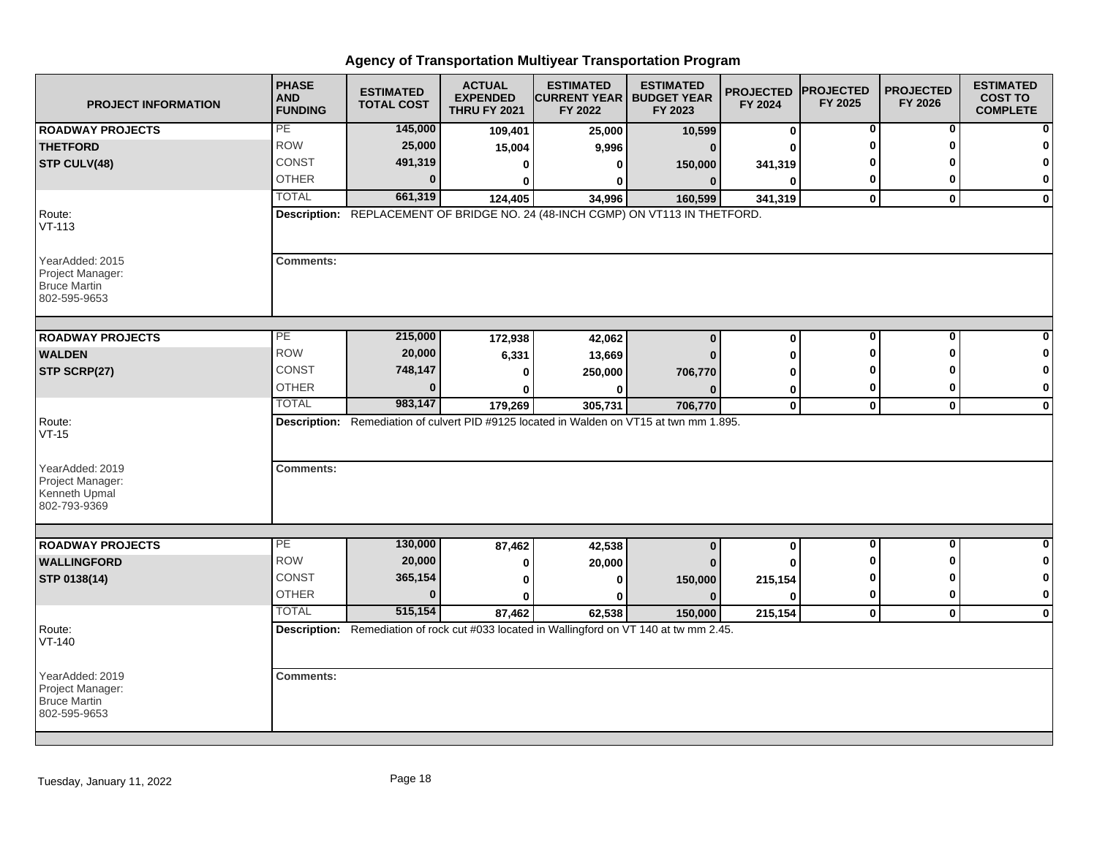| <b>PROJECT INFORMATION</b>                                                 | <b>PHASE</b><br><b>AND</b><br><b>FUNDING</b> | <b>ESTIMATED</b><br><b>TOTAL COST</b> | <b>ACTUAL</b><br><b>EXPENDED</b><br><b>THRU FY 2021</b> | <b>ESTIMATED</b><br><b>CURRENT YEAR   BUDGET YEAR</b><br>FY 2022 | <b>ESTIMATED</b><br>FY 2023                                                                          | <b>PROJECTED</b><br>FY 2024 | <b>PROJECTED</b><br>FY 2025 | <b>PROJECTED</b><br>FY 2026 | <b>ESTIMATED</b><br><b>COST TO</b><br><b>COMPLETE</b> |
|----------------------------------------------------------------------------|----------------------------------------------|---------------------------------------|---------------------------------------------------------|------------------------------------------------------------------|------------------------------------------------------------------------------------------------------|-----------------------------|-----------------------------|-----------------------------|-------------------------------------------------------|
| <b>ROADWAY PROJECTS</b>                                                    | PE                                           | 145,000                               | 109,401                                                 | 25,000                                                           | 10,599                                                                                               | $\bf{0}$                    | 0                           | 0                           | 0                                                     |
| <b>THETFORD</b>                                                            | <b>ROW</b>                                   | 25,000                                | 15,004                                                  | 9,996                                                            | $\Omega$                                                                                             | ŋ                           | O                           | $\Omega$                    | $\Omega$                                              |
| STP CULV(48)                                                               | <b>CONST</b>                                 | 491,319                               | 0                                                       | 0                                                                | 150,000                                                                                              | 341,319                     |                             |                             | $\Omega$                                              |
|                                                                            | <b>OTHER</b>                                 | $\bf{0}$                              | $\bf{0}$                                                | 0                                                                | $\mathbf{0}$                                                                                         | $\bf{0}$                    | 0                           | ŋ                           | 0                                                     |
|                                                                            | <b>TOTAL</b>                                 | 661,319                               | 124,405                                                 | 34,996                                                           | 160,599                                                                                              | 341,319                     | $\mathbf 0$                 | $\mathbf{0}$                | $\mathbf 0$                                           |
| Route:<br>$VT-113$                                                         |                                              |                                       |                                                         |                                                                  | Description: REPLACEMENT OF BRIDGE NO. 24 (48-INCH CGMP) ON VT113 IN THETFORD.                       |                             |                             |                             |                                                       |
| YearAdded: 2015<br>Project Manager:<br><b>Bruce Martin</b><br>802-595-9653 | <b>Comments:</b>                             |                                       |                                                         |                                                                  |                                                                                                      |                             |                             |                             |                                                       |
| <b>ROADWAY PROJECTS</b>                                                    | PE                                           | 215,000                               | 172,938                                                 | 42,062                                                           | $\bf{0}$                                                                                             | $\bf{0}$                    | 0                           | 0                           |                                                       |
| <b>WALDEN</b>                                                              | <b>ROW</b>                                   | 20,000                                | 6,331                                                   | 13,669                                                           |                                                                                                      | 0                           | O                           | ŋ                           | 0                                                     |
| STP SCRP(27)                                                               | CONST                                        | 748,147                               | $\bf{0}$                                                | 250,000                                                          | 706,770                                                                                              | O                           | ŋ                           | ŋ                           | $\mathbf 0$                                           |
|                                                                            | <b>OTHER</b>                                 | $\bf{0}$                              |                                                         |                                                                  |                                                                                                      | 0                           | 0                           | 0                           | 0                                                     |
|                                                                            | <b>TOTAL</b>                                 | 983,147                               | 179,269                                                 | 305,731                                                          | 706,770                                                                                              | $\mathbf 0$                 | $\mathbf 0$                 | $\mathbf 0$                 | $\mathbf 0$                                           |
| Route:<br>$VT-15$                                                          |                                              |                                       |                                                         |                                                                  | Description: Remediation of culvert PID #9125 located in Walden on VT15 at twn mm 1.895.             |                             |                             |                             |                                                       |
| YearAdded: 2019<br>Project Manager:<br>Kenneth Upmal<br>802-793-9369       | <b>Comments:</b>                             |                                       |                                                         |                                                                  |                                                                                                      |                             |                             |                             |                                                       |
| <b>ROADWAY PROJECTS</b>                                                    | PE                                           | 130,000                               |                                                         |                                                                  |                                                                                                      |                             | $\overline{\mathbf{0}}$     | $\overline{\mathbf{0}}$     | $\bf{0}$                                              |
| <b>WALLINGFORD</b>                                                         | <b>ROW</b>                                   | 20,000                                | 87,462                                                  | 42,538                                                           | $\bf{0}$                                                                                             | $\bf{0}$                    | 0                           | 0                           | 0                                                     |
|                                                                            | <b>CONST</b>                                 | 365,154                               | 0                                                       | 20,000                                                           |                                                                                                      | U                           | 0                           | O                           | 0                                                     |
| STP 0138(14)                                                               | <b>OTHER</b>                                 | $\bf{0}$                              | 0<br>$\mathbf{0}$                                       | $\bf{0}$                                                         | 150,000<br>$\Omega$                                                                                  | 215,154<br>U                | 0                           | 0                           | $\bf{0}$                                              |
|                                                                            | <b>TOTAL</b>                                 | 515,154                               |                                                         | $\bf{0}$<br>62,538                                               |                                                                                                      | 215,154                     |                             | $\mathbf 0$                 | $\mathbf{0}$                                          |
| Route:                                                                     |                                              |                                       | 87,462                                                  |                                                                  | 150,000<br>Description: Remediation of rock cut #033 located in Wallingford on VT 140 at tw mm 2.45. |                             | $\mathbf 0$                 |                             |                                                       |
| VT-140                                                                     |                                              |                                       |                                                         |                                                                  |                                                                                                      |                             |                             |                             |                                                       |
| YearAdded: 2019<br>Project Manager:<br><b>Bruce Martin</b><br>802-595-9653 | <b>Comments:</b>                             |                                       |                                                         |                                                                  |                                                                                                      |                             |                             |                             |                                                       |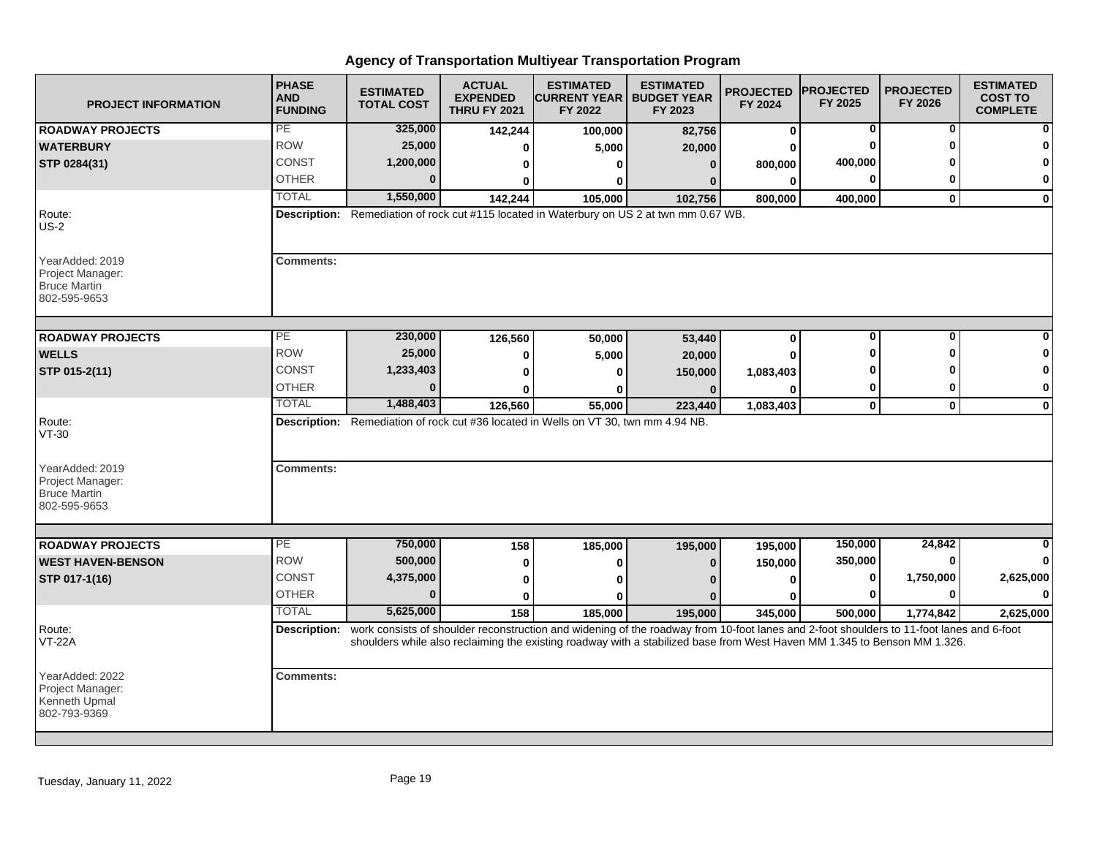| <b>PROJECT INFORMATION</b>                                                 | <b>PHASE</b><br><b>AND</b><br><b>FUNDING</b>                                              | <b>ESTIMATED</b><br><b>TOTAL COST</b> | <b>ACTUAL</b><br><b>EXPENDED</b><br><b>THRU FY 2021</b> | <b>ESTIMATED</b><br><b>CURRENT YEAR</b><br>FY 2022                                                                                                               | <b>ESTIMATED</b><br><b>BUDGET YEAR</b><br>FY 2023 | <b>PROJECTED</b><br>FY 2024 | <b>PROJECTED</b><br>FY 2025 | <b>PROJECTED</b><br>FY 2026 | <b>ESTIMATED</b><br><b>COST TO</b><br><b>COMPLETE</b> |  |  |
|----------------------------------------------------------------------------|-------------------------------------------------------------------------------------------|---------------------------------------|---------------------------------------------------------|------------------------------------------------------------------------------------------------------------------------------------------------------------------|---------------------------------------------------|-----------------------------|-----------------------------|-----------------------------|-------------------------------------------------------|--|--|
| <b>ROADWAY PROJECTS</b>                                                    | PE                                                                                        | 325,000                               | 142,244                                                 | 100,000                                                                                                                                                          | 82,756                                            | $\mathbf 0$                 | 0                           | 0                           | $\bf{0}$                                              |  |  |
| <b>WATERBURY</b>                                                           | <b>ROW</b>                                                                                | 25,000                                | ŋ                                                       | 5,000                                                                                                                                                            | 20,000                                            |                             |                             |                             | 0                                                     |  |  |
| STP 0284(31)                                                               | CONST                                                                                     | 1,200,000                             | ŋ                                                       |                                                                                                                                                                  | $\Omega$                                          | 800,000                     | 400,000                     |                             | $\mathbf 0$                                           |  |  |
|                                                                            | <b>OTHER</b>                                                                              |                                       | 0                                                       |                                                                                                                                                                  |                                                   | 0                           |                             |                             | $\mathbf{0}$                                          |  |  |
|                                                                            | <b>TOTAL</b>                                                                              | 1,550,000                             | 142,244                                                 | 105,000                                                                                                                                                          | 102,756                                           | 800,000                     | 400,000                     | 0                           | $\mathbf{0}$                                          |  |  |
| Route:<br>$US-2$                                                           | Description: Remediation of rock cut #115 located in Waterbury on US 2 at twn mm 0.67 WB. |                                       |                                                         |                                                                                                                                                                  |                                                   |                             |                             |                             |                                                       |  |  |
| YearAdded: 2019<br>Project Manager:<br><b>Bruce Martin</b><br>802-595-9653 | <b>Comments:</b>                                                                          |                                       |                                                         |                                                                                                                                                                  |                                                   |                             |                             |                             |                                                       |  |  |
| <b>ROADWAY PROJECTS</b>                                                    | PE                                                                                        | 230,000                               | 126,560                                                 | 50,000                                                                                                                                                           | 53,440                                            | $\mathbf 0$                 | 0                           | $\bf{0}$                    | $\mathbf{0}$                                          |  |  |
| <b>WELLS</b>                                                               | <b>ROW</b>                                                                                | 25,000                                | 0                                                       | 5,000                                                                                                                                                            | 20,000                                            |                             |                             |                             | $\mathbf{0}$                                          |  |  |
| STP 015-2(11)                                                              | <b>CONST</b>                                                                              | 1,233,403                             | 0                                                       |                                                                                                                                                                  | 150,000                                           | 1,083,403                   |                             |                             | $\mathbf{0}$                                          |  |  |
|                                                                            | <b>OTHER</b>                                                                              |                                       | ŋ                                                       |                                                                                                                                                                  | 0                                                 |                             | 0                           |                             | $\mathbf{0}$                                          |  |  |
|                                                                            | <b>TOTAL</b>                                                                              | 1,488,403                             | 126,560                                                 | 55,000                                                                                                                                                           | 223,440                                           | 1,083,403                   | $\mathbf 0$                 | $\mathbf 0$                 | $\mathbf{0}$                                          |  |  |
| Route:<br>$VT-30$                                                          |                                                                                           |                                       |                                                         | Description: Remediation of rock cut #36 located in Wells on VT 30, twn mm 4.94 NB.                                                                              |                                                   |                             |                             |                             |                                                       |  |  |
| YearAdded: 2019<br>Project Manager:<br><b>Bruce Martin</b><br>802-595-9653 | <b>Comments:</b>                                                                          |                                       |                                                         |                                                                                                                                                                  |                                                   |                             |                             |                             |                                                       |  |  |
|                                                                            | PE                                                                                        | 750,000                               |                                                         |                                                                                                                                                                  |                                                   |                             | 150,000                     | 24,842                      | $\Omega$                                              |  |  |
| <b>ROADWAY PROJECTS</b><br><b>WEST HAVEN-BENSON</b>                        | <b>ROW</b>                                                                                | 500,000                               | 158                                                     | 185,000                                                                                                                                                          | 195,000                                           | 195,000                     | 350,000                     |                             | $\mathbf{0}$                                          |  |  |
|                                                                            | <b>CONST</b>                                                                              | 4,375,000                             | 0                                                       | 0                                                                                                                                                                | $\bf{0}$                                          | 150,000                     | $\bf{0}$                    | 1,750,000                   | 2,625,000                                             |  |  |
| STP 017-1(16)                                                              | <b>OTHER</b>                                                                              | $\Omega$                              | 0                                                       |                                                                                                                                                                  |                                                   |                             |                             |                             | $\mathbf{0}$                                          |  |  |
|                                                                            | <b>TOTAL</b>                                                                              | 5,625,000                             | $\bf{0}$                                                |                                                                                                                                                                  |                                                   |                             |                             |                             |                                                       |  |  |
| Route:                                                                     |                                                                                           |                                       | 158                                                     | 185,000<br>Description: work consists of shoulder reconstruction and widening of the roadway from 10-foot lanes and 2-foot shoulders to 11-foot lanes and 6-foot | 195,000                                           | 345,000                     | 500,000                     | 1,774,842                   | 2,625,000                                             |  |  |
| VT-22A                                                                     |                                                                                           |                                       |                                                         | shoulders while also reclaiming the existing roadway with a stabilized base from West Haven MM 1.345 to Benson MM 1.326.                                         |                                                   |                             |                             |                             |                                                       |  |  |
| YearAdded: 2022<br>Project Manager:<br>Kenneth Upmal<br>802-793-9369       | <b>Comments:</b>                                                                          |                                       |                                                         |                                                                                                                                                                  |                                                   |                             |                             |                             |                                                       |  |  |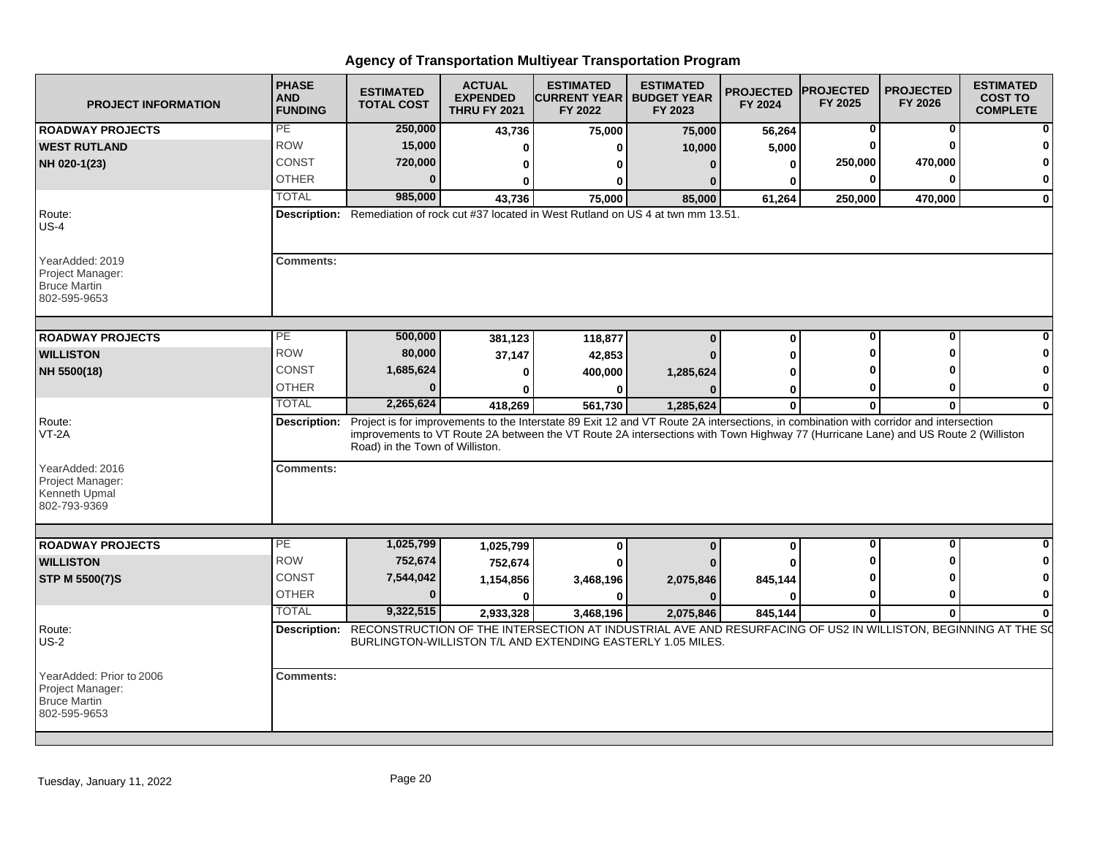| <b>PROJECT INFORMATION</b>                                                          | <b>PHASE</b><br><b>AND</b><br><b>FUNDING</b>                                              | <b>ESTIMATED</b><br><b>TOTAL COST</b>                                                                                                                                    | <b>ACTUAL</b><br><b>EXPENDED</b><br><b>THRU FY 2021</b> | <b>ESTIMATED</b><br><b>CURRENT YEAR   BUDGET YEAR</b><br>FY 2022                                                                  | <b>ESTIMATED</b><br>FY 2023 | <b>PROJECTED</b><br>FY 2024 | <b>PROJECTED</b><br>FY 2025 | <b>PROJECTED</b><br>FY 2026 | <b>ESTIMATED</b><br><b>COST TO</b><br><b>COMPLETE</b> |  |  |
|-------------------------------------------------------------------------------------|-------------------------------------------------------------------------------------------|--------------------------------------------------------------------------------------------------------------------------------------------------------------------------|---------------------------------------------------------|-----------------------------------------------------------------------------------------------------------------------------------|-----------------------------|-----------------------------|-----------------------------|-----------------------------|-------------------------------------------------------|--|--|
| <b>ROADWAY PROJECTS</b>                                                             | PE                                                                                        | 250,000                                                                                                                                                                  | 43,736                                                  | 75,000                                                                                                                            | 75,000                      | 56,264                      | 0                           | 0                           | 0                                                     |  |  |
| <b>WEST RUTLAND</b>                                                                 | <b>ROW</b>                                                                                | 15,000                                                                                                                                                                   |                                                         | 0                                                                                                                                 | 10,000                      | 5,000                       | 0                           |                             |                                                       |  |  |
| NH 020-1(23)                                                                        | <b>CONST</b>                                                                              | 720,000                                                                                                                                                                  |                                                         | 0                                                                                                                                 | 0                           | $\bf{0}$                    | 250,000                     | 470,000                     |                                                       |  |  |
|                                                                                     | <b>OTHER</b>                                                                              |                                                                                                                                                                          |                                                         | O                                                                                                                                 |                             |                             | ŋ                           |                             |                                                       |  |  |
|                                                                                     | <b>TOTAL</b>                                                                              | 985,000                                                                                                                                                                  | 43,736                                                  | 75,000                                                                                                                            | 85.000                      | 61,264                      | 250,000                     | 470,000                     | $\mathbf{0}$                                          |  |  |
| Route:<br>$US-4$                                                                    | Description: Remediation of rock cut #37 located in West Rutland on US 4 at twn mm 13.51. |                                                                                                                                                                          |                                                         |                                                                                                                                   |                             |                             |                             |                             |                                                       |  |  |
| YearAdded: 2019<br>Project Manager:<br><b>Bruce Martin</b><br>802-595-9653          | <b>Comments:</b>                                                                          |                                                                                                                                                                          |                                                         |                                                                                                                                   |                             |                             |                             |                             |                                                       |  |  |
| <b>ROADWAY PROJECTS</b>                                                             | $\overline{PE}$                                                                           | 500,000                                                                                                                                                                  | 381,123                                                 | 118,877                                                                                                                           | $\Omega$                    | $\mathbf 0$                 | 0                           | $\Omega$                    |                                                       |  |  |
| <b>WILLISTON</b>                                                                    | <b>ROW</b>                                                                                | 80,000                                                                                                                                                                   | 37,147                                                  | 42,853                                                                                                                            |                             | ŋ                           | 0                           |                             |                                                       |  |  |
| NH 5500(18)                                                                         | CONST                                                                                     | 1,685,624                                                                                                                                                                |                                                         | 400,000                                                                                                                           | 1,285,624                   |                             | ŋ                           |                             | 0                                                     |  |  |
|                                                                                     | <b>OTHER</b>                                                                              |                                                                                                                                                                          |                                                         | 0                                                                                                                                 |                             | O                           | 0                           | ŋ                           | 0                                                     |  |  |
|                                                                                     | <b>TOTAL</b>                                                                              | 2,265,624                                                                                                                                                                | 418,269                                                 | 561,730                                                                                                                           | 1,285,624                   | $\mathbf{0}$                | $\bf{0}$                    | 0                           | $\mathbf{0}$                                          |  |  |
| Route:<br>VT-2A                                                                     | <b>Description:</b>                                                                       | Project is for improvements to the Interstate 89 Exit 12 and VT Route 2A intersections, in combination with corridor and intersection<br>Road) in the Town of Williston. |                                                         | improvements to VT Route 2A between the VT Route 2A intersections with Town Highway 77 (Hurricane Lane) and US Route 2 (Williston |                             |                             |                             |                             |                                                       |  |  |
| YearAdded: 2016<br>Project Manager:<br>Kenneth Upmal<br>802-793-9369                | <b>Comments:</b>                                                                          |                                                                                                                                                                          |                                                         |                                                                                                                                   |                             |                             |                             |                             |                                                       |  |  |
|                                                                                     | PE                                                                                        | 1,025,799                                                                                                                                                                |                                                         |                                                                                                                                   |                             |                             | 0                           | $\bf{0}$                    | $\mathbf{0}$                                          |  |  |
| <b>ROADWAY PROJECTS</b><br><b>WILLISTON</b>                                         | <b>ROW</b>                                                                                | 752,674                                                                                                                                                                  | 1,025,799                                               | 0                                                                                                                                 | $\bf{0}$                    | $\mathbf 0$                 | U                           |                             |                                                       |  |  |
|                                                                                     | <b>CONST</b>                                                                              | 7,544,042                                                                                                                                                                | 752,674                                                 | 0                                                                                                                                 |                             |                             | ŋ                           |                             | 0                                                     |  |  |
| <b>STP M 5500(7)S</b>                                                               | <b>OTHER</b>                                                                              | n                                                                                                                                                                        | 1,154,856<br>C                                          | 3,468,196                                                                                                                         | 2,075,846<br>n              | 845,144<br>n                | 0                           | ŋ                           | 0                                                     |  |  |
|                                                                                     | <b>TOTAL</b>                                                                              | 9,322,515                                                                                                                                                                |                                                         | 0                                                                                                                                 |                             |                             |                             |                             |                                                       |  |  |
| Route:                                                                              | Description:                                                                              | RECONSTRUCTION OF THE INTERSECTION AT INDUSTRIAL AVE AND RESURFACING OF US2 IN WILLISTON, BEGINNING AT THE SO                                                            | 2,933,328                                               | 3,468,196                                                                                                                         | 2,075,846                   | 845.144                     | $\bf{0}$                    | $\bf{0}$                    |                                                       |  |  |
| <b>US-2</b>                                                                         |                                                                                           |                                                                                                                                                                          |                                                         | BURLINGTON-WILLISTON T/L AND EXTENDING EASTERLY 1.05 MILES.                                                                       |                             |                             |                             |                             |                                                       |  |  |
| YearAdded: Prior to 2006<br>Project Manager:<br><b>Bruce Martin</b><br>802-595-9653 | <b>Comments:</b>                                                                          |                                                                                                                                                                          |                                                         |                                                                                                                                   |                             |                             |                             |                             |                                                       |  |  |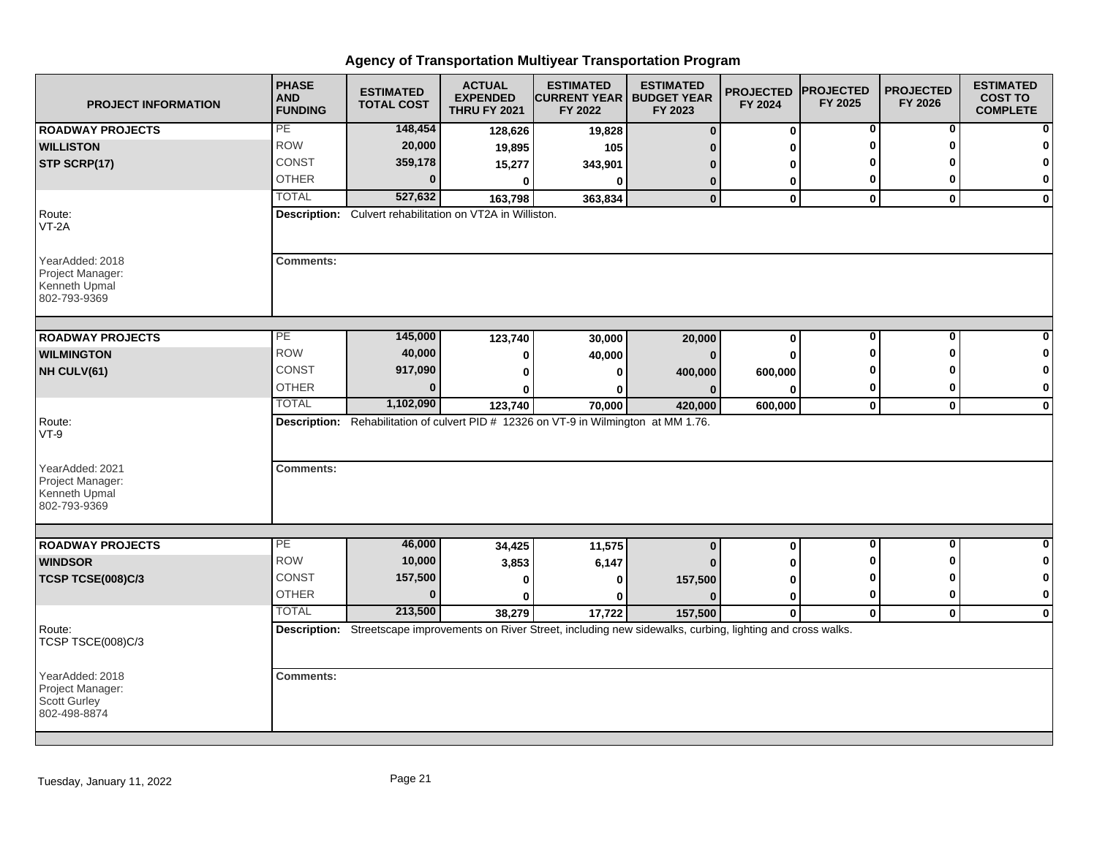| <b>PROJECT INFORMATION</b>                                           | <b>PHASE</b><br><b>AND</b><br><b>FUNDING</b> | <b>ESTIMATED</b><br><b>TOTAL COST</b>                     | <b>ACTUAL</b><br><b>EXPENDED</b><br><b>THRU FY 2021</b> | <b>ESTIMATED</b><br><b>CURRENT YEAR   BUDGET YEAR</b><br>FY 2022                                                   | <b>ESTIMATED</b><br>FY 2023 | <b>PROJECTED</b><br>FY 2024 | <b>PROJECTED</b><br>FY 2025 | <b>PROJECTED</b><br>FY 2026 | <b>ESTIMATED</b><br><b>COST TO</b><br><b>COMPLETE</b> |
|----------------------------------------------------------------------|----------------------------------------------|-----------------------------------------------------------|---------------------------------------------------------|--------------------------------------------------------------------------------------------------------------------|-----------------------------|-----------------------------|-----------------------------|-----------------------------|-------------------------------------------------------|
| <b>ROADWAY PROJECTS</b>                                              | PE                                           | 148,454                                                   | 128,626                                                 | 19,828                                                                                                             | $\bf{0}$                    | $\bf{0}$                    | 0                           | 0                           | 0                                                     |
| <b>WILLISTON</b>                                                     | <b>ROW</b>                                   | 20,000                                                    | 19,895                                                  | 105                                                                                                                |                             | U                           | O                           | O                           | $\mathbf 0$                                           |
| STP SCRP(17)                                                         | <b>CONST</b>                                 | 359,178                                                   | 15,277                                                  | 343,901                                                                                                            | n                           | 0                           | ŋ                           |                             | $\bf{0}$                                              |
|                                                                      | <b>OTHER</b>                                 | $\bf{0}$                                                  | $\mathbf{0}$                                            | 0                                                                                                                  | 0                           | 0                           | 0                           | 0                           | 0                                                     |
|                                                                      | <b>TOTAL</b>                                 | 527,632                                                   | 163,798                                                 | 363,834                                                                                                            | $\bf{0}$                    | $\mathbf 0$                 | $\mathbf 0$                 | $\mathbf{0}$                | $\mathbf 0$                                           |
| Route:<br>$VT-2A$                                                    |                                              | Description: Culvert rehabilitation on VT2A in Williston. |                                                         |                                                                                                                    |                             |                             |                             |                             |                                                       |
| YearAdded: 2018<br>Project Manager:<br>Kenneth Upmal<br>802-793-9369 | <b>Comments:</b>                             |                                                           |                                                         |                                                                                                                    |                             |                             |                             |                             |                                                       |
| <b>ROADWAY PROJECTS</b>                                              | PE                                           | 145,000                                                   | 123,740                                                 | 30,000                                                                                                             | 20,000                      | $\bf{0}$                    | $\bf{0}$                    | $\bf{0}$                    |                                                       |
| <b>WILMINGTON</b>                                                    | <b>ROW</b>                                   | 40,000                                                    | 0                                                       | 40,000                                                                                                             | n                           | $\bf{0}$                    | O                           | ŋ                           | 0                                                     |
| NH CULV(61)                                                          | CONST                                        | 917,090                                                   | 0                                                       | U                                                                                                                  | 400,000                     | 600,000                     | ŋ                           |                             | $\bf{0}$                                              |
|                                                                      | <b>OTHER</b>                                 | $\bf{0}$                                                  |                                                         | 0                                                                                                                  |                             | 0                           | 0                           | 0                           | 0                                                     |
|                                                                      | <b>TOTAL</b>                                 | 1,102,090                                                 | 123,740                                                 | 70,000                                                                                                             | 420,000                     | 600,000                     | $\mathbf 0$                 | $\mathbf 0$                 | $\mathbf 0$                                           |
| Route:<br>$VT-9$                                                     |                                              |                                                           |                                                         | Description: Rehabilitation of culvert PID # 12326 on VT-9 in Wilmington at MM 1.76.                               |                             |                             |                             |                             |                                                       |
| YearAdded: 2021<br>Project Manager:<br>Kenneth Upmal<br>802-793-9369 | <b>Comments:</b>                             |                                                           |                                                         |                                                                                                                    |                             |                             |                             |                             |                                                       |
| <b>ROADWAY PROJECTS</b>                                              | PE                                           | 46,000                                                    |                                                         |                                                                                                                    |                             | $\mathbf 0$                 | $\bf{0}$                    | $\mathbf{0}$                | $\bf{0}$                                              |
| <b>WINDSOR</b>                                                       | <b>ROW</b>                                   | 10,000                                                    | 34,425                                                  | 11,575                                                                                                             | $\bf{0}$                    |                             | ŋ                           | O                           | 0                                                     |
| <b>TCSP TCSE(008)C/3</b>                                             | <b>CONST</b>                                 | 157,500                                                   | 3,853                                                   | 6,147                                                                                                              |                             | U                           | 0                           | ŋ                           | 0                                                     |
|                                                                      | <b>OTHER</b>                                 | $\bf{0}$                                                  | 0<br>$\bf{0}$                                           | 0<br>$\bf{0}$                                                                                                      | 157,500<br>n                | 0<br>0                      | 0                           | $\bf{0}$                    | $\pmb{0}$                                             |
|                                                                      | <b>TOTAL</b>                                 | 213,500                                                   | 38,279                                                  | 17,722                                                                                                             | 157,500                     | $\mathbf{0}$                | $\mathbf 0$                 | $\mathbf{0}$                | $\bf{0}$                                              |
| Route:<br>TCSP TSCE(008)C/3                                          |                                              |                                                           |                                                         | Description: Streetscape improvements on River Street, including new sidewalks, curbing, lighting and cross walks. |                             |                             |                             |                             |                                                       |
| YearAdded: 2018<br>Project Manager:<br>Scott Gurley<br>802-498-8874  | <b>Comments:</b>                             |                                                           |                                                         |                                                                                                                    |                             |                             |                             |                             |                                                       |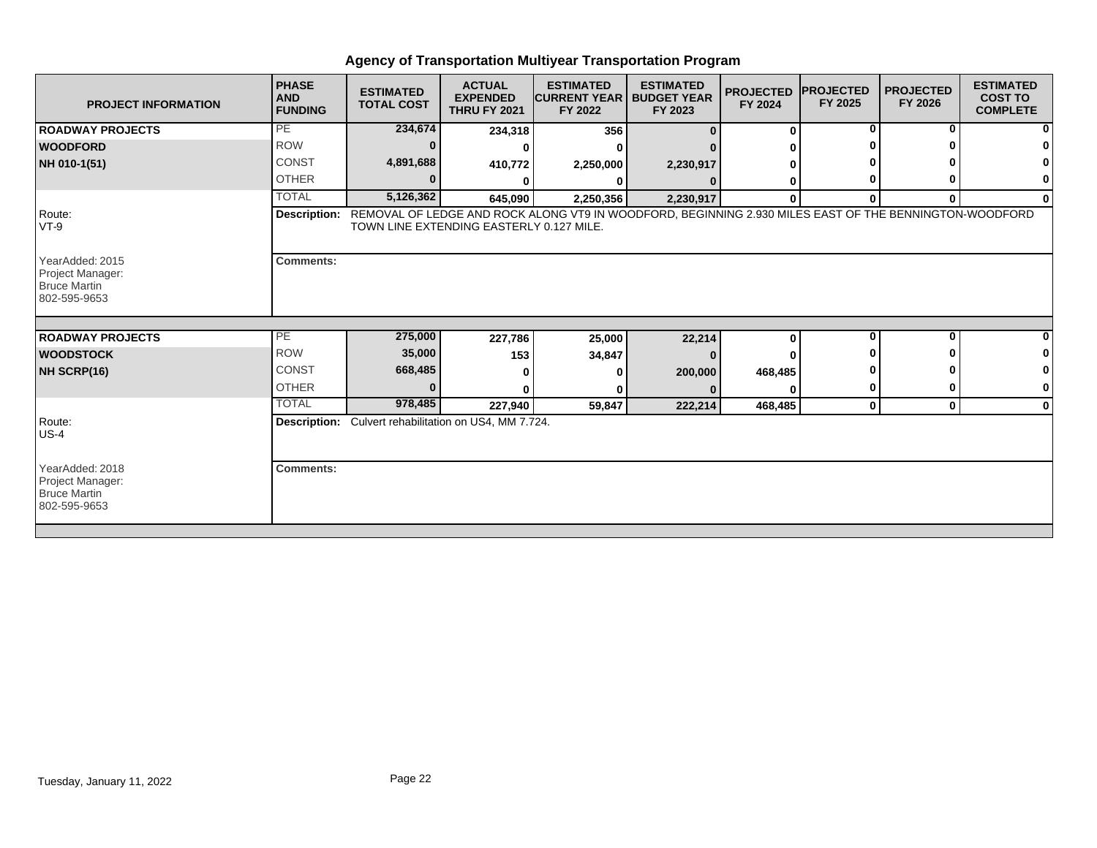| <b>PROJECT INFORMATION</b>                                                 | <b>PHASE</b><br><b>AND</b><br><b>FUNDING</b> | <b>ESTIMATED</b><br><b>TOTAL COST</b>                        | <b>ACTUAL</b><br><b>EXPENDED</b><br><b>THRU FY 2021</b> | <b>ESTIMATED</b><br><b>CURRENT YEAR</b><br>FY 2022                                                                  | <b>ESTIMATED</b><br><b>BUDGET YEAR</b><br>FY 2023 | <b>PROJECTED</b><br>FY 2024 | <b>IPROJECTED</b><br>FY 2025 | <b>PROJECTED</b><br>FY 2026 | <b>ESTIMATED</b><br><b>COST TO</b><br><b>COMPLETE</b> |
|----------------------------------------------------------------------------|----------------------------------------------|--------------------------------------------------------------|---------------------------------------------------------|---------------------------------------------------------------------------------------------------------------------|---------------------------------------------------|-----------------------------|------------------------------|-----------------------------|-------------------------------------------------------|
| <b>ROADWAY PROJECTS</b>                                                    | PE                                           | 234,674                                                      | 234,318                                                 | 356                                                                                                                 |                                                   | $\bf{0}$                    | 0                            | 0                           |                                                       |
| <b>WOODFORD</b>                                                            | <b>ROW</b>                                   |                                                              |                                                         |                                                                                                                     |                                                   |                             |                              |                             |                                                       |
| NH 010-1(51)                                                               | <b>CONST</b>                                 | 4,891,688                                                    | 410,772                                                 | 2,250,000                                                                                                           | 2,230,917                                         |                             |                              |                             |                                                       |
|                                                                            | <b>OTHER</b>                                 |                                                              |                                                         |                                                                                                                     |                                                   |                             |                              |                             |                                                       |
|                                                                            | <b>TOTAL</b>                                 | 5,126,362                                                    | 645,090                                                 | 2,250,356                                                                                                           | 2,230,917                                         | $\bf{0}$                    | 0                            | $\bf{0}$                    | 0                                                     |
| Route:<br>$VT-9$                                                           |                                              | TOWN LINE EXTENDING EASTERLY 0.127 MILE.                     |                                                         | Description: REMOVAL OF LEDGE AND ROCK ALONG VT9 IN WOODFORD, BEGINNING 2.930 MILES EAST OF THE BENNINGTON-WOODFORD |                                                   |                             |                              |                             |                                                       |
| YearAdded: 2015<br>Project Manager:<br><b>Bruce Martin</b><br>802-595-9653 | <b>Comments:</b>                             |                                                              |                                                         |                                                                                                                     |                                                   |                             |                              |                             |                                                       |
| <b>ROADWAY PROJECTS</b>                                                    | PE                                           | 275,000                                                      |                                                         |                                                                                                                     |                                                   | $\bf{0}$                    | $\bf{0}$                     | <sup>0</sup>                |                                                       |
| <b>WOODSTOCK</b>                                                           | <b>ROW</b>                                   | 35,000                                                       | 227,786                                                 | 25,000                                                                                                              | 22,214                                            |                             |                              |                             |                                                       |
| NH SCRP(16)                                                                | <b>CONST</b>                                 | 668,485                                                      | 153                                                     | 34,847                                                                                                              |                                                   |                             |                              |                             |                                                       |
|                                                                            | <b>OTHER</b>                                 | $\Omega$                                                     |                                                         |                                                                                                                     | 200,000                                           | 468,485                     |                              |                             | 0                                                     |
|                                                                            | <b>TOTAL</b>                                 | 978,485                                                      | 227,940                                                 | 59,847                                                                                                              | 222,214                                           | 468,485                     | $\mathbf 0$                  | $\mathbf 0$                 | $\bf{0}$                                              |
| Route:<br>$US-4$                                                           |                                              | <b>Description:</b> Culvert rehabilitation on US4, MM 7.724. |                                                         |                                                                                                                     |                                                   |                             |                              |                             |                                                       |
| YearAdded: 2018<br>Project Manager:<br><b>Bruce Martin</b><br>802-595-9653 | <b>Comments:</b>                             |                                                              |                                                         |                                                                                                                     |                                                   |                             |                              |                             |                                                       |
|                                                                            |                                              |                                                              |                                                         |                                                                                                                     |                                                   |                             |                              |                             |                                                       |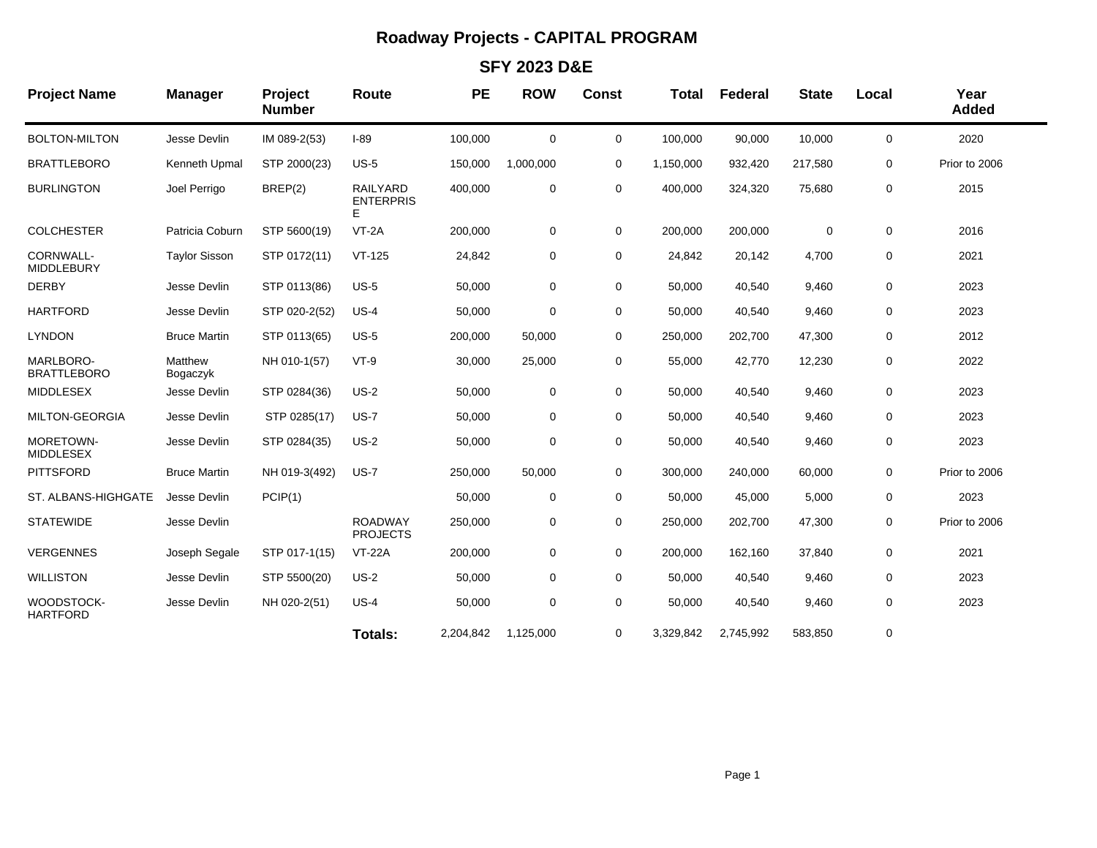## **Roadway Projects - CAPITAL PROGRAM**

### **SFY 2023 D&E**

| <b>Project Name</b>             | <b>Manager</b>       | Project<br><b>Number</b> | Route                                    | <b>PE</b> | <b>ROW</b>  | <b>Const</b> | <b>Total</b> | Federal   | <b>State</b> | Local       | Year<br><b>Added</b> |
|---------------------------------|----------------------|--------------------------|------------------------------------------|-----------|-------------|--------------|--------------|-----------|--------------|-------------|----------------------|
| <b>BOLTON-MILTON</b>            | Jesse Devlin         | IM 089-2(53)             | $I-89$                                   | 100,000   | $\mathbf 0$ | $\mathbf 0$  | 100,000      | 90,000    | 10,000       | $\mathbf 0$ | 2020                 |
| <b>BRATTLEBORO</b>              | Kenneth Upmal        | STP 2000(23)             | $US-5$                                   | 150,000   | 1,000,000   | 0            | 1,150,000    | 932,420   | 217,580      | 0           | Prior to 2006        |
| <b>BURLINGTON</b>               | Joel Perrigo         | BREP(2)                  | <b>RAILYARD</b><br><b>ENTERPRIS</b><br>E | 400,000   | 0           | $\mathbf 0$  | 400,000      | 324,320   | 75,680       | 0           | 2015                 |
| <b>COLCHESTER</b>               | Patricia Coburn      | STP 5600(19)             | $VT-2A$                                  | 200,000   | 0           | 0            | 200,000      | 200,000   | 0            | 0           | 2016                 |
| CORNWALL-<br><b>MIDDLEBURY</b>  | <b>Taylor Sisson</b> | STP 0172(11)             | $VT-125$                                 | 24,842    | $\mathbf 0$ | $\mathbf 0$  | 24,842       | 20,142    | 4,700        | 0           | 2021                 |
| <b>DERBY</b>                    | Jesse Devlin         | STP 0113(86)             | $US-5$                                   | 50,000    | 0           | 0            | 50,000       | 40,540    | 9,460        | 0           | 2023                 |
| <b>HARTFORD</b>                 | Jesse Devlin         | STP 020-2(52)            | $US-4$                                   | 50,000    | 0           | $\mathbf 0$  | 50,000       | 40,540    | 9,460        | 0           | 2023                 |
| <b>LYNDON</b>                   | <b>Bruce Martin</b>  | STP 0113(65)             | $US-5$                                   | 200,000   | 50,000      | 0            | 250,000      | 202,700   | 47,300       | 0           | 2012                 |
| MARLBORO-<br><b>BRATTLEBORO</b> | Matthew<br>Bogaczyk  | NH 010-1(57)             | $VT-9$                                   | 30,000    | 25,000      | 0            | 55,000       | 42,770    | 12,230       | 0           | 2022                 |
| <b>MIDDLESEX</b>                | Jesse Devlin         | STP 0284(36)             | $US-2$                                   | 50,000    | 0           | 0            | 50,000       | 40,540    | 9,460        | 0           | 2023                 |
| MILTON-GEORGIA                  | Jesse Devlin         | STP 0285(17)             | $US-7$                                   | 50,000    | 0           | 0            | 50,000       | 40,540    | 9,460        | 0           | 2023                 |
| MORETOWN-<br><b>MIDDLESEX</b>   | Jesse Devlin         | STP 0284(35)             | $US-2$                                   | 50,000    | 0           | 0            | 50,000       | 40,540    | 9,460        | 0           | 2023                 |
| <b>PITTSFORD</b>                | <b>Bruce Martin</b>  | NH 019-3(492)            | <b>US-7</b>                              | 250,000   | 50,000      | $\mathbf 0$  | 300,000      | 240,000   | 60,000       | $\mathbf 0$ | Prior to 2006        |
| ST. ALBANS-HIGHGATE             | Jesse Devlin         | PCIP(1)                  |                                          | 50,000    | 0           | 0            | 50,000       | 45,000    | 5,000        | 0           | 2023                 |
| <b>STATEWIDE</b>                | Jesse Devlin         |                          | <b>ROADWAY</b><br><b>PROJECTS</b>        | 250,000   | 0           | 0            | 250,000      | 202,700   | 47,300       | 0           | Prior to 2006        |
| <b>VERGENNES</b>                | Joseph Segale        | STP 017-1(15)            | <b>VT-22A</b>                            | 200,000   | 0           | $\mathbf 0$  | 200,000      | 162,160   | 37,840       | 0           | 2021                 |
| <b>WILLISTON</b>                | Jesse Devlin         | STP 5500(20)             | $US-2$                                   | 50,000    | $\mathbf 0$ | 0            | 50,000       | 40,540    | 9,460        | 0           | 2023                 |
| WOODSTOCK-<br><b>HARTFORD</b>   | Jesse Devlin         | NH 020-2(51)             | $US-4$                                   | 50,000    | $\mathbf 0$ | $\mathbf 0$  | 50,000       | 40,540    | 9,460        | 0           | 2023                 |
|                                 |                      |                          | Totals:                                  | 2,204,842 | 1,125,000   | 0            | 3,329,842    | 2,745,992 | 583,850      | 0           |                      |